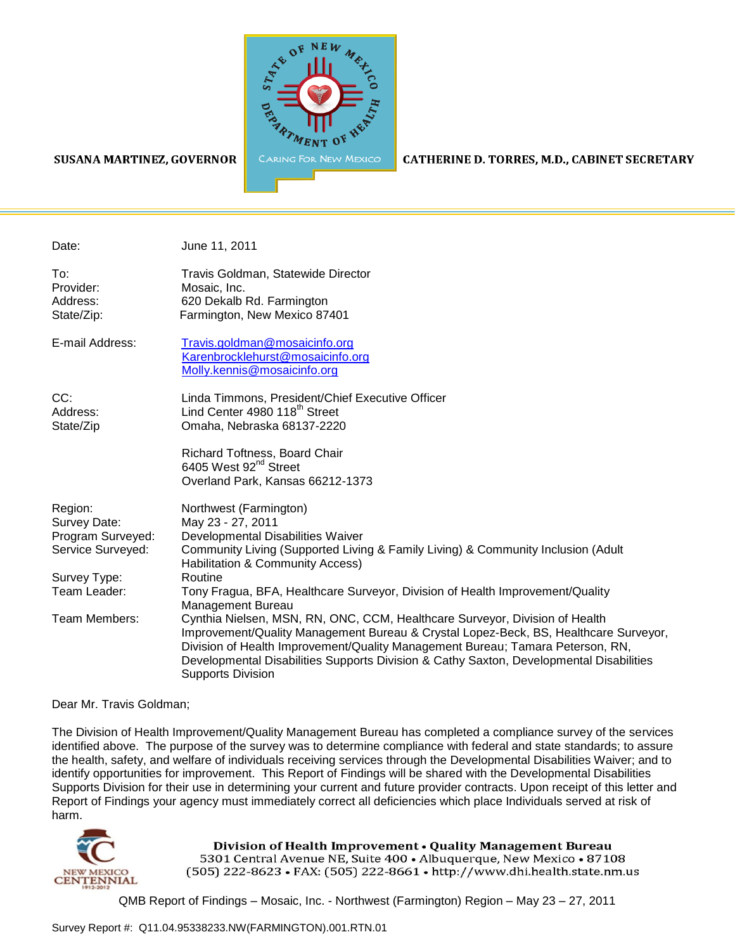

**SUSANA MARTINEZ, GOVERNOR** 

CATHERINE D. TORRES, M.D., CABINET SECRETARY

| Date:                                                             | June 11, 2011                                                                                                                                                                                                                                                                                                                                                                |
|-------------------------------------------------------------------|------------------------------------------------------------------------------------------------------------------------------------------------------------------------------------------------------------------------------------------------------------------------------------------------------------------------------------------------------------------------------|
| To:<br>Provider:<br>Address:<br>State/Zip:                        | Travis Goldman, Statewide Director<br>Mosaic, Inc.<br>620 Dekalb Rd. Farmington<br>Farmington, New Mexico 87401                                                                                                                                                                                                                                                              |
| E-mail Address:                                                   | Travis.goldman@mosaicinfo.org<br>Karenbrocklehurst@mosaicinfo.org<br>Molly.kennis@mosaicinfo.org                                                                                                                                                                                                                                                                             |
| CC:<br>Address:<br>State/Zip                                      | Linda Timmons, President/Chief Executive Officer<br>Lind Center 4980 118 <sup>th</sup> Street<br>Omaha, Nebraska 68137-2220                                                                                                                                                                                                                                                  |
|                                                                   | Richard Toftness, Board Chair<br>6405 West 92 <sup>nd</sup> Street<br>Overland Park, Kansas 66212-1373                                                                                                                                                                                                                                                                       |
| Region:<br>Survey Date:<br>Program Surveyed:<br>Service Surveyed: | Northwest (Farmington)<br>May 23 - 27, 2011<br>Developmental Disabilities Waiver<br>Community Living (Supported Living & Family Living) & Community Inclusion (Adult<br>Habilitation & Community Access)                                                                                                                                                                     |
| Survey Type:<br>Team Leader:                                      | Routine<br>Tony Fragua, BFA, Healthcare Surveyor, Division of Health Improvement/Quality<br>Management Bureau                                                                                                                                                                                                                                                                |
| Team Members:                                                     | Cynthia Nielsen, MSN, RN, ONC, CCM, Healthcare Surveyor, Division of Health<br>Improvement/Quality Management Bureau & Crystal Lopez-Beck, BS, Healthcare Surveyor,<br>Division of Health Improvement/Quality Management Bureau; Tamara Peterson, RN,<br>Developmental Disabilities Supports Division & Cathy Saxton, Developmental Disabilities<br><b>Supports Division</b> |

#### Dear Mr. Travis Goldman;

The Division of Health Improvement/Quality Management Bureau has completed a compliance survey of the services identified above. The purpose of the survey was to determine compliance with federal and state standards; to assure the health, safety, and welfare of individuals receiving services through the Developmental Disabilities Waiver; and to identify opportunities for improvement. This Report of Findings will be shared with the Developmental Disabilities Supports Division for their use in determining your current and future provider contracts. Upon receipt of this letter and Report of Findings your agency must immediately correct all deficiencies which place Individuals served at risk of harm.



Division of Health Improvement . Quality Management Bureau 5301 Central Avenue NE, Suite 400 · Albuquerque, New Mexico · 87108 (505) 222-8623 • FAX: (505) 222-8661 • http://www.dhi.health.state.nm.us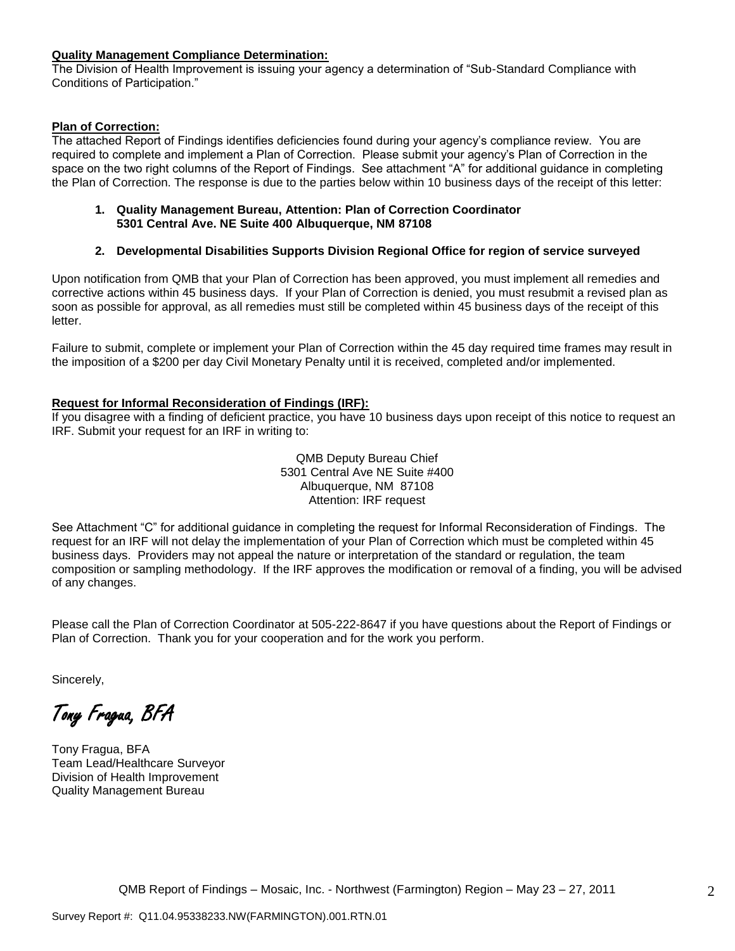#### **Quality Management Compliance Determination:**

The Division of Health Improvement is issuing your agency a determination of "Sub-Standard Compliance with Conditions of Participation."

#### **Plan of Correction:**

The attached Report of Findings identifies deficiencies found during your agency"s compliance review. You are required to complete and implement a Plan of Correction. Please submit your agency"s Plan of Correction in the space on the two right columns of the Report of Findings. See attachment "A" for additional guidance in completing the Plan of Correction. The response is due to the parties below within 10 business days of the receipt of this letter:

#### **1. Quality Management Bureau, Attention: Plan of Correction Coordinator 5301 Central Ave. NE Suite 400 Albuquerque, NM 87108**

#### **2. Developmental Disabilities Supports Division Regional Office for region of service surveyed**

Upon notification from QMB that your Plan of Correction has been approved, you must implement all remedies and corrective actions within 45 business days. If your Plan of Correction is denied, you must resubmit a revised plan as soon as possible for approval, as all remedies must still be completed within 45 business days of the receipt of this letter.

Failure to submit, complete or implement your Plan of Correction within the 45 day required time frames may result in the imposition of a \$200 per day Civil Monetary Penalty until it is received, completed and/or implemented.

#### **Request for Informal Reconsideration of Findings (IRF):**

If you disagree with a finding of deficient practice, you have 10 business days upon receipt of this notice to request an IRF. Submit your request for an IRF in writing to:

> QMB Deputy Bureau Chief 5301 Central Ave NE Suite #400 Albuquerque, NM 87108 Attention: IRF request

See Attachment "C" for additional guidance in completing the request for Informal Reconsideration of Findings. The request for an IRF will not delay the implementation of your Plan of Correction which must be completed within 45 business days. Providers may not appeal the nature or interpretation of the standard or regulation, the team composition or sampling methodology. If the IRF approves the modification or removal of a finding, you will be advised of any changes.

Please call the Plan of Correction Coordinator at 505-222-8647 if you have questions about the Report of Findings or Plan of Correction. Thank you for your cooperation and for the work you perform.

Sincerely,

Tony Fragua, BFA

Tony Fragua, BFA Team Lead/Healthcare Surveyor Division of Health Improvement Quality Management Bureau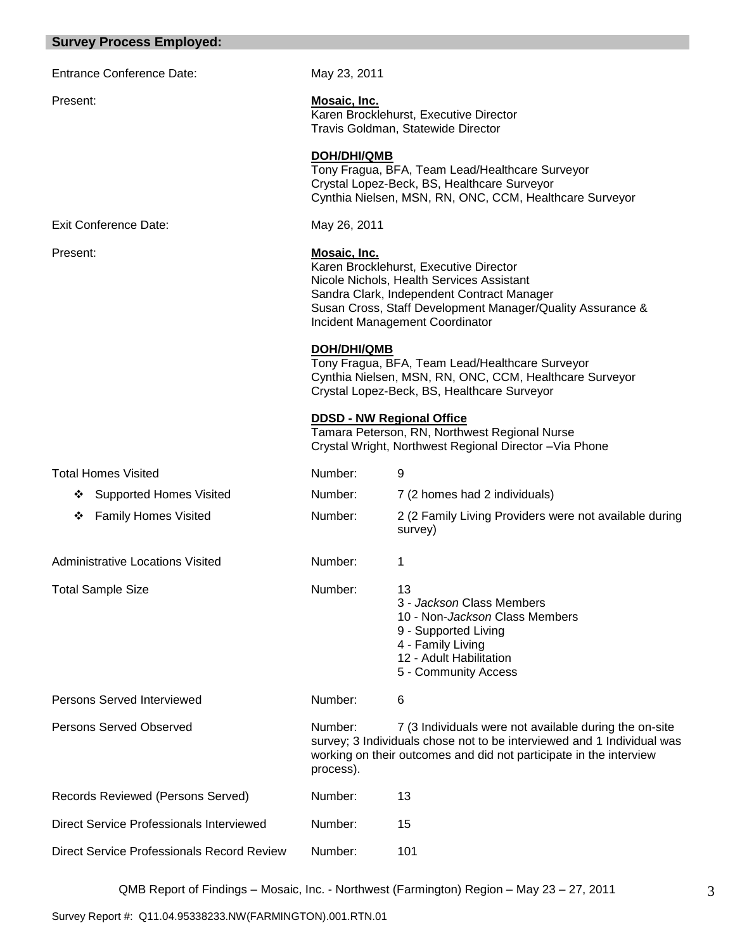#### **Survey Process Employed:**

|  | <b>Entrance Conference Date</b> |  |
|--|---------------------------------|--|
|--|---------------------------------|--|

Exit Conference Date: May 26, 2011

Entrance Conference Date: May 23, 2011

Present: **Mosaic, Inc.** Karen Brocklehurst, Executive Director Travis Goldman, Statewide Director

**DOH/DHI/QMB**

Tony Fragua, BFA, Team Lead/Healthcare Surveyor Crystal Lopez-Beck, BS, Healthcare Surveyor Cynthia Nielsen, MSN, RN, ONC, CCM, Healthcare Surveyor

## Present: **Mosaic, Inc.**

Karen Brocklehurst, Executive Director Nicole Nichols, Health Services Assistant Sandra Clark, Independent Contract Manager Susan Cross, Staff Development Manager/Quality Assurance & Incident Management Coordinator

#### **DOH/DHI/QMB**

Tony Fragua, BFA, Team Lead/Healthcare Surveyor Cynthia Nielsen, MSN, RN, ONC, CCM, Healthcare Surveyor Crystal Lopez-Beck, BS, Healthcare Surveyor

#### **DDSD - NW Regional Office**

Tamara Peterson, RN, Northwest Regional Nurse Crystal Wright, Northwest Regional Director –Via Phone

| <b>Total Homes Visited</b>                 | Number:              | 9                                                                                                                                                                                                      |
|--------------------------------------------|----------------------|--------------------------------------------------------------------------------------------------------------------------------------------------------------------------------------------------------|
| <b>Supported Homes Visited</b><br>❖        | Number:              | 7 (2 homes had 2 individuals)                                                                                                                                                                          |
| <b>Family Homes Visited</b><br>❖           | Number:              | 2 (2 Family Living Providers were not available during<br>survey)                                                                                                                                      |
| Administrative Locations Visited           | Number:              | 1                                                                                                                                                                                                      |
| <b>Total Sample Size</b>                   | Number:              | 13<br>3 - Jackson Class Members<br>10 - Non-Jackson Class Members<br>9 - Supported Living<br>4 - Family Living<br>12 - Adult Habilitation<br>5 - Community Access                                      |
| <b>Persons Served Interviewed</b>          | Number:              | 6                                                                                                                                                                                                      |
| Persons Served Observed                    | Number:<br>process). | 7 (3 Individuals were not available during the on-site<br>survey; 3 Individuals chose not to be interviewed and 1 Individual was<br>working on their outcomes and did not participate in the interview |
| Records Reviewed (Persons Served)          | Number:              | 13                                                                                                                                                                                                     |
| Direct Service Professionals Interviewed   | Number:              | 15                                                                                                                                                                                                     |
| Direct Service Professionals Record Review | Number:              | 101                                                                                                                                                                                                    |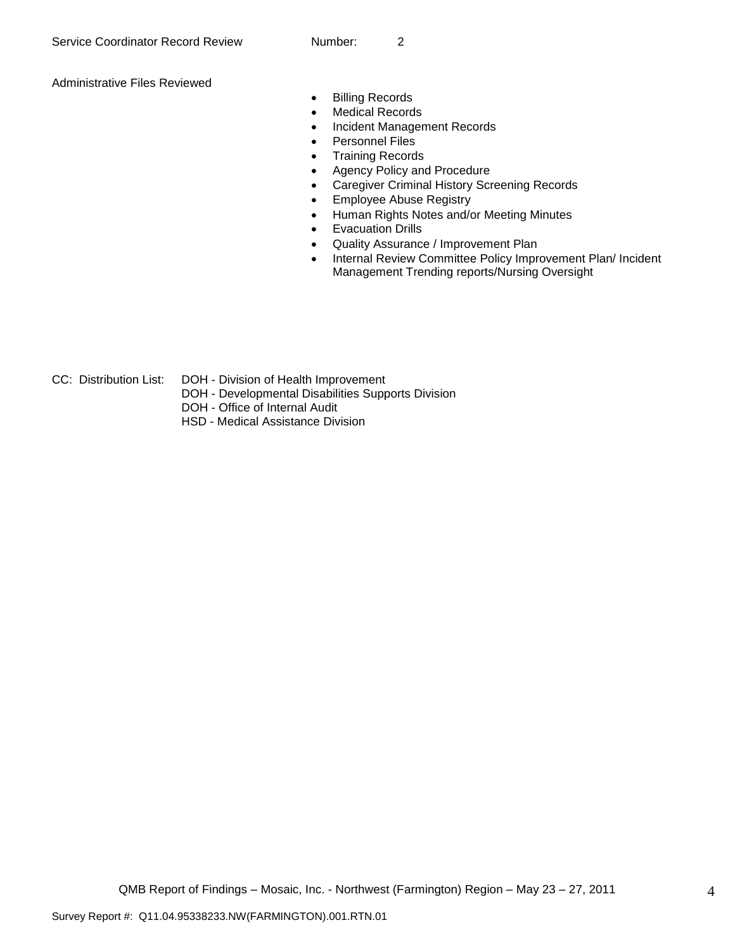Administrative Files Reviewed

- Billing Records
- Medical Records
- Incident Management Records
- Personnel Files
- Training Records
- Agency Policy and Procedure
- Caregiver Criminal History Screening Records
- **•** Employee Abuse Registry
- Human Rights Notes and/or Meeting Minutes
- **•** Evacuation Drills
- Quality Assurance / Improvement Plan
- Internal Review Committee Policy Improvement Plan/ Incident Management Trending reports/Nursing Oversight

- 
- CC: Distribution List: DOH Division of Health Improvement
	- DOH Developmental Disabilities Supports Division
	- DOH Office of Internal Audit
	- HSD Medical Assistance Division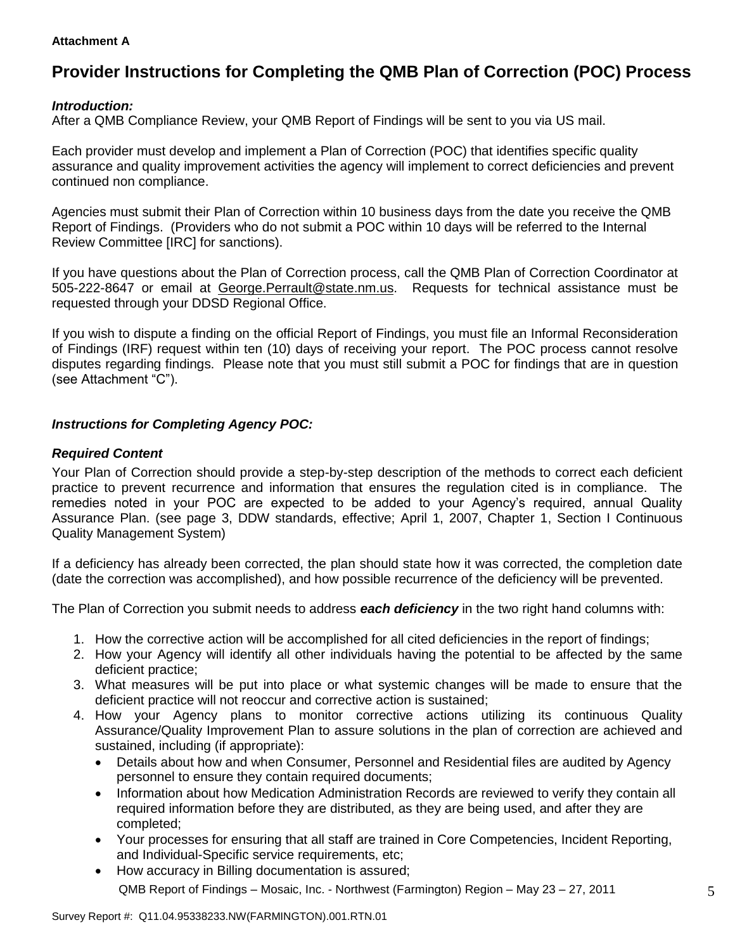#### **Attachment A**

# **Provider Instructions for Completing the QMB Plan of Correction (POC) Process**

#### *Introduction:*

After a QMB Compliance Review, your QMB Report of Findings will be sent to you via US mail.

Each provider must develop and implement a Plan of Correction (POC) that identifies specific quality assurance and quality improvement activities the agency will implement to correct deficiencies and prevent continued non compliance.

Agencies must submit their Plan of Correction within 10 business days from the date you receive the QMB Report of Findings. (Providers who do not submit a POC within 10 days will be referred to the Internal Review Committee [IRC] for sanctions).

If you have questions about the Plan of Correction process, call the QMB Plan of Correction Coordinator at 505-222-8647 or email at George.Perrault@state.nm.us. Requests for technical assistance must be requested through your DDSD Regional Office.

If you wish to dispute a finding on the official Report of Findings, you must file an Informal Reconsideration of Findings (IRF) request within ten (10) days of receiving your report. The POC process cannot resolve disputes regarding findings. Please note that you must still submit a POC for findings that are in question (see Attachment "C").

#### *Instructions for Completing Agency POC:*

#### *Required Content*

Your Plan of Correction should provide a step-by-step description of the methods to correct each deficient practice to prevent recurrence and information that ensures the regulation cited is in compliance. The remedies noted in your POC are expected to be added to your Agency"s required, annual Quality Assurance Plan. (see page 3, DDW standards, effective; April 1, 2007, Chapter 1, Section I Continuous Quality Management System)

If a deficiency has already been corrected, the plan should state how it was corrected, the completion date (date the correction was accomplished), and how possible recurrence of the deficiency will be prevented.

The Plan of Correction you submit needs to address *each deficiency* in the two right hand columns with:

- 1. How the corrective action will be accomplished for all cited deficiencies in the report of findings;
- 2. How your Agency will identify all other individuals having the potential to be affected by the same deficient practice;
- 3. What measures will be put into place or what systemic changes will be made to ensure that the deficient practice will not reoccur and corrective action is sustained;
- 4. How your Agency plans to monitor corrective actions utilizing its continuous Quality Assurance/Quality Improvement Plan to assure solutions in the plan of correction are achieved and sustained, including (if appropriate):
	- Details about how and when Consumer, Personnel and Residential files are audited by Agency personnel to ensure they contain required documents;
	- Information about how Medication Administration Records are reviewed to verify they contain all required information before they are distributed, as they are being used, and after they are completed;
	- Your processes for ensuring that all staff are trained in Core Competencies, Incident Reporting, and Individual-Specific service requirements, etc;
	- QMB Report of Findings Mosaic, Inc. Northwest (Farmington) Region May 23 27, 2011 • How accuracy in Billing documentation is assured;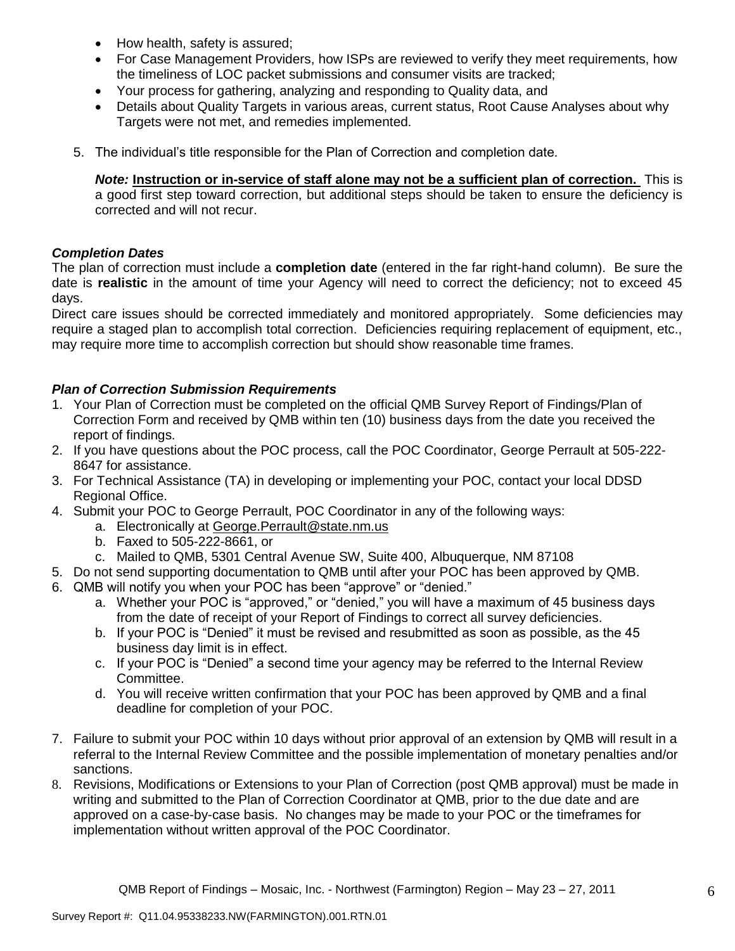- How health, safety is assured;
- For Case Management Providers, how ISPs are reviewed to verify they meet requirements, how the timeliness of LOC packet submissions and consumer visits are tracked;
- Your process for gathering, analyzing and responding to Quality data, and
- Details about Quality Targets in various areas, current status, Root Cause Analyses about why Targets were not met, and remedies implemented.
- 5. The individual"s title responsible for the Plan of Correction and completion date.

*Note:* **Instruction or in-service of staff alone may not be a sufficient plan of correction.** This is a good first step toward correction, but additional steps should be taken to ensure the deficiency is corrected and will not recur.

#### *Completion Dates*

The plan of correction must include a **completion date** (entered in the far right-hand column). Be sure the date is **realistic** in the amount of time your Agency will need to correct the deficiency; not to exceed 45 days.

Direct care issues should be corrected immediately and monitored appropriately. Some deficiencies may require a staged plan to accomplish total correction. Deficiencies requiring replacement of equipment, etc., may require more time to accomplish correction but should show reasonable time frames.

#### *Plan of Correction Submission Requirements*

- 1. Your Plan of Correction must be completed on the official QMB Survey Report of Findings/Plan of Correction Form and received by QMB within ten (10) business days from the date you received the report of findings.
- 2. If you have questions about the POC process, call the POC Coordinator, George Perrault at 505-222- 8647 for assistance.
- 3. For Technical Assistance (TA) in developing or implementing your POC, contact your local DDSD Regional Office.
- 4. Submit your POC to George Perrault, POC Coordinator in any of the following ways:
	- a. Electronically at [George.Perrault@state.nm.us](mailto:George.Perrault@state.nm.us)
	- b. Faxed to 505-222-8661, or
	- c. Mailed to QMB, 5301 Central Avenue SW, Suite 400, Albuquerque, NM 87108
- 5. Do not send supporting documentation to QMB until after your POC has been approved by QMB.
- 6. QMB will notify you when your POC has been "approve" or "denied."
	- a. Whether your POC is "approved," or "denied," you will have a maximum of 45 business days from the date of receipt of your Report of Findings to correct all survey deficiencies.
	- b. If your POC is "Denied" it must be revised and resubmitted as soon as possible, as the 45 business day limit is in effect.
	- c. If your POC is "Denied" a second time your agency may be referred to the Internal Review Committee.
	- d. You will receive written confirmation that your POC has been approved by QMB and a final deadline for completion of your POC.
- 7. Failure to submit your POC within 10 days without prior approval of an extension by QMB will result in a referral to the Internal Review Committee and the possible implementation of monetary penalties and/or sanctions.
- 8. Revisions, Modifications or Extensions to your Plan of Correction (post QMB approval) must be made in writing and submitted to the Plan of Correction Coordinator at QMB, prior to the due date and are approved on a case-by-case basis. No changes may be made to your POC or the timeframes for implementation without written approval of the POC Coordinator.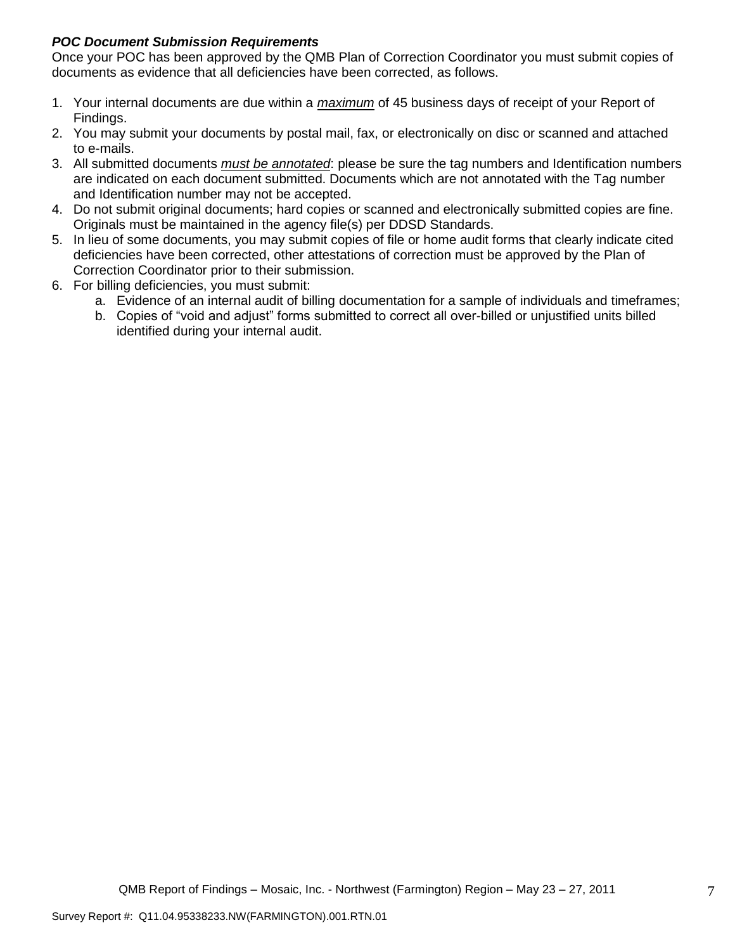### *POC Document Submission Requirements*

Once your POC has been approved by the QMB Plan of Correction Coordinator you must submit copies of documents as evidence that all deficiencies have been corrected, as follows.

- 1. Your internal documents are due within a *maximum* of 45 business days of receipt of your Report of Findings.
- 2. You may submit your documents by postal mail, fax, or electronically on disc or scanned and attached to e-mails.
- 3. All submitted documents *must be annotated*: please be sure the tag numbers and Identification numbers are indicated on each document submitted. Documents which are not annotated with the Tag number and Identification number may not be accepted.
- 4. Do not submit original documents; hard copies or scanned and electronically submitted copies are fine. Originals must be maintained in the agency file(s) per DDSD Standards.
- 5. In lieu of some documents, you may submit copies of file or home audit forms that clearly indicate cited deficiencies have been corrected, other attestations of correction must be approved by the Plan of Correction Coordinator prior to their submission.
- 6. For billing deficiencies, you must submit:
	- a. Evidence of an internal audit of billing documentation for a sample of individuals and timeframes;
	- b. Copies of "void and adjust" forms submitted to correct all over-billed or unjustified units billed identified during your internal audit.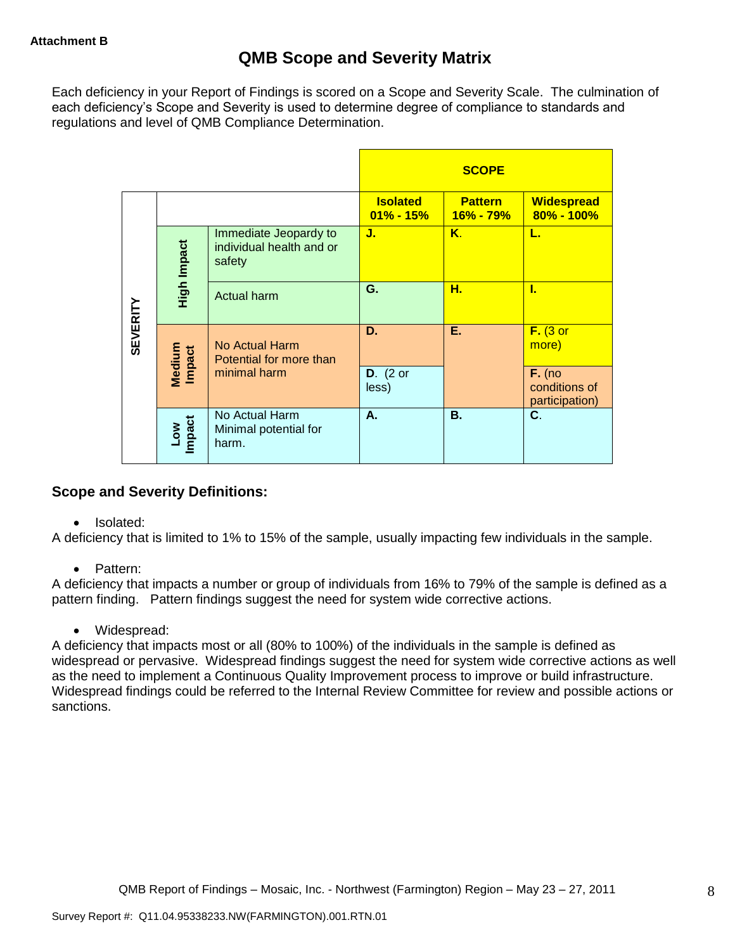Each deficiency in your Report of Findings is scored on a Scope and Severity Scale. The culmination of each deficiency"s Scope and Severity is used to determine degree of compliance to standards and regulations and level of QMB Compliance Determination.

|                 |                      |                                                             |                                  | <b>SCOPE</b>                |                                             |
|-----------------|----------------------|-------------------------------------------------------------|----------------------------------|-----------------------------|---------------------------------------------|
|                 |                      |                                                             | <b>Isolated</b><br>$01\% - 15\%$ | <b>Pattern</b><br>16% - 79% | <b>Widespread</b><br>$80\% - 100\%$         |
|                 | High Impact          | Immediate Jeopardy to<br>individual health and or<br>safety | J.                               | Κ.                          | L.                                          |
|                 |                      | <b>Actual harm</b>                                          | G.                               | н.                          | L                                           |
| <b>SEVERITY</b> | Medium<br>Impact     | No Actual Harm<br>Potential for more than                   | D.                               | Е.                          | $F.$ (3 or<br>more)                         |
|                 |                      | minimal harm                                                | $D.$ (2 or<br>less)              |                             | $F.$ (no<br>conditions of<br>participation) |
|                 | <b>Impact</b><br>Low | No Actual Harm<br>Minimal potential for<br>harm.            | А.                               | <b>B.</b>                   | C.                                          |

## **Scope and Severity Definitions:**

• Isolated:

A deficiency that is limited to 1% to 15% of the sample, usually impacting few individuals in the sample.

• Pattern:

A deficiency that impacts a number or group of individuals from 16% to 79% of the sample is defined as a pattern finding. Pattern findings suggest the need for system wide corrective actions.

• Widespread:

A deficiency that impacts most or all (80% to 100%) of the individuals in the sample is defined as widespread or pervasive. Widespread findings suggest the need for system wide corrective actions as well as the need to implement a Continuous Quality Improvement process to improve or build infrastructure. Widespread findings could be referred to the Internal Review Committee for review and possible actions or sanctions.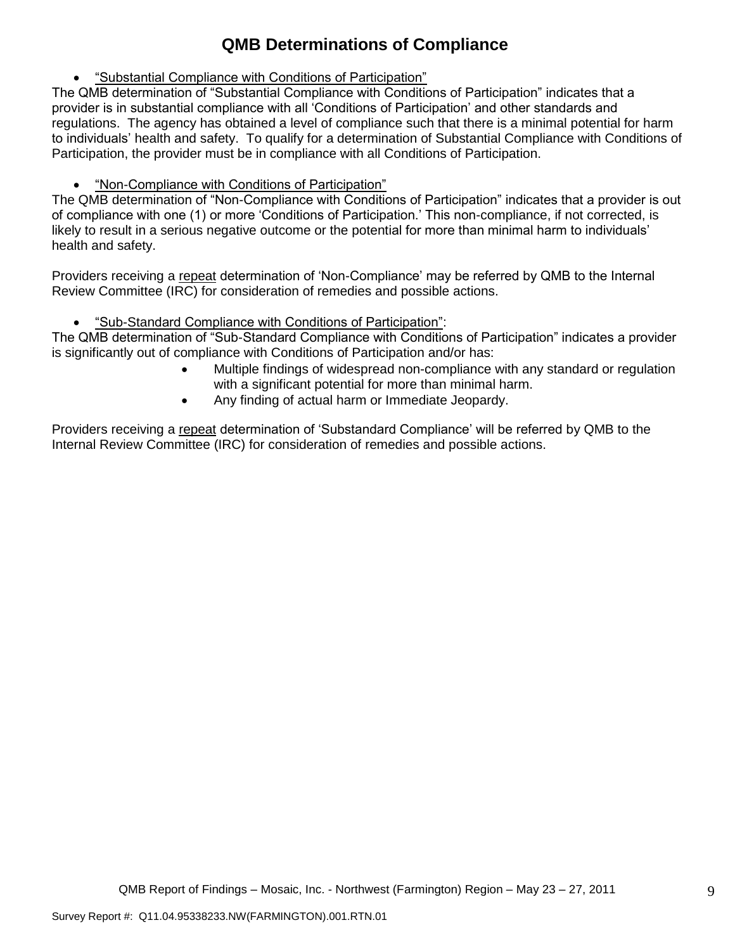# **QMB Determinations of Compliance**

"Substantial Compliance with Conditions of Participation"

The QMB determination of "Substantial Compliance with Conditions of Participation" indicates that a provider is in substantial compliance with all "Conditions of Participation" and other standards and regulations. The agency has obtained a level of compliance such that there is a minimal potential for harm to individuals" health and safety. To qualify for a determination of Substantial Compliance with Conditions of Participation, the provider must be in compliance with all Conditions of Participation.

"Non-Compliance with Conditions of Participation"

The QMB determination of "Non-Compliance with Conditions of Participation" indicates that a provider is out of compliance with one (1) or more "Conditions of Participation." This non-compliance, if not corrected, is likely to result in a serious negative outcome or the potential for more than minimal harm to individuals' health and safety.

Providers receiving a repeat determination of 'Non-Compliance' may be referred by QMB to the Internal Review Committee (IRC) for consideration of remedies and possible actions.

"Sub-Standard Compliance with Conditions of Participation":

The QMB determination of "Sub-Standard Compliance with Conditions of Participation" indicates a provider is significantly out of compliance with Conditions of Participation and/or has:

- Multiple findings of widespread non-compliance with any standard or regulation with a significant potential for more than minimal harm.
- Any finding of actual harm or Immediate Jeopardy.

Providers receiving a repeat determination of 'Substandard Compliance' will be referred by QMB to the Internal Review Committee (IRC) for consideration of remedies and possible actions.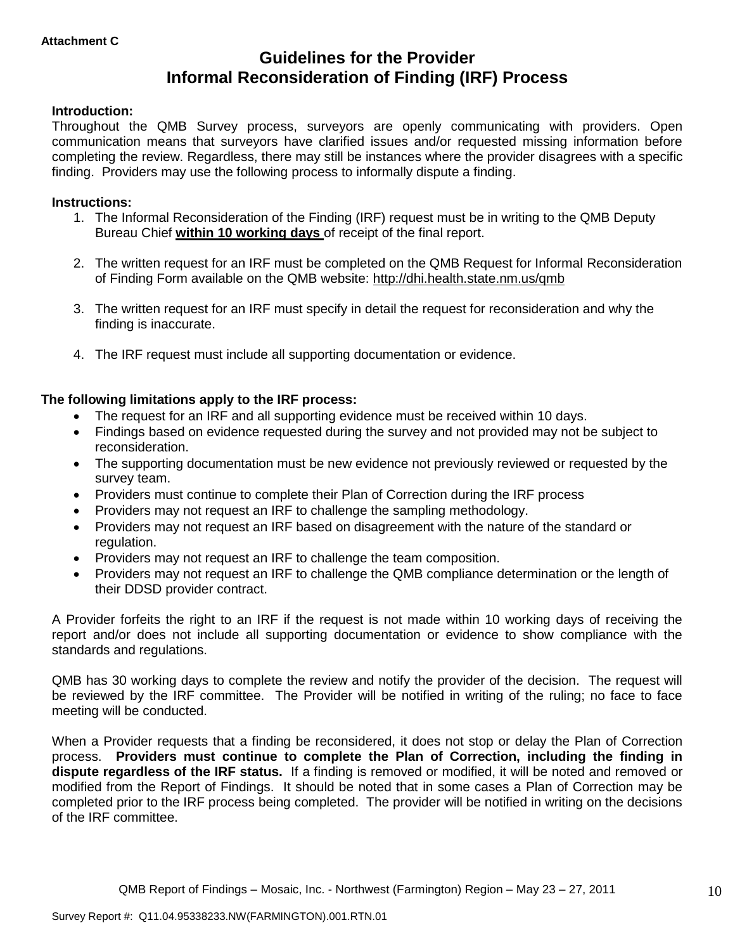# **Guidelines for the Provider Informal Reconsideration of Finding (IRF) Process**

#### **Introduction:**

Throughout the QMB Survey process, surveyors are openly communicating with providers. Open communication means that surveyors have clarified issues and/or requested missing information before completing the review. Regardless, there may still be instances where the provider disagrees with a specific finding. Providers may use the following process to informally dispute a finding.

#### **Instructions:**

- 1. The Informal Reconsideration of the Finding (IRF) request must be in writing to the QMB Deputy Bureau Chief **within 10 working days** of receipt of the final report.
- 2. The written request for an IRF must be completed on the QMB Request for Informal Reconsideration of Finding Form available on the QMB website:<http://dhi.health.state.nm.us/qmb>
- 3. The written request for an IRF must specify in detail the request for reconsideration and why the finding is inaccurate.
- 4. The IRF request must include all supporting documentation or evidence.

#### **The following limitations apply to the IRF process:**

- The request for an IRF and all supporting evidence must be received within 10 days.
- Findings based on evidence requested during the survey and not provided may not be subject to reconsideration.
- The supporting documentation must be new evidence not previously reviewed or requested by the survey team.
- Providers must continue to complete their Plan of Correction during the IRF process
- Providers may not request an IRF to challenge the sampling methodology.
- Providers may not request an IRF based on disagreement with the nature of the standard or regulation.
- Providers may not request an IRF to challenge the team composition.
- Providers may not request an IRF to challenge the QMB compliance determination or the length of their DDSD provider contract.

A Provider forfeits the right to an IRF if the request is not made within 10 working days of receiving the report and/or does not include all supporting documentation or evidence to show compliance with the standards and regulations.

QMB has 30 working days to complete the review and notify the provider of the decision. The request will be reviewed by the IRF committee. The Provider will be notified in writing of the ruling; no face to face meeting will be conducted.

When a Provider requests that a finding be reconsidered, it does not stop or delay the Plan of Correction process. **Providers must continue to complete the Plan of Correction, including the finding in dispute regardless of the IRF status.** If a finding is removed or modified, it will be noted and removed or modified from the Report of Findings. It should be noted that in some cases a Plan of Correction may be completed prior to the IRF process being completed. The provider will be notified in writing on the decisions of the IRF committee.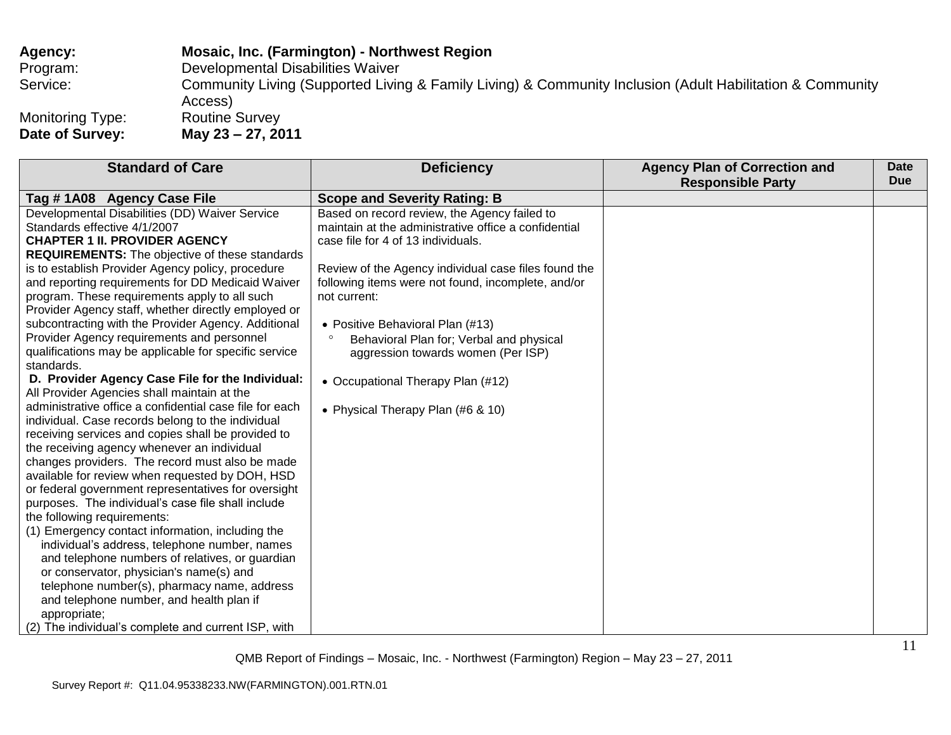## **Agency: Mosaic, Inc. (Farmington) - Northwest Region** Program: Developmental Disabilities Waiver Service: Community Living (Supported Living & Family Living) & Community Inclusion (Adult Habilitation & Community Access)<br>Routine Survey Monitoring Type:<br>Date of Survey: **Date of Survey: May 23 – 27, 2011**

| <b>Standard of Care</b>                                                                                                                                                                                                                                                                                                                                                                                                                                                                                                                                                                                                                                                                                                                                                                                                                                                                                                                                                                                                                                                                                                                                                                                                                                                                                                                                                                                                                                               | <b>Deficiency</b>                                                                                                                                                                                                                                                                                                                                                                                                                                                        | <b>Agency Plan of Correction and</b><br><b>Responsible Party</b> | <b>Date</b><br><b>Due</b> |
|-----------------------------------------------------------------------------------------------------------------------------------------------------------------------------------------------------------------------------------------------------------------------------------------------------------------------------------------------------------------------------------------------------------------------------------------------------------------------------------------------------------------------------------------------------------------------------------------------------------------------------------------------------------------------------------------------------------------------------------------------------------------------------------------------------------------------------------------------------------------------------------------------------------------------------------------------------------------------------------------------------------------------------------------------------------------------------------------------------------------------------------------------------------------------------------------------------------------------------------------------------------------------------------------------------------------------------------------------------------------------------------------------------------------------------------------------------------------------|--------------------------------------------------------------------------------------------------------------------------------------------------------------------------------------------------------------------------------------------------------------------------------------------------------------------------------------------------------------------------------------------------------------------------------------------------------------------------|------------------------------------------------------------------|---------------------------|
| Tag # 1A08 Agency Case File                                                                                                                                                                                                                                                                                                                                                                                                                                                                                                                                                                                                                                                                                                                                                                                                                                                                                                                                                                                                                                                                                                                                                                                                                                                                                                                                                                                                                                           | <b>Scope and Severity Rating: B</b>                                                                                                                                                                                                                                                                                                                                                                                                                                      |                                                                  |                           |
| Developmental Disabilities (DD) Waiver Service<br>Standards effective 4/1/2007<br><b>CHAPTER 1 II. PROVIDER AGENCY</b><br><b>REQUIREMENTS:</b> The objective of these standards<br>is to establish Provider Agency policy, procedure<br>and reporting requirements for DD Medicaid Waiver<br>program. These requirements apply to all such<br>Provider Agency staff, whether directly employed or<br>subcontracting with the Provider Agency. Additional<br>Provider Agency requirements and personnel<br>qualifications may be applicable for specific service<br>standards.<br>D. Provider Agency Case File for the Individual:<br>All Provider Agencies shall maintain at the<br>administrative office a confidential case file for each<br>individual. Case records belong to the individual<br>receiving services and copies shall be provided to<br>the receiving agency whenever an individual<br>changes providers. The record must also be made<br>available for review when requested by DOH, HSD<br>or federal government representatives for oversight<br>purposes. The individual's case file shall include<br>the following requirements:<br>(1) Emergency contact information, including the<br>individual's address, telephone number, names<br>and telephone numbers of relatives, or guardian<br>or conservator, physician's name(s) and<br>telephone number(s), pharmacy name, address<br>and telephone number, and health plan if<br>appropriate; | Based on record review, the Agency failed to<br>maintain at the administrative office a confidential<br>case file for 4 of 13 individuals.<br>Review of the Agency individual case files found the<br>following items were not found, incomplete, and/or<br>not current:<br>• Positive Behavioral Plan (#13)<br>Behavioral Plan for; Verbal and physical<br>aggression towards women (Per ISP)<br>• Occupational Therapy Plan (#12)<br>• Physical Therapy Plan (#6 & 10) |                                                                  |                           |
| (2) The individual's complete and current ISP, with                                                                                                                                                                                                                                                                                                                                                                                                                                                                                                                                                                                                                                                                                                                                                                                                                                                                                                                                                                                                                                                                                                                                                                                                                                                                                                                                                                                                                   |                                                                                                                                                                                                                                                                                                                                                                                                                                                                          |                                                                  |                           |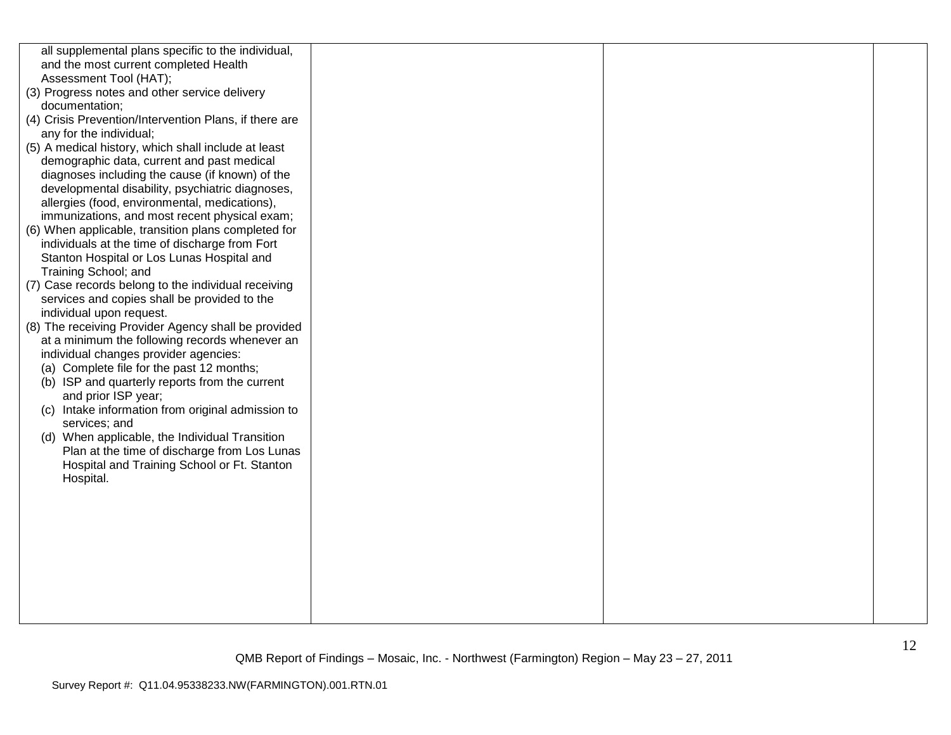| all supplemental plans specific to the individual,                          |  |  |
|-----------------------------------------------------------------------------|--|--|
| and the most current completed Health                                       |  |  |
| Assessment Tool (HAT);<br>(3) Progress notes and other service delivery     |  |  |
| documentation;                                                              |  |  |
| (4) Crisis Prevention/Intervention Plans, if there are                      |  |  |
| any for the individual;                                                     |  |  |
| (5) A medical history, which shall include at least                         |  |  |
| demographic data, current and past medical                                  |  |  |
| diagnoses including the cause (if known) of the                             |  |  |
| developmental disability, psychiatric diagnoses,                            |  |  |
| allergies (food, environmental, medications),                               |  |  |
| immunizations, and most recent physical exam;                               |  |  |
| (6) When applicable, transition plans completed for                         |  |  |
| individuals at the time of discharge from Fort                              |  |  |
| Stanton Hospital or Los Lunas Hospital and                                  |  |  |
| Training School; and<br>(7) Case records belong to the individual receiving |  |  |
| services and copies shall be provided to the                                |  |  |
| individual upon request.                                                    |  |  |
| (8) The receiving Provider Agency shall be provided                         |  |  |
| at a minimum the following records whenever an                              |  |  |
| individual changes provider agencies:                                       |  |  |
| (a) Complete file for the past 12 months;                                   |  |  |
| (b) ISP and quarterly reports from the current                              |  |  |
| and prior ISP year;                                                         |  |  |
| (c) Intake information from original admission to                           |  |  |
| services; and                                                               |  |  |
| (d) When applicable, the Individual Transition                              |  |  |
| Plan at the time of discharge from Los Lunas                                |  |  |
| Hospital and Training School or Ft. Stanton                                 |  |  |
| Hospital.                                                                   |  |  |
|                                                                             |  |  |
|                                                                             |  |  |
|                                                                             |  |  |
|                                                                             |  |  |
|                                                                             |  |  |
|                                                                             |  |  |
|                                                                             |  |  |
|                                                                             |  |  |
|                                                                             |  |  |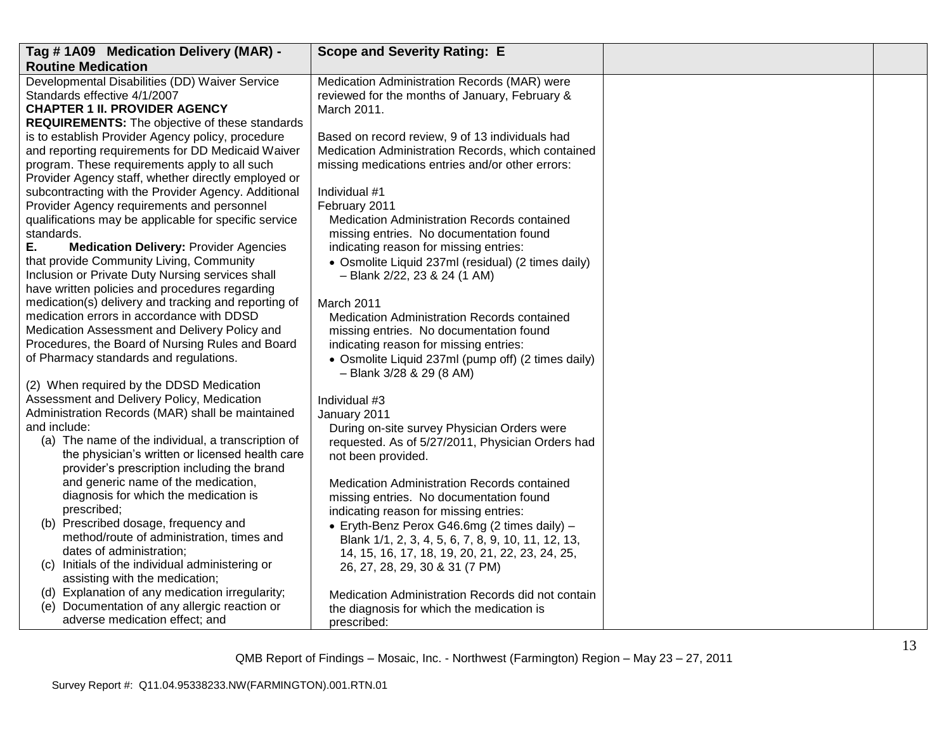| Tag #1A09 Medication Delivery (MAR) -                                                                  | <b>Scope and Severity Rating: E</b>                                               |  |
|--------------------------------------------------------------------------------------------------------|-----------------------------------------------------------------------------------|--|
| <b>Routine Medication</b>                                                                              |                                                                                   |  |
| Developmental Disabilities (DD) Waiver Service                                                         | Medication Administration Records (MAR) were                                      |  |
| Standards effective 4/1/2007                                                                           | reviewed for the months of January, February &                                    |  |
| <b>CHAPTER 1 II. PROVIDER AGENCY</b>                                                                   | March 2011.                                                                       |  |
| REQUIREMENTS: The objective of these standards                                                         |                                                                                   |  |
| is to establish Provider Agency policy, procedure                                                      | Based on record review, 9 of 13 individuals had                                   |  |
| and reporting requirements for DD Medicaid Waiver                                                      | Medication Administration Records, which contained                                |  |
| program. These requirements apply to all such                                                          | missing medications entries and/or other errors:                                  |  |
| Provider Agency staff, whether directly employed or                                                    |                                                                                   |  |
| subcontracting with the Provider Agency. Additional                                                    | Individual #1                                                                     |  |
| Provider Agency requirements and personnel                                                             | February 2011                                                                     |  |
| qualifications may be applicable for specific service                                                  | Medication Administration Records contained                                       |  |
| standards.                                                                                             | missing entries. No documentation found                                           |  |
| Ε.<br><b>Medication Delivery: Provider Agencies</b>                                                    | indicating reason for missing entries:                                            |  |
| that provide Community Living, Community                                                               | • Osmolite Liquid 237ml (residual) (2 times daily)                                |  |
| Inclusion or Private Duty Nursing services shall                                                       | - Blank 2/22, 23 & 24 (1 AM)                                                      |  |
| have written policies and procedures regarding<br>medication(s) delivery and tracking and reporting of |                                                                                   |  |
| medication errors in accordance with DDSD                                                              | March 2011                                                                        |  |
| Medication Assessment and Delivery Policy and                                                          | Medication Administration Records contained                                       |  |
| Procedures, the Board of Nursing Rules and Board                                                       | missing entries. No documentation found<br>indicating reason for missing entries: |  |
| of Pharmacy standards and regulations.                                                                 | • Osmolite Liquid 237ml (pump off) (2 times daily)                                |  |
|                                                                                                        | $-$ Blank 3/28 & 29 (8 AM)                                                        |  |
| (2) When required by the DDSD Medication                                                               |                                                                                   |  |
| Assessment and Delivery Policy, Medication                                                             | Individual #3                                                                     |  |
| Administration Records (MAR) shall be maintained                                                       | January 2011                                                                      |  |
| and include:                                                                                           | During on-site survey Physician Orders were                                       |  |
| (a) The name of the individual, a transcription of                                                     | requested. As of 5/27/2011, Physician Orders had                                  |  |
| the physician's written or licensed health care                                                        | not been provided.                                                                |  |
| provider's prescription including the brand                                                            |                                                                                   |  |
| and generic name of the medication,                                                                    | Medication Administration Records contained                                       |  |
| diagnosis for which the medication is                                                                  | missing entries. No documentation found                                           |  |
| prescribed;                                                                                            | indicating reason for missing entries:                                            |  |
| (b) Prescribed dosage, frequency and                                                                   | • Eryth-Benz Perox G46.6mg (2 times daily) -                                      |  |
| method/route of administration, times and                                                              | Blank 1/1, 2, 3, 4, 5, 6, 7, 8, 9, 10, 11, 12, 13,                                |  |
| dates of administration;                                                                               | 14, 15, 16, 17, 18, 19, 20, 21, 22, 23, 24, 25,                                   |  |
| (c) Initials of the individual administering or                                                        | 26, 27, 28, 29, 30 & 31 (7 PM)                                                    |  |
| assisting with the medication;                                                                         |                                                                                   |  |
| (d) Explanation of any medication irregularity;                                                        | Medication Administration Records did not contain                                 |  |
| (e) Documentation of any allergic reaction or                                                          | the diagnosis for which the medication is                                         |  |
| adverse medication effect; and                                                                         | prescribed:                                                                       |  |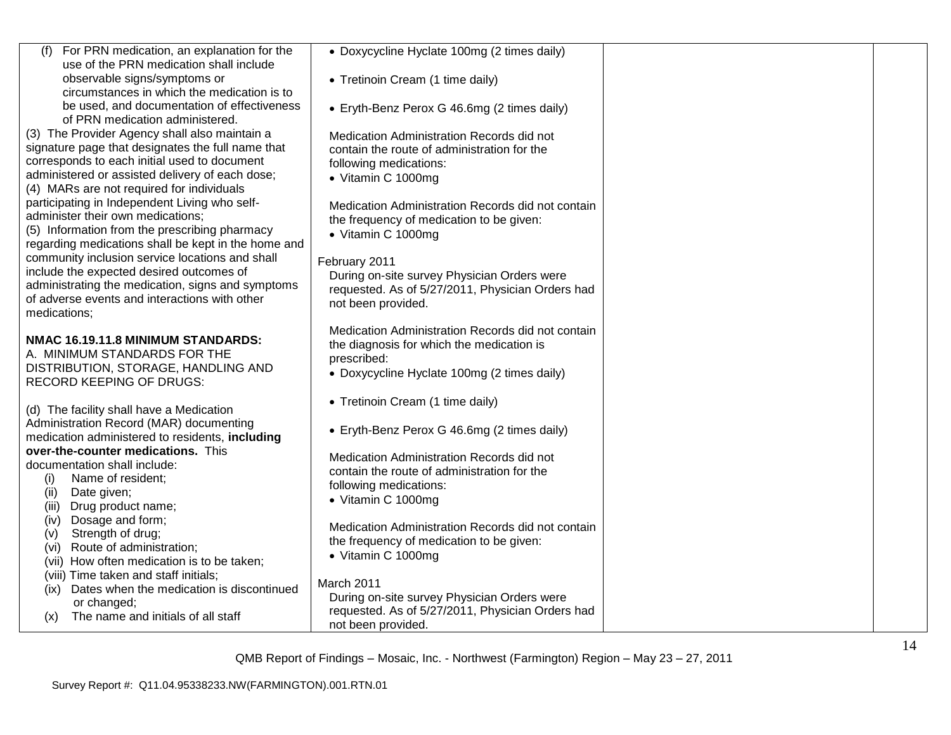| For PRN medication, an explanation for the<br>(f)<br>use of the PRN medication shall include       | • Doxycycline Hyclate 100mg (2 times daily)                                                     |  |
|----------------------------------------------------------------------------------------------------|-------------------------------------------------------------------------------------------------|--|
| observable signs/symptoms or                                                                       | • Tretinoin Cream (1 time daily)                                                                |  |
| circumstances in which the medication is to                                                        |                                                                                                 |  |
| be used, and documentation of effectiveness                                                        | • Eryth-Benz Perox G 46.6mg (2 times daily)                                                     |  |
| of PRN medication administered.                                                                    |                                                                                                 |  |
| (3) The Provider Agency shall also maintain a<br>signature page that designates the full name that | Medication Administration Records did not                                                       |  |
| corresponds to each initial used to document                                                       | contain the route of administration for the<br>following medications:                           |  |
| administered or assisted delivery of each dose;                                                    | • Vitamin C 1000mg                                                                              |  |
| (4) MARs are not required for individuals                                                          |                                                                                                 |  |
| participating in Independent Living who self-                                                      | Medication Administration Records did not contain                                               |  |
| administer their own medications;<br>(5) Information from the prescribing pharmacy                 | the frequency of medication to be given:                                                        |  |
| regarding medications shall be kept in the home and                                                | • Vitamin C 1000mg                                                                              |  |
| community inclusion service locations and shall                                                    | February 2011                                                                                   |  |
| include the expected desired outcomes of                                                           | During on-site survey Physician Orders were                                                     |  |
| administrating the medication, signs and symptoms<br>of adverse events and interactions with other | requested. As of 5/27/2011, Physician Orders had                                                |  |
| medications;                                                                                       | not been provided.                                                                              |  |
|                                                                                                    | Medication Administration Records did not contain                                               |  |
| NMAC 16.19.11.8 MINIMUM STANDARDS:                                                                 | the diagnosis for which the medication is                                                       |  |
| A. MINIMUM STANDARDS FOR THE<br>DISTRIBUTION, STORAGE, HANDLING AND                                | prescribed:                                                                                     |  |
| <b>RECORD KEEPING OF DRUGS:</b>                                                                    | • Doxycycline Hyclate 100mg (2 times daily)                                                     |  |
|                                                                                                    | • Tretinoin Cream (1 time daily)                                                                |  |
| (d) The facility shall have a Medication<br>Administration Record (MAR) documenting                |                                                                                                 |  |
| medication administered to residents, including                                                    | • Eryth-Benz Perox G 46.6mg (2 times daily)                                                     |  |
| over-the-counter medications. This                                                                 | Medication Administration Records did not                                                       |  |
| documentation shall include:                                                                       | contain the route of administration for the                                                     |  |
| Name of resident;<br>(i)<br>(ii)<br>Date given;                                                    | following medications:                                                                          |  |
| Drug product name;<br>(iii)                                                                        | • Vitamin C 1000mg                                                                              |  |
| Dosage and form;<br>(iv)                                                                           | Medication Administration Records did not contain                                               |  |
| Strength of drug;<br>(v)                                                                           | the frequency of medication to be given:                                                        |  |
| (vi) Route of administration;<br>(vii) How often medication is to be taken;                        | • Vitamin C 1000mg                                                                              |  |
| (viii) Time taken and staff initials;                                                              |                                                                                                 |  |
| Dates when the medication is discontinued<br>(ix)                                                  | March 2011                                                                                      |  |
| or changed;                                                                                        | During on-site survey Physician Orders were<br>requested. As of 5/27/2011, Physician Orders had |  |
| The name and initials of all staff<br>(X)                                                          | not been provided.                                                                              |  |
|                                                                                                    |                                                                                                 |  |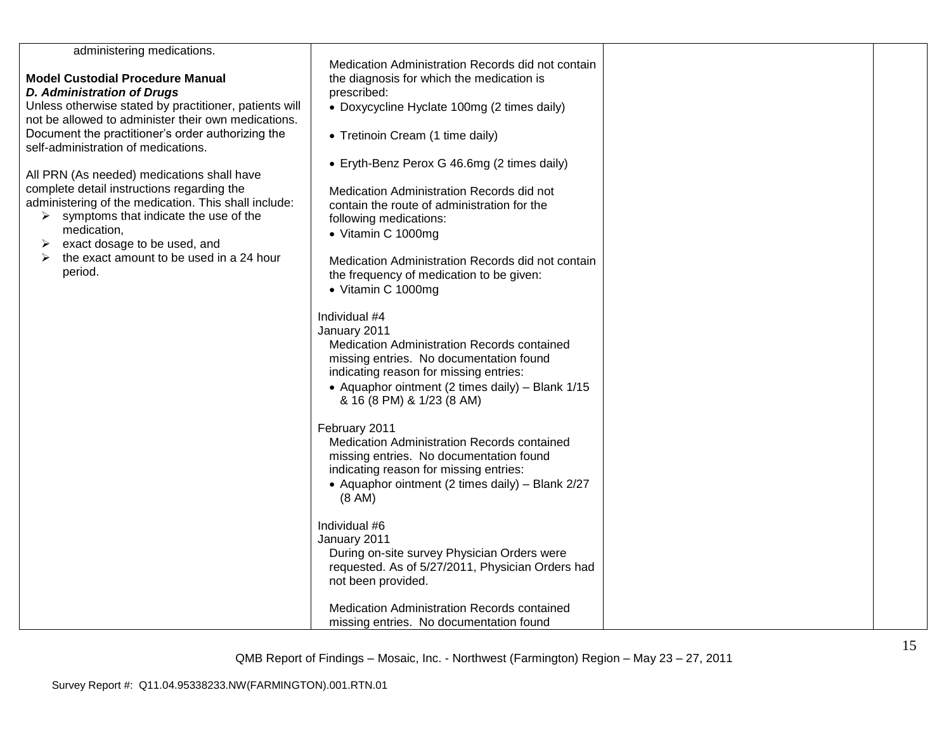| administering medications.                                                                               |                                                                                                 |  |
|----------------------------------------------------------------------------------------------------------|-------------------------------------------------------------------------------------------------|--|
|                                                                                                          | Medication Administration Records did not contain                                               |  |
| <b>Model Custodial Procedure Manual</b>                                                                  | the diagnosis for which the medication is                                                       |  |
| <b>D. Administration of Drugs</b>                                                                        | prescribed:                                                                                     |  |
| Unless otherwise stated by practitioner, patients will                                                   | • Doxycycline Hyclate 100mg (2 times daily)                                                     |  |
| not be allowed to administer their own medications.<br>Document the practitioner's order authorizing the |                                                                                                 |  |
| self-administration of medications.                                                                      | • Tretinoin Cream (1 time daily)                                                                |  |
|                                                                                                          | • Eryth-Benz Perox G 46.6mg (2 times daily)                                                     |  |
| All PRN (As needed) medications shall have                                                               |                                                                                                 |  |
| complete detail instructions regarding the                                                               | Medication Administration Records did not                                                       |  |
| administering of the medication. This shall include:                                                     | contain the route of administration for the                                                     |  |
| symptoms that indicate the use of the<br>➤                                                               | following medications:                                                                          |  |
| medication,                                                                                              | • Vitamin C 1000mg                                                                              |  |
| exact dosage to be used, and<br>➤<br>the exact amount to be used in a 24 hour                            |                                                                                                 |  |
| period.                                                                                                  | Medication Administration Records did not contain                                               |  |
|                                                                                                          | the frequency of medication to be given:                                                        |  |
|                                                                                                          | • Vitamin C 1000mg                                                                              |  |
|                                                                                                          | Individual #4                                                                                   |  |
|                                                                                                          | January 2011                                                                                    |  |
|                                                                                                          | <b>Medication Administration Records contained</b>                                              |  |
|                                                                                                          | missing entries. No documentation found                                                         |  |
|                                                                                                          | indicating reason for missing entries:                                                          |  |
|                                                                                                          | • Aquaphor ointment (2 times daily) - Blank 1/15                                                |  |
|                                                                                                          | & 16 (8 PM) & 1/23 (8 AM)                                                                       |  |
|                                                                                                          |                                                                                                 |  |
|                                                                                                          | February 2011<br>Medication Administration Records contained                                    |  |
|                                                                                                          | missing entries. No documentation found                                                         |  |
|                                                                                                          | indicating reason for missing entries:                                                          |  |
|                                                                                                          | • Aquaphor ointment (2 times daily) - Blank 2/27                                                |  |
|                                                                                                          | (8 AM)                                                                                          |  |
|                                                                                                          |                                                                                                 |  |
|                                                                                                          | Individual #6                                                                                   |  |
|                                                                                                          | January 2011                                                                                    |  |
|                                                                                                          | During on-site survey Physician Orders were<br>requested. As of 5/27/2011, Physician Orders had |  |
|                                                                                                          | not been provided.                                                                              |  |
|                                                                                                          |                                                                                                 |  |
|                                                                                                          | Medication Administration Records contained                                                     |  |
|                                                                                                          | missing entries. No documentation found                                                         |  |
|                                                                                                          |                                                                                                 |  |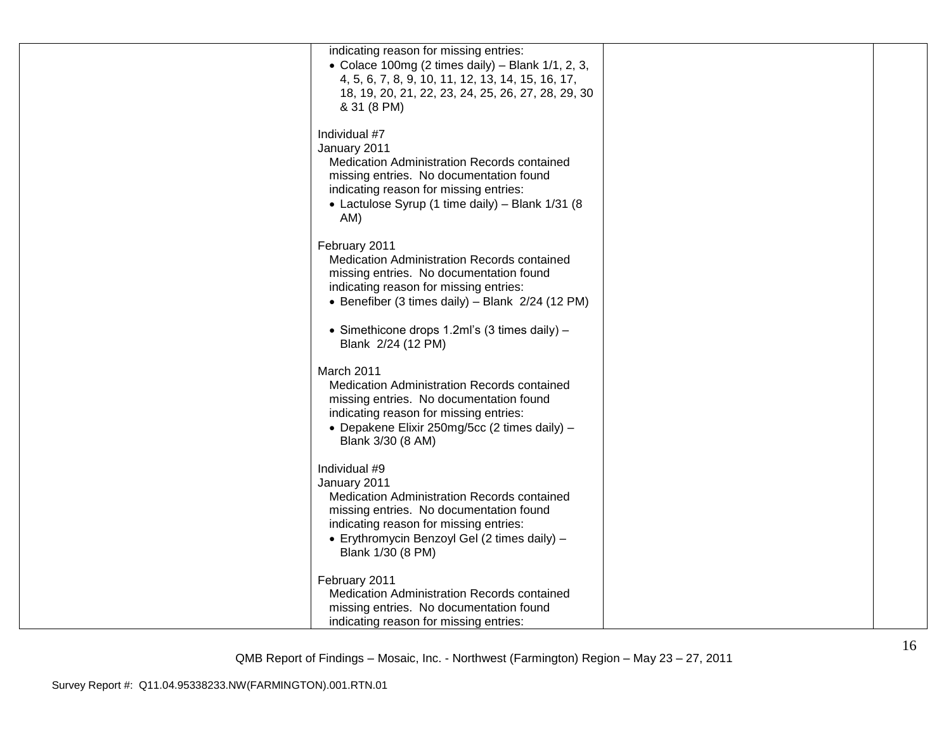| indicating reason for missing entries:               |  |
|------------------------------------------------------|--|
| • Colace 100mg (2 times daily) - Blank $1/1$ , 2, 3, |  |
| 4, 5, 6, 7, 8, 9, 10, 11, 12, 13, 14, 15, 16, 17,    |  |
| 18, 19, 20, 21, 22, 23, 24, 25, 26, 27, 28, 29, 30   |  |
| & 31 (8 PM)                                          |  |
|                                                      |  |
|                                                      |  |
| Individual #7                                        |  |
| January 2011                                         |  |
| Medication Administration Records contained          |  |
| missing entries. No documentation found              |  |
| indicating reason for missing entries:               |  |
| • Lactulose Syrup (1 time daily) - Blank 1/31 (8     |  |
| AM)                                                  |  |
|                                                      |  |
|                                                      |  |
| February 2011                                        |  |
| Medication Administration Records contained          |  |
| missing entries. No documentation found              |  |
| indicating reason for missing entries:               |  |
| • Benefiber (3 times daily) - Blank 2/24 (12 PM)     |  |
|                                                      |  |
| • Simethicone drops 1.2ml's (3 times daily) -        |  |
| Blank 2/24 (12 PM)                                   |  |
|                                                      |  |
|                                                      |  |
| March 2011                                           |  |
| Medication Administration Records contained          |  |
| missing entries. No documentation found              |  |
| indicating reason for missing entries:               |  |
| • Depakene Elixir 250mg/5cc (2 times daily) -        |  |
| Blank 3/30 (8 AM)                                    |  |
|                                                      |  |
| Individual #9                                        |  |
| January 2011                                         |  |
| Medication Administration Records contained          |  |
|                                                      |  |
| missing entries. No documentation found              |  |
| indicating reason for missing entries:               |  |
| • Erythromycin Benzoyl Gel (2 times daily) -         |  |
| Blank 1/30 (8 PM)                                    |  |
|                                                      |  |
| February 2011                                        |  |
| Medication Administration Records contained          |  |
| missing entries. No documentation found              |  |
| indicating reason for missing entries:               |  |
|                                                      |  |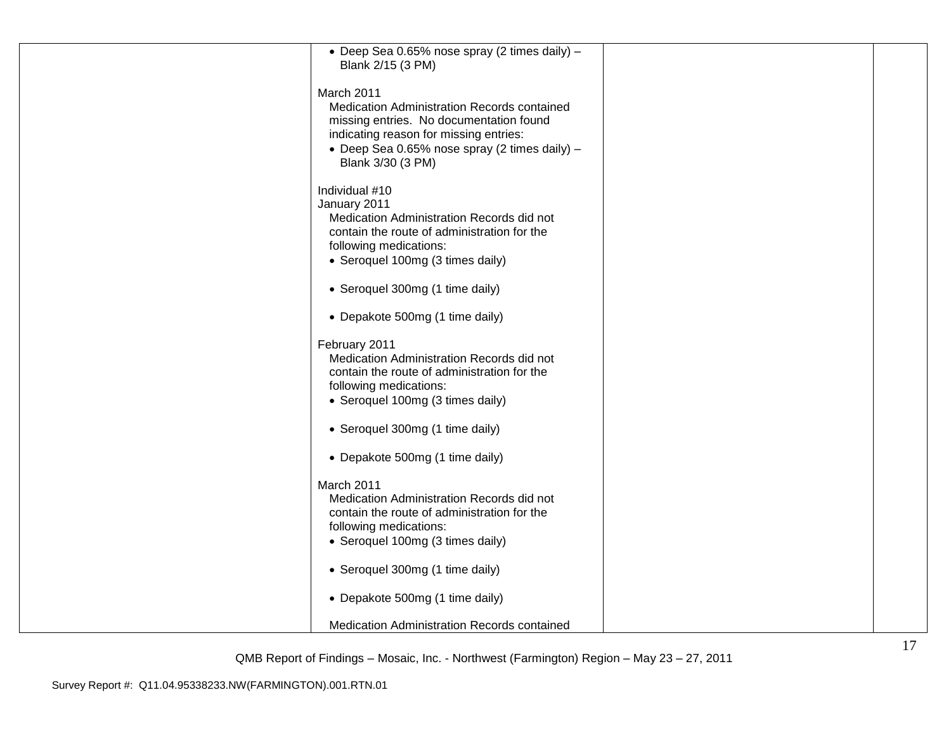| • Deep Sea 0.65% nose spray (2 times daily) -<br>Blank 2/15 (3 PM)                                                                                                                                                   |  |
|----------------------------------------------------------------------------------------------------------------------------------------------------------------------------------------------------------------------|--|
| March 2011<br>Medication Administration Records contained<br>missing entries. No documentation found<br>indicating reason for missing entries:<br>• Deep Sea 0.65% nose spray (2 times daily) -<br>Blank 3/30 (3 PM) |  |
| Individual #10<br>January 2011<br>Medication Administration Records did not<br>contain the route of administration for the<br>following medications:<br>• Seroquel 100mg (3 times daily)                             |  |
| • Seroquel 300mg (1 time daily)                                                                                                                                                                                      |  |
| • Depakote 500mg (1 time daily)                                                                                                                                                                                      |  |
| February 2011<br>Medication Administration Records did not<br>contain the route of administration for the<br>following medications:<br>• Seroquel 100mg (3 times daily)                                              |  |
| • Seroquel 300mg (1 time daily)                                                                                                                                                                                      |  |
| • Depakote 500mg (1 time daily)                                                                                                                                                                                      |  |
| March 2011<br>Medication Administration Records did not<br>contain the route of administration for the<br>following medications:<br>• Seroquel 100mg (3 times daily)                                                 |  |
| • Seroquel 300mg (1 time daily)                                                                                                                                                                                      |  |
| • Depakote 500mg (1 time daily)                                                                                                                                                                                      |  |
| Medication Administration Records contained                                                                                                                                                                          |  |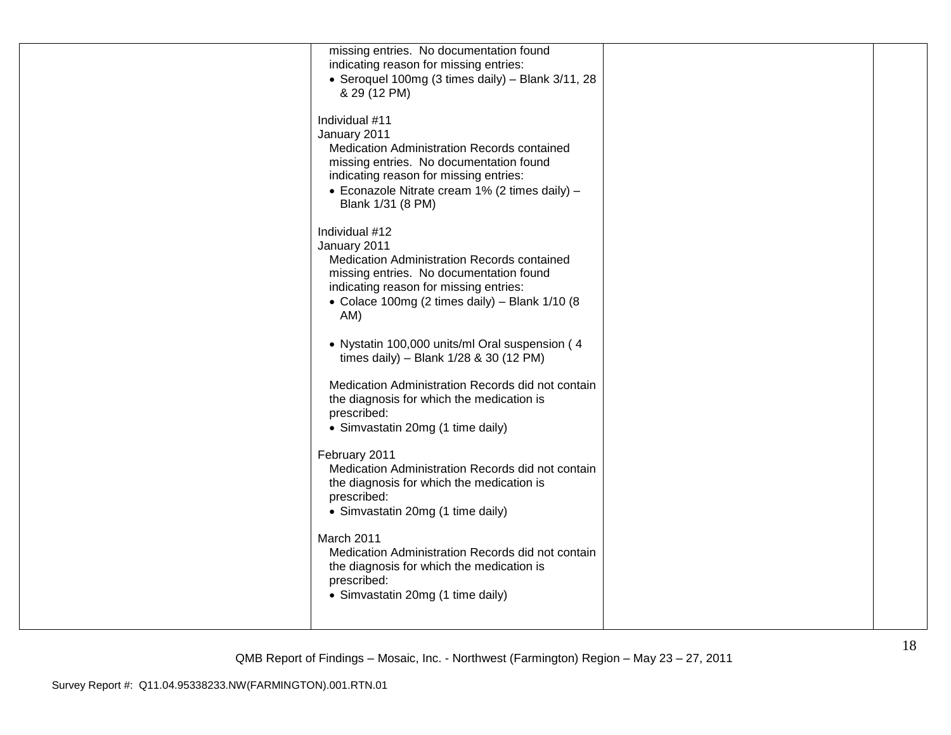| missing entries. No documentation found                                                        |  |
|------------------------------------------------------------------------------------------------|--|
| indicating reason for missing entries:                                                         |  |
| • Seroquel 100mg (3 times daily) - Blank 3/11, 28                                              |  |
| & 29 (12 PM)                                                                                   |  |
| Individual #11                                                                                 |  |
| January 2011                                                                                   |  |
| Medication Administration Records contained                                                    |  |
| missing entries. No documentation found                                                        |  |
| indicating reason for missing entries:                                                         |  |
| • Econazole Nitrate cream 1% (2 times daily) -                                                 |  |
| Blank 1/31 (8 PM)                                                                              |  |
|                                                                                                |  |
| Individual #12                                                                                 |  |
| January 2011                                                                                   |  |
| Medication Administration Records contained<br>missing entries. No documentation found         |  |
| indicating reason for missing entries:                                                         |  |
| • Colace 100mg (2 times daily) - Blank $1/10$ (8                                               |  |
| AM)                                                                                            |  |
|                                                                                                |  |
| • Nystatin 100,000 units/ml Oral suspension (4                                                 |  |
| times daily) - Blank 1/28 & 30 (12 PM)                                                         |  |
|                                                                                                |  |
| Medication Administration Records did not contain                                              |  |
| the diagnosis for which the medication is                                                      |  |
| prescribed:<br>• Simvastatin 20mg (1 time daily)                                               |  |
|                                                                                                |  |
| February 2011                                                                                  |  |
| Medication Administration Records did not contain                                              |  |
| the diagnosis for which the medication is                                                      |  |
| prescribed:                                                                                    |  |
| • Simvastatin 20mg (1 time daily)                                                              |  |
|                                                                                                |  |
| March 2011                                                                                     |  |
| Medication Administration Records did not contain<br>the diagnosis for which the medication is |  |
| prescribed:                                                                                    |  |
| • Simvastatin 20mg (1 time daily)                                                              |  |
|                                                                                                |  |
|                                                                                                |  |
|                                                                                                |  |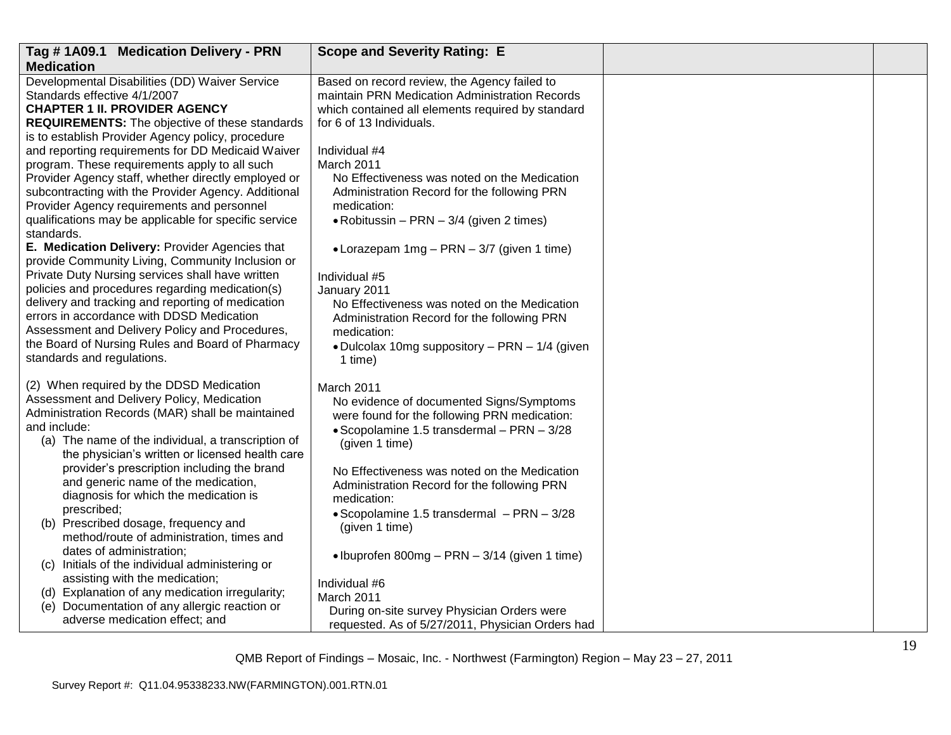| Tag #1A09.1 Medication Delivery - PRN                                                                                                                                                                                                                                                                                                                                                                                                                                                                  | <b>Scope and Severity Rating: E</b>                                                                                                                                                                                                                                                                                                                  |  |
|--------------------------------------------------------------------------------------------------------------------------------------------------------------------------------------------------------------------------------------------------------------------------------------------------------------------------------------------------------------------------------------------------------------------------------------------------------------------------------------------------------|------------------------------------------------------------------------------------------------------------------------------------------------------------------------------------------------------------------------------------------------------------------------------------------------------------------------------------------------------|--|
| <b>Medication</b>                                                                                                                                                                                                                                                                                                                                                                                                                                                                                      |                                                                                                                                                                                                                                                                                                                                                      |  |
| Developmental Disabilities (DD) Waiver Service<br>Standards effective 4/1/2007<br><b>CHAPTER 1 II. PROVIDER AGENCY</b><br><b>REQUIREMENTS:</b> The objective of these standards                                                                                                                                                                                                                                                                                                                        | Based on record review, the Agency failed to<br>maintain PRN Medication Administration Records<br>which contained all elements required by standard<br>for 6 of 13 Individuals.                                                                                                                                                                      |  |
| is to establish Provider Agency policy, procedure                                                                                                                                                                                                                                                                                                                                                                                                                                                      |                                                                                                                                                                                                                                                                                                                                                      |  |
| and reporting requirements for DD Medicaid Waiver<br>program. These requirements apply to all such<br>Provider Agency staff, whether directly employed or<br>subcontracting with the Provider Agency. Additional<br>Provider Agency requirements and personnel<br>qualifications may be applicable for specific service                                                                                                                                                                                | Individual #4<br>March 2011<br>No Effectiveness was noted on the Medication<br>Administration Record for the following PRN<br>medication:<br>• Robitussin - PRN - 3/4 (given 2 times)                                                                                                                                                                |  |
| standards.                                                                                                                                                                                                                                                                                                                                                                                                                                                                                             |                                                                                                                                                                                                                                                                                                                                                      |  |
| E. Medication Delivery: Provider Agencies that<br>provide Community Living, Community Inclusion or<br>Private Duty Nursing services shall have written<br>policies and procedures regarding medication(s)<br>delivery and tracking and reporting of medication<br>errors in accordance with DDSD Medication<br>Assessment and Delivery Policy and Procedures,<br>the Board of Nursing Rules and Board of Pharmacy<br>standards and regulations.                                                        | • Lorazepam 1mg - PRN - 3/7 (given 1 time)<br>Individual #5<br>January 2011<br>No Effectiveness was noted on the Medication<br>Administration Record for the following PRN<br>medication:<br>• Dulcolax 10mg suppository - PRN - 1/4 (given<br>1 time)                                                                                               |  |
| (2) When required by the DDSD Medication<br>Assessment and Delivery Policy, Medication<br>Administration Records (MAR) shall be maintained<br>and include:<br>(a) The name of the individual, a transcription of<br>the physician's written or licensed health care<br>provider's prescription including the brand<br>and generic name of the medication,<br>diagnosis for which the medication is<br>prescribed;<br>(b) Prescribed dosage, frequency and<br>method/route of administration, times and | March 2011<br>No evidence of documented Signs/Symptoms<br>were found for the following PRN medication:<br>• Scopolamine 1.5 transdermal - PRN - 3/28<br>(given 1 time)<br>No Effectiveness was noted on the Medication<br>Administration Record for the following PRN<br>medication:<br>• Scopolamine 1.5 transdermal - PRN - 3/28<br>(given 1 time) |  |
| dates of administration;<br>(c) Initials of the individual administering or                                                                                                                                                                                                                                                                                                                                                                                                                            | • Ibuprofen 800mg - PRN - 3/14 (given 1 time)                                                                                                                                                                                                                                                                                                        |  |
| assisting with the medication;<br>(d) Explanation of any medication irregularity;<br>(e) Documentation of any allergic reaction or                                                                                                                                                                                                                                                                                                                                                                     | Individual #6<br>March 2011<br>During on-site survey Physician Orders were                                                                                                                                                                                                                                                                           |  |
| adverse medication effect; and                                                                                                                                                                                                                                                                                                                                                                                                                                                                         | requested. As of 5/27/2011, Physician Orders had                                                                                                                                                                                                                                                                                                     |  |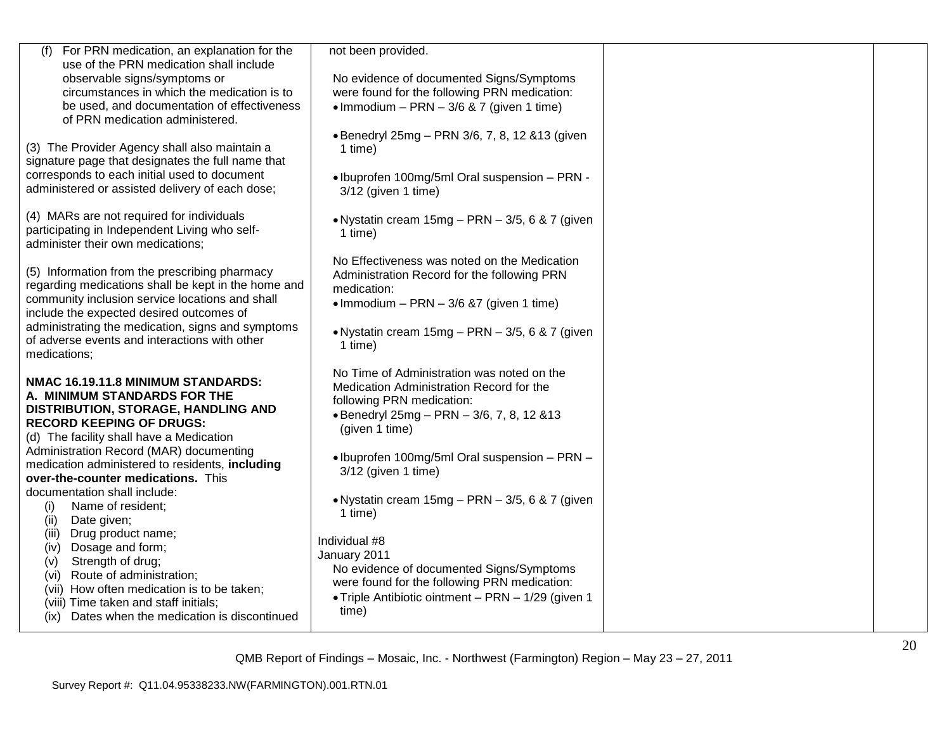| For PRN medication, an explanation for the<br>use of the PRN medication shall include<br>observable signs/symptoms or<br>circumstances in which the medication is to<br>be used, and documentation of effectiveness<br>of PRN medication administered.                                                                                                       | not been provided.<br>No evidence of documented Signs/Symptoms<br>were found for the following PRN medication:<br>• Immodium - PRN - $3/6$ & 7 (given 1 time)                                                                                                                                                  |  |
|--------------------------------------------------------------------------------------------------------------------------------------------------------------------------------------------------------------------------------------------------------------------------------------------------------------------------------------------------------------|----------------------------------------------------------------------------------------------------------------------------------------------------------------------------------------------------------------------------------------------------------------------------------------------------------------|--|
| (3) The Provider Agency shall also maintain a<br>signature page that designates the full name that<br>corresponds to each initial used to document<br>administered or assisted delivery of each dose;                                                                                                                                                        | · Benedryl 25mg - PRN 3/6, 7, 8, 12 & 13 (given<br>1 time)<br>• Ibuprofen 100mg/5ml Oral suspension - PRN -<br>$3/12$ (given 1 time)                                                                                                                                                                           |  |
| (4) MARs are not required for individuals<br>participating in Independent Living who self-<br>administer their own medications;                                                                                                                                                                                                                              | • Nystatin cream 15mg - PRN - 3/5, 6 & 7 (given<br>1 time)                                                                                                                                                                                                                                                     |  |
| (5) Information from the prescribing pharmacy<br>regarding medications shall be kept in the home and<br>community inclusion service locations and shall<br>include the expected desired outcomes of<br>administrating the medication, signs and symptoms<br>of adverse events and interactions with other<br>medications;                                    | No Effectiveness was noted on the Medication<br>Administration Record for the following PRN<br>medication:<br>• Immodium - PRN - 3/6 &7 (given 1 time)<br>• Nystatin cream 15mg - PRN - 3/5, 6 & 7 (given<br>1 time)                                                                                           |  |
| NMAC 16.19.11.8 MINIMUM STANDARDS:<br>A. MINIMUM STANDARDS FOR THE<br>DISTRIBUTION, STORAGE, HANDLING AND<br><b>RECORD KEEPING OF DRUGS:</b><br>(d) The facility shall have a Medication<br>Administration Record (MAR) documenting<br>medication administered to residents, including<br>over-the-counter medications. This<br>documentation shall include: | No Time of Administration was noted on the<br>Medication Administration Record for the<br>following PRN medication:<br>• Benedryl 25mg - PRN - 3/6, 7, 8, 12 & 13<br>(given 1 time)<br>· Ibuprofen 100mg/5ml Oral suspension - PRN -<br>3/12 (given 1 time)<br>• Nystatin cream 15mg - PRN - 3/5, 6 & 7 (given |  |
| Name of resident;<br>(i)<br>Date given;<br>(ii)<br>Drug product name;<br>(iii)<br>Dosage and form;<br>(iv)<br>Strength of drug;<br>(v)<br>Route of administration;<br>(vi)<br>(vii) How often medication is to be taken;<br>(viii) Time taken and staff initials;<br>Dates when the medication is discontinued<br>(ix)                                       | 1 time)<br>Individual #8<br>January 2011<br>No evidence of documented Signs/Symptoms<br>were found for the following PRN medication:<br>• Triple Antibiotic ointment - PRN - 1/29 (given 1<br>time)                                                                                                            |  |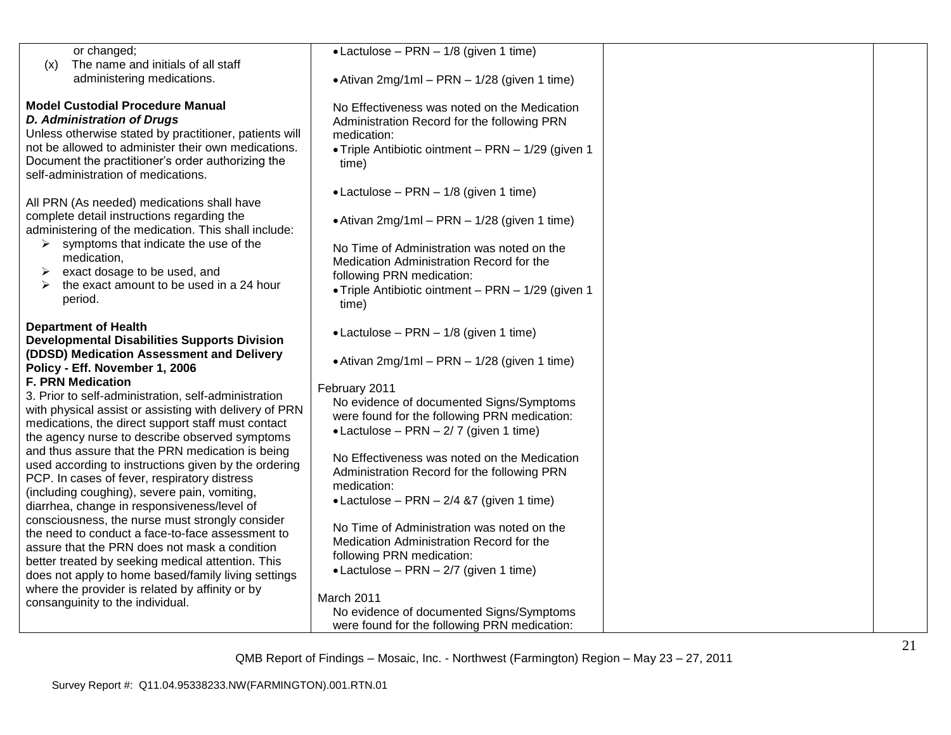| • Lactulose – PRN – $1/8$ (given 1 time)<br>The name and initials of all staff<br>(x)<br>administering medications.<br>• Ativan 2mg/1ml – PRN – 1/28 (given 1 time)<br><b>Model Custodial Procedure Manual</b><br>No Effectiveness was noted on the Medication<br><b>D. Administration of Drugs</b><br>Administration Record for the following PRN<br>Unless otherwise stated by practitioner, patients will<br>medication:<br>not be allowed to administer their own medications.<br>• Triple Antibiotic ointment - PRN - 1/29 (given 1<br>Document the practitioner's order authorizing the<br>time)<br>self-administration of medications.<br>• Lactulose – PRN – $1/8$ (given 1 time)<br>All PRN (As needed) medications shall have<br>complete detail instructions regarding the<br>• Ativan 2mg/1ml - PRN - 1/28 (given 1 time)<br>administering of the medication. This shall include:<br>symptoms that indicate the use of the<br>➤<br>No Time of Administration was noted on the<br>medication,<br>Medication Administration Record for the<br>exact dosage to be used, and<br>following PRN medication:<br>the exact amount to be used in a 24 hour<br>• Triple Antibiotic ointment - PRN - 1/29 (given 1<br>period.<br>time)<br><b>Department of Health</b><br>• Lactulose - PRN - 1/8 (given 1 time)<br><b>Developmental Disabilities Supports Division</b><br>(DDSD) Medication Assessment and Delivery<br>• Ativan 2mg/1ml – PRN – 1/28 (given 1 time)<br>Policy - Eff. November 1, 2006<br><b>F. PRN Medication</b><br>February 2011<br>3. Prior to self-administration, self-administration<br>No evidence of documented Signs/Symptoms<br>with physical assist or assisting with delivery of PRN<br>were found for the following PRN medication:<br>medications, the direct support staff must contact<br>• Lactulose – PRN – $2/7$ (given 1 time)<br>the agency nurse to describe observed symptoms<br>and thus assure that the PRN medication is being<br>No Effectiveness was noted on the Medication<br>used according to instructions given by the ordering<br>Administration Record for the following PRN<br>PCP. In cases of fever, respiratory distress<br>medication:<br>(including coughing), severe pain, vomiting,<br>• Lactulose – PRN – $2/4$ &7 (given 1 time)<br>diarrhea, change in responsiveness/level of<br>consciousness, the nurse must strongly consider<br>No Time of Administration was noted on the<br>the need to conduct a face-to-face assessment to<br>Medication Administration Record for the<br>assure that the PRN does not mask a condition<br>following PRN medication:<br>better treated by seeking medical attention. This<br>• Lactulose – PRN – $2/7$ (given 1 time)<br>does not apply to home based/family living settings<br>where the provider is related by affinity or by<br>March 2011<br>consanguinity to the individual. |             |                                          |  |
|-------------------------------------------------------------------------------------------------------------------------------------------------------------------------------------------------------------------------------------------------------------------------------------------------------------------------------------------------------------------------------------------------------------------------------------------------------------------------------------------------------------------------------------------------------------------------------------------------------------------------------------------------------------------------------------------------------------------------------------------------------------------------------------------------------------------------------------------------------------------------------------------------------------------------------------------------------------------------------------------------------------------------------------------------------------------------------------------------------------------------------------------------------------------------------------------------------------------------------------------------------------------------------------------------------------------------------------------------------------------------------------------------------------------------------------------------------------------------------------------------------------------------------------------------------------------------------------------------------------------------------------------------------------------------------------------------------------------------------------------------------------------------------------------------------------------------------------------------------------------------------------------------------------------------------------------------------------------------------------------------------------------------------------------------------------------------------------------------------------------------------------------------------------------------------------------------------------------------------------------------------------------------------------------------------------------------------------------------------------------------------------------------------------------------------------------------------------------------------------------------------------------------------------------------------------------------------------------------------------------------------------------------------------------------------------------------------------------------------------------------------------------------------------------------------------------------------------------------------------------------------------------|-------------|------------------------------------------|--|
|                                                                                                                                                                                                                                                                                                                                                                                                                                                                                                                                                                                                                                                                                                                                                                                                                                                                                                                                                                                                                                                                                                                                                                                                                                                                                                                                                                                                                                                                                                                                                                                                                                                                                                                                                                                                                                                                                                                                                                                                                                                                                                                                                                                                                                                                                                                                                                                                                                                                                                                                                                                                                                                                                                                                                                                                                                                                                           | or changed; |                                          |  |
|                                                                                                                                                                                                                                                                                                                                                                                                                                                                                                                                                                                                                                                                                                                                                                                                                                                                                                                                                                                                                                                                                                                                                                                                                                                                                                                                                                                                                                                                                                                                                                                                                                                                                                                                                                                                                                                                                                                                                                                                                                                                                                                                                                                                                                                                                                                                                                                                                                                                                                                                                                                                                                                                                                                                                                                                                                                                                           |             |                                          |  |
|                                                                                                                                                                                                                                                                                                                                                                                                                                                                                                                                                                                                                                                                                                                                                                                                                                                                                                                                                                                                                                                                                                                                                                                                                                                                                                                                                                                                                                                                                                                                                                                                                                                                                                                                                                                                                                                                                                                                                                                                                                                                                                                                                                                                                                                                                                                                                                                                                                                                                                                                                                                                                                                                                                                                                                                                                                                                                           |             |                                          |  |
|                                                                                                                                                                                                                                                                                                                                                                                                                                                                                                                                                                                                                                                                                                                                                                                                                                                                                                                                                                                                                                                                                                                                                                                                                                                                                                                                                                                                                                                                                                                                                                                                                                                                                                                                                                                                                                                                                                                                                                                                                                                                                                                                                                                                                                                                                                                                                                                                                                                                                                                                                                                                                                                                                                                                                                                                                                                                                           |             |                                          |  |
|                                                                                                                                                                                                                                                                                                                                                                                                                                                                                                                                                                                                                                                                                                                                                                                                                                                                                                                                                                                                                                                                                                                                                                                                                                                                                                                                                                                                                                                                                                                                                                                                                                                                                                                                                                                                                                                                                                                                                                                                                                                                                                                                                                                                                                                                                                                                                                                                                                                                                                                                                                                                                                                                                                                                                                                                                                                                                           |             | No evidence of documented Signs/Symptoms |  |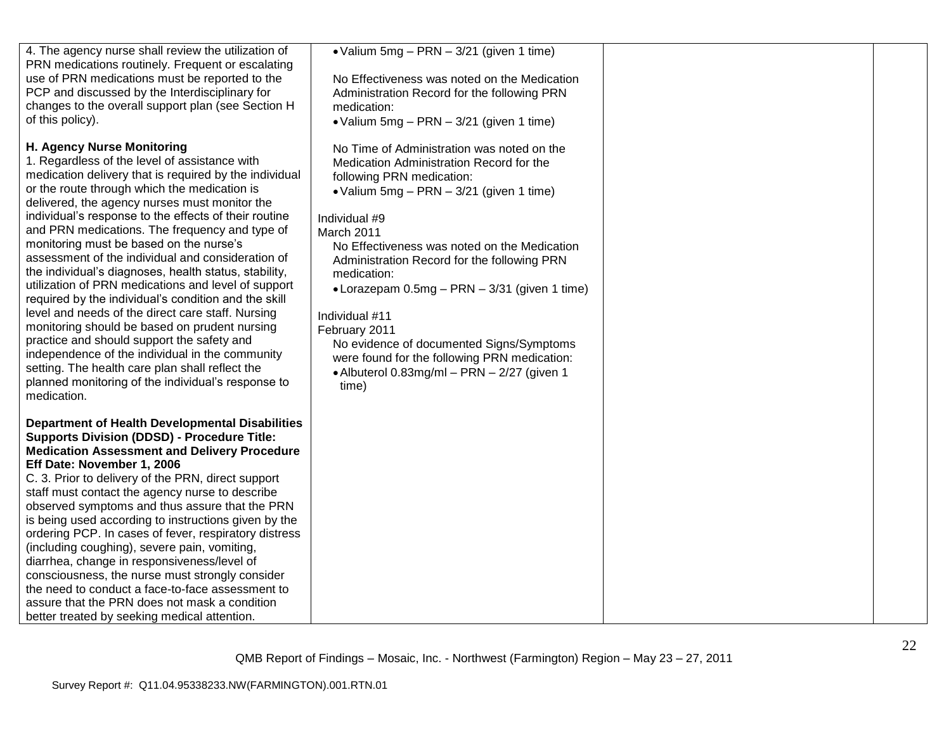| 4. The agency nurse shall review the utilization of                                                                                                                                                                                                                                                                                                                                                                                                                                                                                                                                                                                                                                                                                                                                                                                                                                                                                                      | • Valium $5mg - PRN - 3/21$ (given 1 time)                                                                                                                                                                                                                                                                                                                                                                                                                                                                                                           |  |
|----------------------------------------------------------------------------------------------------------------------------------------------------------------------------------------------------------------------------------------------------------------------------------------------------------------------------------------------------------------------------------------------------------------------------------------------------------------------------------------------------------------------------------------------------------------------------------------------------------------------------------------------------------------------------------------------------------------------------------------------------------------------------------------------------------------------------------------------------------------------------------------------------------------------------------------------------------|------------------------------------------------------------------------------------------------------------------------------------------------------------------------------------------------------------------------------------------------------------------------------------------------------------------------------------------------------------------------------------------------------------------------------------------------------------------------------------------------------------------------------------------------------|--|
| PRN medications routinely. Frequent or escalating<br>use of PRN medications must be reported to the<br>PCP and discussed by the Interdisciplinary for<br>changes to the overall support plan (see Section H<br>of this policy).                                                                                                                                                                                                                                                                                                                                                                                                                                                                                                                                                                                                                                                                                                                          | No Effectiveness was noted on the Medication<br>Administration Record for the following PRN<br>medication:<br>• Valium $5mg - PRN - 3/21$ (given 1 time)                                                                                                                                                                                                                                                                                                                                                                                             |  |
| H. Agency Nurse Monitoring<br>1. Regardless of the level of assistance with<br>medication delivery that is required by the individual<br>or the route through which the medication is<br>delivered, the agency nurses must monitor the<br>individual's response to the effects of their routine<br>and PRN medications. The frequency and type of<br>monitoring must be based on the nurse's<br>assessment of the individual and consideration of<br>the individual's diagnoses, health status, stability,<br>utilization of PRN medications and level of support<br>required by the individual's condition and the skill<br>level and needs of the direct care staff. Nursing<br>monitoring should be based on prudent nursing<br>practice and should support the safety and<br>independence of the individual in the community<br>setting. The health care plan shall reflect the<br>planned monitoring of the individual's response to<br>medication. | No Time of Administration was noted on the<br>Medication Administration Record for the<br>following PRN medication:<br>• Valium 5mg - PRN - 3/21 (given 1 time)<br>Individual #9<br>March 2011<br>No Effectiveness was noted on the Medication<br>Administration Record for the following PRN<br>medication:<br>• Lorazepam 0.5mg - PRN - 3/31 (given 1 time)<br>Individual #11<br>February 2011<br>No evidence of documented Signs/Symptoms<br>were found for the following PRN medication:<br>• Albuterol 0.83mg/ml - PRN - 2/27 (given 1<br>time) |  |
| <b>Department of Health Developmental Disabilities</b><br><b>Supports Division (DDSD) - Procedure Title:</b><br><b>Medication Assessment and Delivery Procedure</b><br>Eff Date: November 1, 2006<br>C. 3. Prior to delivery of the PRN, direct support<br>staff must contact the agency nurse to describe<br>observed symptoms and thus assure that the PRN<br>is being used according to instructions given by the<br>ordering PCP. In cases of fever, respiratory distress<br>(including coughing), severe pain, vomiting,<br>diarrhea, change in responsiveness/level of<br>consciousness, the nurse must strongly consider<br>the need to conduct a face-to-face assessment to<br>assure that the PRN does not mask a condition<br>better treated by seeking medical attention.                                                                                                                                                                     |                                                                                                                                                                                                                                                                                                                                                                                                                                                                                                                                                      |  |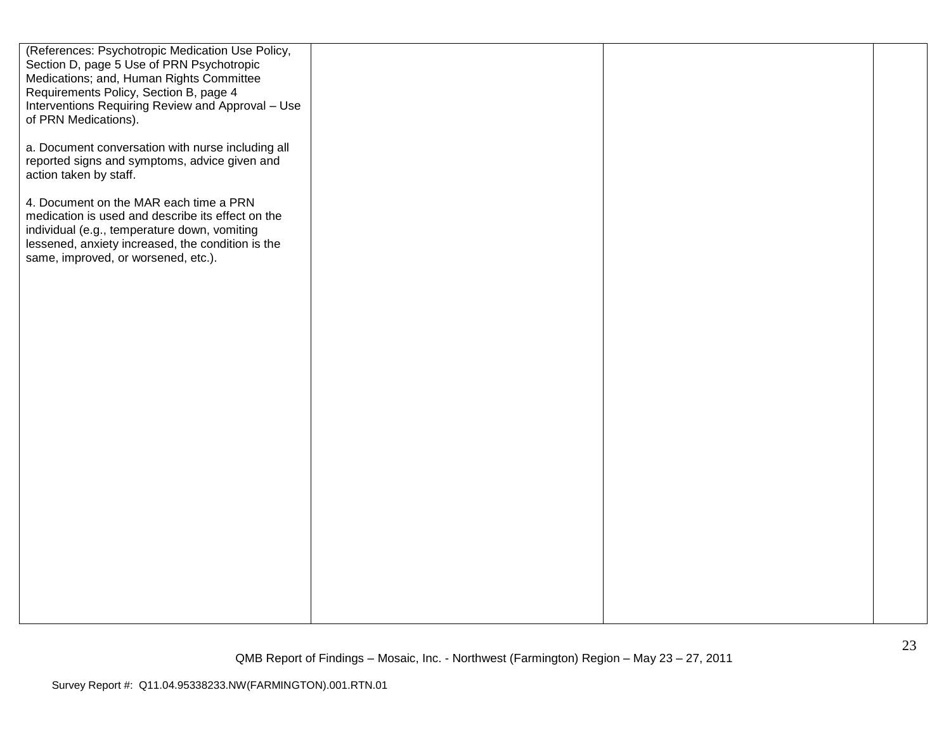| (References: Psychotropic Medication Use Policy,<br>Section D, page 5 Use of PRN Psychotropic<br>Medications; and, Human Rights Committee<br>Requirements Policy, Section B, page 4<br>Interventions Requiring Review and Approval - Use<br>of PRN Medications). |  |  |
|------------------------------------------------------------------------------------------------------------------------------------------------------------------------------------------------------------------------------------------------------------------|--|--|
| a. Document conversation with nurse including all<br>reported signs and symptoms, advice given and<br>action taken by staff.                                                                                                                                     |  |  |
| 4. Document on the MAR each time a PRN<br>medication is used and describe its effect on the<br>individual (e.g., temperature down, vomiting<br>lessened, anxiety increased, the condition is the<br>same, improved, or worsened, etc.).                          |  |  |
|                                                                                                                                                                                                                                                                  |  |  |
|                                                                                                                                                                                                                                                                  |  |  |
|                                                                                                                                                                                                                                                                  |  |  |
|                                                                                                                                                                                                                                                                  |  |  |
|                                                                                                                                                                                                                                                                  |  |  |
|                                                                                                                                                                                                                                                                  |  |  |
|                                                                                                                                                                                                                                                                  |  |  |
|                                                                                                                                                                                                                                                                  |  |  |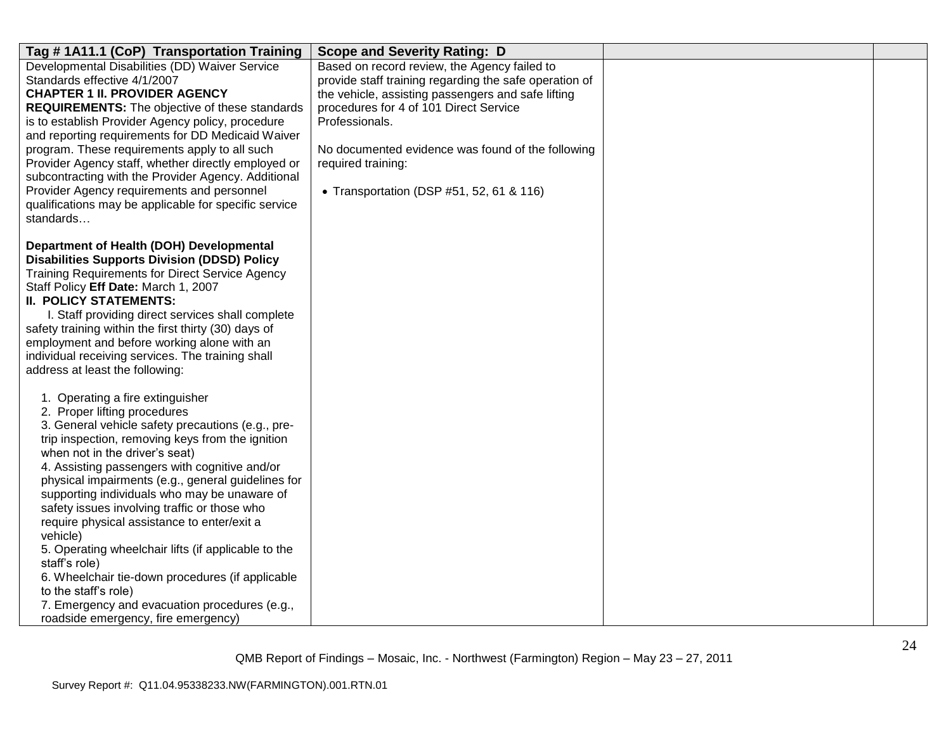| Tag # 1A11.1 (CoP) Transportation Training                                                  | <b>Scope and Severity Rating: D</b>                    |  |
|---------------------------------------------------------------------------------------------|--------------------------------------------------------|--|
| Developmental Disabilities (DD) Waiver Service                                              | Based on record review, the Agency failed to           |  |
| Standards effective 4/1/2007                                                                | provide staff training regarding the safe operation of |  |
| <b>CHAPTER 1 II. PROVIDER AGENCY</b>                                                        | the vehicle, assisting passengers and safe lifting     |  |
| <b>REQUIREMENTS:</b> The objective of these standards                                       | procedures for 4 of 101 Direct Service                 |  |
| is to establish Provider Agency policy, procedure                                           | Professionals.                                         |  |
| and reporting requirements for DD Medicaid Waiver                                           |                                                        |  |
| program. These requirements apply to all such                                               | No documented evidence was found of the following      |  |
| Provider Agency staff, whether directly employed or                                         | required training:                                     |  |
| subcontracting with the Provider Agency. Additional                                         |                                                        |  |
| Provider Agency requirements and personnel                                                  | • Transportation (DSP #51, 52, 61 & 116)               |  |
| qualifications may be applicable for specific service                                       |                                                        |  |
| standards                                                                                   |                                                        |  |
| Department of Health (DOH) Developmental                                                    |                                                        |  |
| <b>Disabilities Supports Division (DDSD) Policy</b>                                         |                                                        |  |
| <b>Training Requirements for Direct Service Agency</b>                                      |                                                        |  |
| Staff Policy Eff Date: March 1, 2007                                                        |                                                        |  |
| <b>II. POLICY STATEMENTS:</b>                                                               |                                                        |  |
| I. Staff providing direct services shall complete                                           |                                                        |  |
| safety training within the first thirty (30) days of                                        |                                                        |  |
| employment and before working alone with an                                                 |                                                        |  |
| individual receiving services. The training shall                                           |                                                        |  |
| address at least the following:                                                             |                                                        |  |
|                                                                                             |                                                        |  |
| 1. Operating a fire extinguisher                                                            |                                                        |  |
| 2. Proper lifting procedures                                                                |                                                        |  |
| 3. General vehicle safety precautions (e.g., pre-                                           |                                                        |  |
| trip inspection, removing keys from the ignition                                            |                                                        |  |
| when not in the driver's seat)                                                              |                                                        |  |
| 4. Assisting passengers with cognitive and/or                                               |                                                        |  |
| physical impairments (e.g., general guidelines for                                          |                                                        |  |
| supporting individuals who may be unaware of                                                |                                                        |  |
| safety issues involving traffic or those who<br>require physical assistance to enter/exit a |                                                        |  |
| vehicle)                                                                                    |                                                        |  |
| 5. Operating wheelchair lifts (if applicable to the                                         |                                                        |  |
| staff's role)                                                                               |                                                        |  |
| 6. Wheelchair tie-down procedures (if applicable                                            |                                                        |  |
| to the staff's role)                                                                        |                                                        |  |
| 7. Emergency and evacuation procedures (e.g.,                                               |                                                        |  |
| roadside emergency, fire emergency)                                                         |                                                        |  |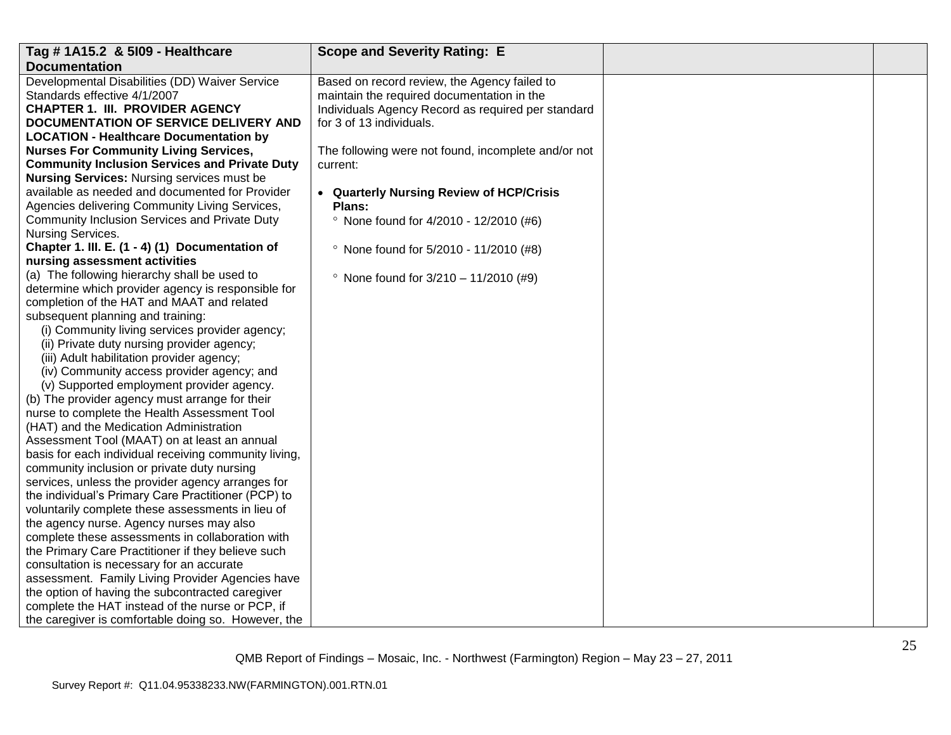| Tag # 1A15.2 & 5109 - Healthcare                      | <b>Scope and Severity Rating: E</b>                 |  |
|-------------------------------------------------------|-----------------------------------------------------|--|
| <b>Documentation</b>                                  |                                                     |  |
| Developmental Disabilities (DD) Waiver Service        | Based on record review, the Agency failed to        |  |
| Standards effective 4/1/2007                          | maintain the required documentation in the          |  |
| <b>CHAPTER 1. III. PROVIDER AGENCY</b>                | Individuals Agency Record as required per standard  |  |
| DOCUMENTATION OF SERVICE DELIVERY AND                 | for 3 of 13 individuals.                            |  |
| <b>LOCATION - Healthcare Documentation by</b>         |                                                     |  |
| <b>Nurses For Community Living Services,</b>          | The following were not found, incomplete and/or not |  |
| <b>Community Inclusion Services and Private Duty</b>  | current:                                            |  |
| <b>Nursing Services: Nursing services must be</b>     |                                                     |  |
| available as needed and documented for Provider       | • Quarterly Nursing Review of HCP/Crisis            |  |
| Agencies delivering Community Living Services,        | Plans:                                              |  |
| Community Inclusion Services and Private Duty         | <sup>o</sup> None found for 4/2010 - 12/2010 (#6)   |  |
| Nursing Services.                                     |                                                     |  |
| Chapter 1. III. E. (1 - 4) (1) Documentation of       | <sup>o</sup> None found for 5/2010 - 11/2010 (#8)   |  |
| nursing assessment activities                         |                                                     |  |
| (a) The following hierarchy shall be used to          | $^{\circ}$ None found for 3/210 - 11/2010 (#9)      |  |
| determine which provider agency is responsible for    |                                                     |  |
| completion of the HAT and MAAT and related            |                                                     |  |
| subsequent planning and training:                     |                                                     |  |
| (i) Community living services provider agency;        |                                                     |  |
| (ii) Private duty nursing provider agency;            |                                                     |  |
| (iii) Adult habilitation provider agency;             |                                                     |  |
| (iv) Community access provider agency; and            |                                                     |  |
| (v) Supported employment provider agency.             |                                                     |  |
| (b) The provider agency must arrange for their        |                                                     |  |
| nurse to complete the Health Assessment Tool          |                                                     |  |
| (HAT) and the Medication Administration               |                                                     |  |
| Assessment Tool (MAAT) on at least an annual          |                                                     |  |
| basis for each individual receiving community living, |                                                     |  |
| community inclusion or private duty nursing           |                                                     |  |
| services, unless the provider agency arranges for     |                                                     |  |
| the individual's Primary Care Practitioner (PCP) to   |                                                     |  |
| voluntarily complete these assessments in lieu of     |                                                     |  |
| the agency nurse. Agency nurses may also              |                                                     |  |
| complete these assessments in collaboration with      |                                                     |  |
| the Primary Care Practitioner if they believe such    |                                                     |  |
| consultation is necessary for an accurate             |                                                     |  |
| assessment. Family Living Provider Agencies have      |                                                     |  |
| the option of having the subcontracted caregiver      |                                                     |  |
| complete the HAT instead of the nurse or PCP, if      |                                                     |  |
| the caregiver is comfortable doing so. However, the   |                                                     |  |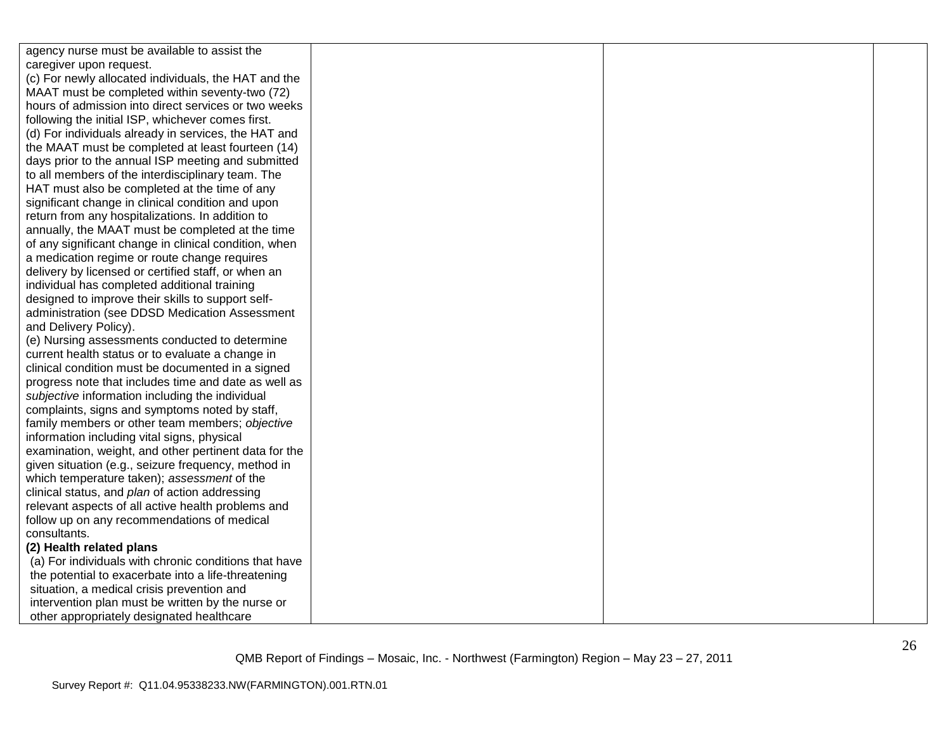| agency nurse must be available to assist the          |  |  |
|-------------------------------------------------------|--|--|
| caregiver upon request.                               |  |  |
| (c) For newly allocated individuals, the HAT and the  |  |  |
| MAAT must be completed within seventy-two (72)        |  |  |
| hours of admission into direct services or two weeks  |  |  |
| following the initial ISP, whichever comes first.     |  |  |
| (d) For individuals already in services, the HAT and  |  |  |
| the MAAT must be completed at least fourteen (14)     |  |  |
| days prior to the annual ISP meeting and submitted    |  |  |
| to all members of the interdisciplinary team. The     |  |  |
| HAT must also be completed at the time of any         |  |  |
| significant change in clinical condition and upon     |  |  |
| return from any hospitalizations. In addition to      |  |  |
| annually, the MAAT must be completed at the time      |  |  |
| of any significant change in clinical condition, when |  |  |
| a medication regime or route change requires          |  |  |
| delivery by licensed or certified staff, or when an   |  |  |
| individual has completed additional training          |  |  |
| designed to improve their skills to support self-     |  |  |
| administration (see DDSD Medication Assessment        |  |  |
| and Delivery Policy).                                 |  |  |
| (e) Nursing assessments conducted to determine        |  |  |
| current health status or to evaluate a change in      |  |  |
| clinical condition must be documented in a signed     |  |  |
| progress note that includes time and date as well as  |  |  |
| subjective information including the individual       |  |  |
| complaints, signs and symptoms noted by staff,        |  |  |
| family members or other team members; objective       |  |  |
| information including vital signs, physical           |  |  |
| examination, weight, and other pertinent data for the |  |  |
| given situation (e.g., seizure frequency, method in   |  |  |
| which temperature taken); assessment of the           |  |  |
| clinical status, and plan of action addressing        |  |  |
| relevant aspects of all active health problems and    |  |  |
| follow up on any recommendations of medical           |  |  |
| consultants.                                          |  |  |
| (2) Health related plans                              |  |  |
| (a) For individuals with chronic conditions that have |  |  |
| the potential to exacerbate into a life-threatening   |  |  |
| situation, a medical crisis prevention and            |  |  |
| intervention plan must be written by the nurse or     |  |  |
| other appropriately designated healthcare             |  |  |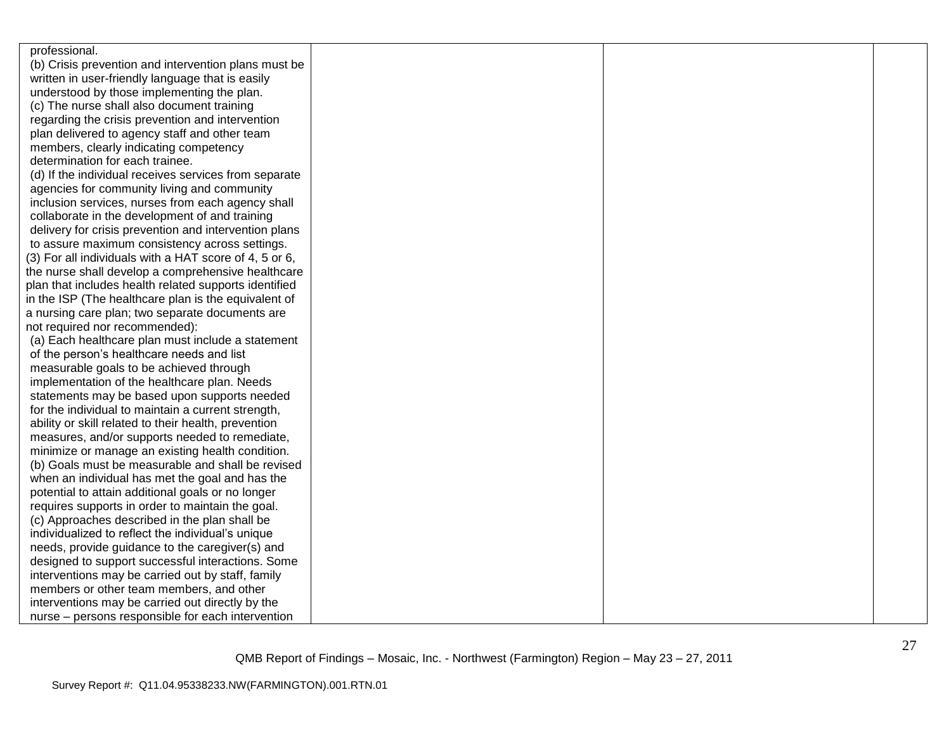| professional.                                          |  |  |
|--------------------------------------------------------|--|--|
| (b) Crisis prevention and intervention plans must be   |  |  |
| written in user-friendly language that is easily       |  |  |
| understood by those implementing the plan.             |  |  |
| (c) The nurse shall also document training             |  |  |
| regarding the crisis prevention and intervention       |  |  |
| plan delivered to agency staff and other team          |  |  |
| members, clearly indicating competency                 |  |  |
| determination for each trainee.                        |  |  |
| (d) If the individual receives services from separate  |  |  |
| agencies for community living and community            |  |  |
| inclusion services, nurses from each agency shall      |  |  |
| collaborate in the development of and training         |  |  |
| delivery for crisis prevention and intervention plans  |  |  |
| to assure maximum consistency across settings.         |  |  |
| (3) For all individuals with a HAT score of 4, 5 or 6, |  |  |
| the nurse shall develop a comprehensive healthcare     |  |  |
| plan that includes health related supports identified  |  |  |
| in the ISP (The healthcare plan is the equivalent of   |  |  |
| a nursing care plan; two separate documents are        |  |  |
| not required nor recommended):                         |  |  |
| (a) Each healthcare plan must include a statement      |  |  |
| of the person's healthcare needs and list              |  |  |
| measurable goals to be achieved through                |  |  |
| implementation of the healthcare plan. Needs           |  |  |
| statements may be based upon supports needed           |  |  |
| for the individual to maintain a current strength,     |  |  |
| ability or skill related to their health, prevention   |  |  |
| measures, and/or supports needed to remediate,         |  |  |
| minimize or manage an existing health condition.       |  |  |
| (b) Goals must be measurable and shall be revised      |  |  |
| when an individual has met the goal and has the        |  |  |
| potential to attain additional goals or no longer      |  |  |
| requires supports in order to maintain the goal.       |  |  |
| (c) Approaches described in the plan shall be          |  |  |
| individualized to reflect the individual's unique      |  |  |
| needs, provide guidance to the caregiver(s) and        |  |  |
| designed to support successful interactions. Some      |  |  |
| interventions may be carried out by staff, family      |  |  |
| members or other team members, and other               |  |  |
| interventions may be carried out directly by the       |  |  |
| nurse - persons responsible for each intervention      |  |  |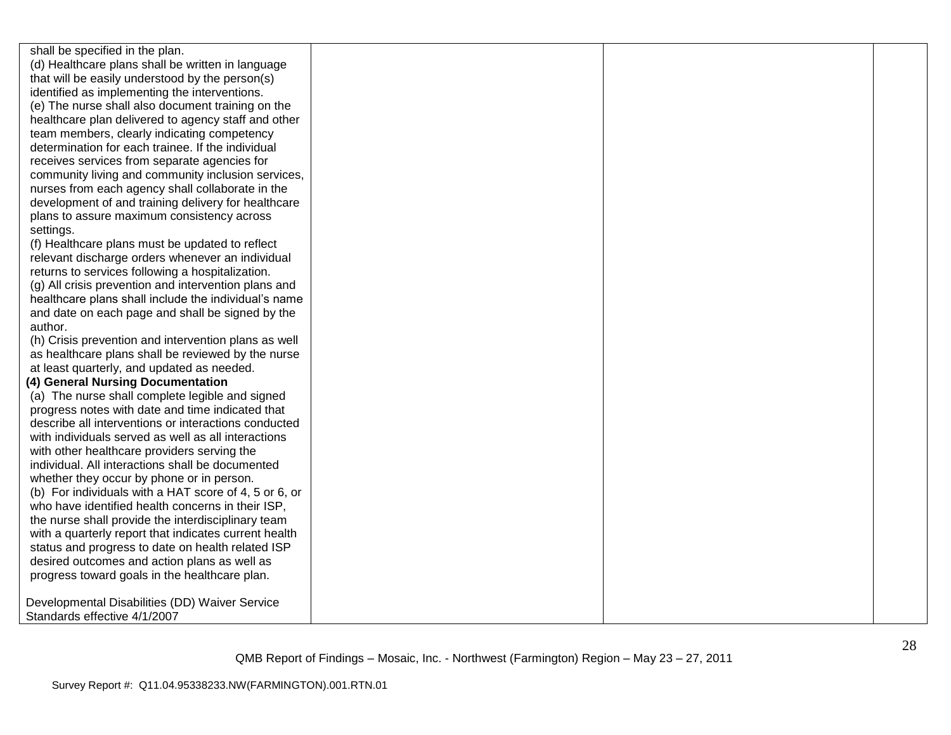shall be specified in the plan. (d) Healthcare plans shall be written in language that will be easily understood by the person(s) identified as implementing the interventions. (e) The nurse shall also document training on the healthcare plan delivered to agency staff and other team members, clearly indicating competency determination for each trainee. If the individual receives services from separate agencies for community living and community inclusion services, nurses from each agency shall collaborate in the development of and training delivery for healthcare plans to assure maximum consistency across settings. (f) Healthcare plans must be updated to reflect relevant discharge orders whenever an individual returns to services following a hospitalization. (g) All crisis prevention and intervention plans and healthcare plans shall include the individual's name and date on each page and shall be signed by the author. (h) Crisis prevention and intervention plans as well as healthcare plans shall be reviewed by the nurse at least quarterly, and updated as needed. **(4) General Nursing Documentation**

(a) The nurse shall complete legible and signed progress notes with date and time indicated that describe all interventions or interactions conducted with individuals served as well as all interactions with other healthcare providers serving the individual. All interactions shall be documented whether they occur by phone or in person. (b) For individuals with a HAT score of 4, 5 or 6, or who have identified health concerns in their ISP, the nurse shall provide the interdisciplinary team with a quarterly report that indicates current health status and progress to date on health related ISP desired outcomes and action plans as well as progress toward goals in the healthcare plan.

Developmental Disabilities (DD) Waiver Service Standards effective 4/1/2007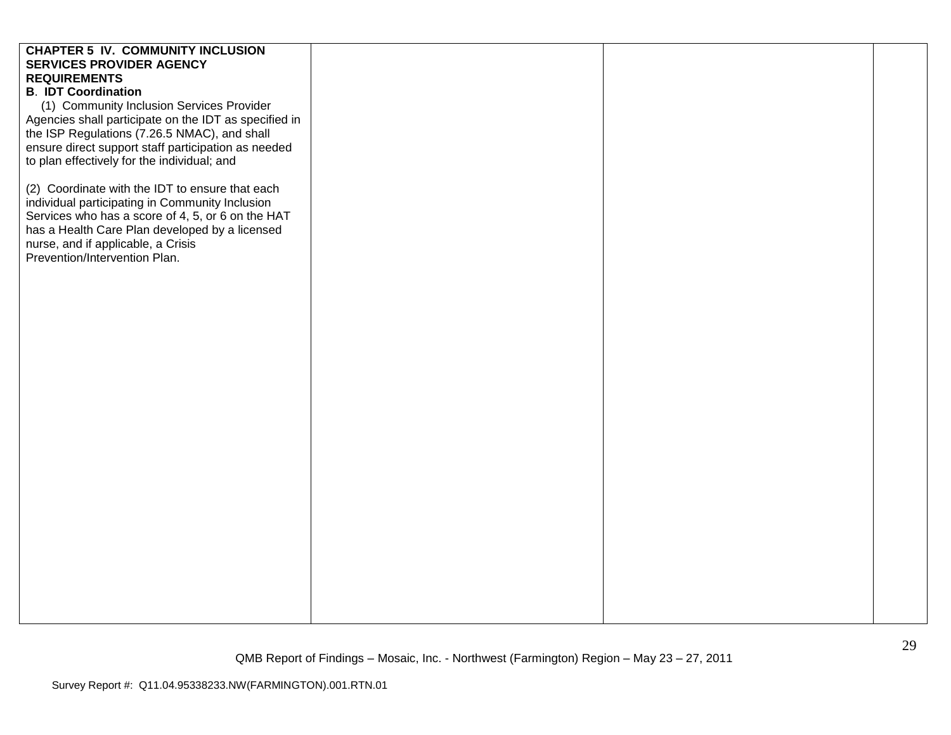# **CHAPTER 5 IV. COMMUNITY INCLUSION SERVICES PROVIDER AGENCY REQUIREMENTS B**. **IDT Coordination** (1) Community Inclusion Services Provider Agencies shall participate on the IDT as specified in the ISP Regulations (7.26.5 NMAC), and shall ensure direct support staff participation as needed to plan effectively for the individual; and (2) Coordinate with the IDT to ensure that each individual participating in Community Inclusion Services who has a score of 4, 5, or 6 on the HAT has a Health Care Plan developed by a licensed nurse, and if applicable, a Crisis Prevention/Intervention Plan.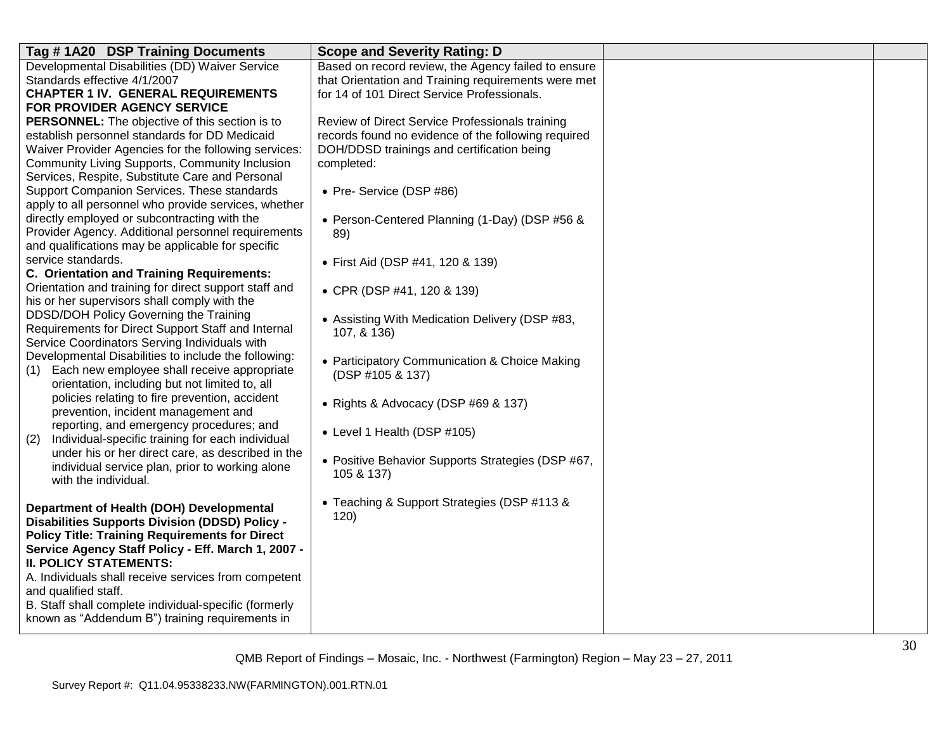| Tag #1A20 DSP Training Documents                                                                     | <b>Scope and Severity Rating: D</b>                 |  |
|------------------------------------------------------------------------------------------------------|-----------------------------------------------------|--|
| Developmental Disabilities (DD) Waiver Service                                                       | Based on record review, the Agency failed to ensure |  |
| Standards effective 4/1/2007                                                                         | that Orientation and Training requirements were met |  |
| <b>CHAPTER 1 IV. GENERAL REQUIREMENTS</b>                                                            | for 14 of 101 Direct Service Professionals.         |  |
| FOR PROVIDER AGENCY SERVICE                                                                          |                                                     |  |
| PERSONNEL: The objective of this section is to                                                       | Review of Direct Service Professionals training     |  |
| establish personnel standards for DD Medicaid                                                        | records found no evidence of the following required |  |
| Waiver Provider Agencies for the following services:                                                 | DOH/DDSD trainings and certification being          |  |
| <b>Community Living Supports, Community Inclusion</b>                                                | completed:                                          |  |
| Services, Respite, Substitute Care and Personal                                                      |                                                     |  |
| Support Companion Services. These standards                                                          | • Pre- Service (DSP #86)                            |  |
| apply to all personnel who provide services, whether<br>directly employed or subcontracting with the |                                                     |  |
| Provider Agency. Additional personnel requirements                                                   | • Person-Centered Planning (1-Day) (DSP #56 &       |  |
| and qualifications may be applicable for specific                                                    | 89)                                                 |  |
| service standards.                                                                                   |                                                     |  |
| C. Orientation and Training Requirements:                                                            | • First Aid (DSP #41, 120 & 139)                    |  |
| Orientation and training for direct support staff and                                                |                                                     |  |
| his or her supervisors shall comply with the                                                         | • CPR (DSP #41, 120 & 139)                          |  |
| DDSD/DOH Policy Governing the Training                                                               |                                                     |  |
| Requirements for Direct Support Staff and Internal                                                   | • Assisting With Medication Delivery (DSP #83,      |  |
| Service Coordinators Serving Individuals with                                                        | 107, & 136)                                         |  |
| Developmental Disabilities to include the following:                                                 |                                                     |  |
| Each new employee shall receive appropriate<br>(1)                                                   | • Participatory Communication & Choice Making       |  |
| orientation, including but not limited to, all                                                       | (DSP #105 & 137)                                    |  |
| policies relating to fire prevention, accident                                                       |                                                     |  |
| prevention, incident management and                                                                  | • Rights & Advocacy (DSP #69 & 137)                 |  |
| reporting, and emergency procedures; and                                                             |                                                     |  |
| Individual-specific training for each individual<br>(2)                                              | • Level 1 Health (DSP #105)                         |  |
| under his or her direct care, as described in the                                                    |                                                     |  |
| individual service plan, prior to working alone                                                      | • Positive Behavior Supports Strategies (DSP #67,   |  |
| with the individual.                                                                                 | 105 & 137)                                          |  |
|                                                                                                      |                                                     |  |
| Department of Health (DOH) Developmental                                                             | • Teaching & Support Strategies (DSP #113 &<br>120) |  |
| <b>Disabilities Supports Division (DDSD) Policy -</b>                                                |                                                     |  |
| <b>Policy Title: Training Requirements for Direct</b>                                                |                                                     |  |
| Service Agency Staff Policy - Eff. March 1, 2007 -                                                   |                                                     |  |
| <b>II. POLICY STATEMENTS:</b>                                                                        |                                                     |  |
| A. Individuals shall receive services from competent                                                 |                                                     |  |
| and qualified staff.                                                                                 |                                                     |  |
| B. Staff shall complete individual-specific (formerly                                                |                                                     |  |
| known as "Addendum B") training requirements in                                                      |                                                     |  |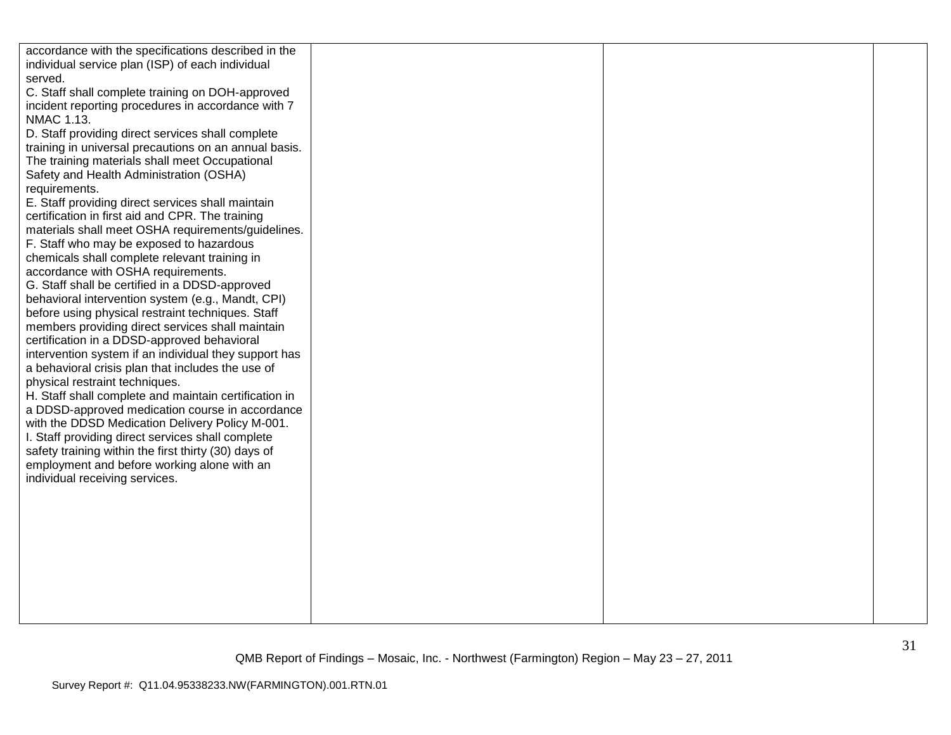| accordance with the specifications described in the<br>individual service plan (ISP) of each individual |  |  |
|---------------------------------------------------------------------------------------------------------|--|--|
| served.                                                                                                 |  |  |
| C. Staff shall complete training on DOH-approved                                                        |  |  |
| incident reporting procedures in accordance with 7                                                      |  |  |
| NMAC 1.13.                                                                                              |  |  |
| D. Staff providing direct services shall complete                                                       |  |  |
| training in universal precautions on an annual basis.                                                   |  |  |
| The training materials shall meet Occupational                                                          |  |  |
| Safety and Health Administration (OSHA)                                                                 |  |  |
| requirements.                                                                                           |  |  |
| E. Staff providing direct services shall maintain                                                       |  |  |
| certification in first aid and CPR. The training                                                        |  |  |
| materials shall meet OSHA requirements/guidelines.                                                      |  |  |
| F. Staff who may be exposed to hazardous                                                                |  |  |
| chemicals shall complete relevant training in                                                           |  |  |
| accordance with OSHA requirements.                                                                      |  |  |
| G. Staff shall be certified in a DDSD-approved                                                          |  |  |
| behavioral intervention system (e.g., Mandt, CPI)                                                       |  |  |
| before using physical restraint techniques. Staff                                                       |  |  |
| members providing direct services shall maintain                                                        |  |  |
| certification in a DDSD-approved behavioral                                                             |  |  |
| intervention system if an individual they support has                                                   |  |  |
| a behavioral crisis plan that includes the use of                                                       |  |  |
| physical restraint techniques.                                                                          |  |  |
| H. Staff shall complete and maintain certification in                                                   |  |  |
| a DDSD-approved medication course in accordance                                                         |  |  |
| with the DDSD Medication Delivery Policy M-001.                                                         |  |  |
| I. Staff providing direct services shall complete                                                       |  |  |
| safety training within the first thirty (30) days of                                                    |  |  |
| employment and before working alone with an                                                             |  |  |
| individual receiving services.                                                                          |  |  |
|                                                                                                         |  |  |
|                                                                                                         |  |  |
|                                                                                                         |  |  |
|                                                                                                         |  |  |
|                                                                                                         |  |  |
|                                                                                                         |  |  |
|                                                                                                         |  |  |
|                                                                                                         |  |  |
|                                                                                                         |  |  |
|                                                                                                         |  |  |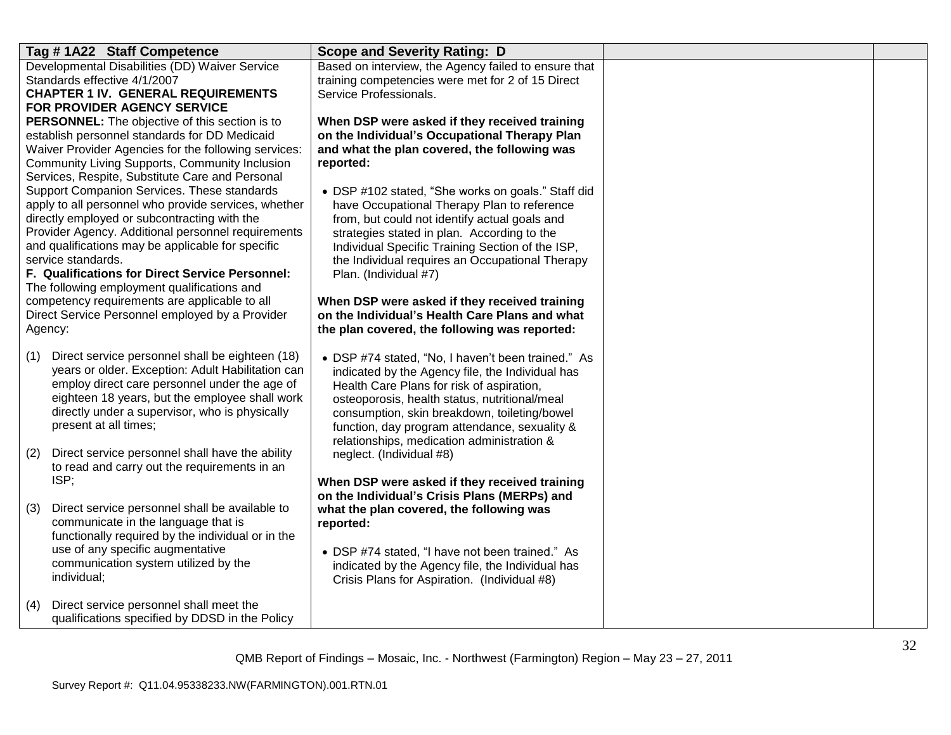| Tag #1A22 Staff Competence                                                                                                                                                                                                                                                                                  | <b>Scope and Severity Rating: D</b>                                                                                                                                                                                                                                                                                                                 |  |
|-------------------------------------------------------------------------------------------------------------------------------------------------------------------------------------------------------------------------------------------------------------------------------------------------------------|-----------------------------------------------------------------------------------------------------------------------------------------------------------------------------------------------------------------------------------------------------------------------------------------------------------------------------------------------------|--|
| Developmental Disabilities (DD) Waiver Service<br>Standards effective 4/1/2007<br><b>CHAPTER 1 IV. GENERAL REQUIREMENTS</b><br>FOR PROVIDER AGENCY SERVICE                                                                                                                                                  | Based on interview, the Agency failed to ensure that<br>training competencies were met for 2 of 15 Direct<br>Service Professionals.                                                                                                                                                                                                                 |  |
| PERSONNEL: The objective of this section is to<br>establish personnel standards for DD Medicaid<br>Waiver Provider Agencies for the following services:<br>Community Living Supports, Community Inclusion<br>Services, Respite, Substitute Care and Personal<br>Support Companion Services. These standards | When DSP were asked if they received training<br>on the Individual's Occupational Therapy Plan<br>and what the plan covered, the following was<br>reported:<br>• DSP #102 stated, "She works on goals." Staff did                                                                                                                                   |  |
| apply to all personnel who provide services, whether<br>directly employed or subcontracting with the<br>Provider Agency. Additional personnel requirements<br>and qualifications may be applicable for specific<br>service standards.<br>F. Qualifications for Direct Service Personnel:                    | have Occupational Therapy Plan to reference<br>from, but could not identify actual goals and<br>strategies stated in plan. According to the<br>Individual Specific Training Section of the ISP,<br>the Individual requires an Occupational Therapy<br>Plan. (Individual #7)                                                                         |  |
| The following employment qualifications and<br>competency requirements are applicable to all<br>Direct Service Personnel employed by a Provider<br>Agency:                                                                                                                                                  | When DSP were asked if they received training<br>on the Individual's Health Care Plans and what<br>the plan covered, the following was reported:                                                                                                                                                                                                    |  |
| Direct service personnel shall be eighteen (18)<br>(1)<br>years or older. Exception: Adult Habilitation can<br>employ direct care personnel under the age of<br>eighteen 18 years, but the employee shall work<br>directly under a supervisor, who is physically<br>present at all times;                   | • DSP #74 stated, "No, I haven't been trained." As<br>indicated by the Agency file, the Individual has<br>Health Care Plans for risk of aspiration,<br>osteoporosis, health status, nutritional/meal<br>consumption, skin breakdown, toileting/bowel<br>function, day program attendance, sexuality &<br>relationships, medication administration & |  |
| Direct service personnel shall have the ability<br>(2)<br>to read and carry out the requirements in an<br>ISP;                                                                                                                                                                                              | neglect. (Individual #8)<br>When DSP were asked if they received training                                                                                                                                                                                                                                                                           |  |
| Direct service personnel shall be available to<br>(3)<br>communicate in the language that is<br>functionally required by the individual or in the<br>use of any specific augmentative<br>communication system utilized by the<br>individual;                                                                | on the Individual's Crisis Plans (MERPs) and<br>what the plan covered, the following was<br>reported:<br>• DSP #74 stated, "I have not been trained." As<br>indicated by the Agency file, the Individual has<br>Crisis Plans for Aspiration. (Individual #8)                                                                                        |  |
| Direct service personnel shall meet the<br>(4)<br>qualifications specified by DDSD in the Policy                                                                                                                                                                                                            |                                                                                                                                                                                                                                                                                                                                                     |  |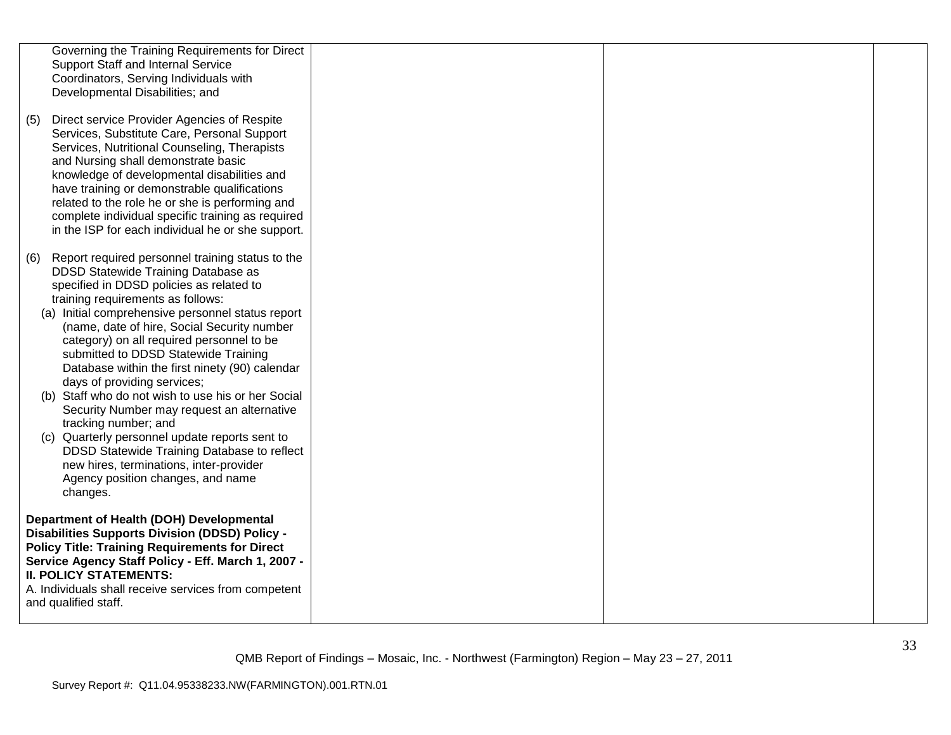|     | Governing the Training Requirements for Direct<br>Support Staff and Internal Service<br>Coordinators, Serving Individuals with<br>Developmental Disabilities; and                                                                                                                                                                                                                                                                                                                                                                                                                                                                                                                                                                                                               |  |  |
|-----|---------------------------------------------------------------------------------------------------------------------------------------------------------------------------------------------------------------------------------------------------------------------------------------------------------------------------------------------------------------------------------------------------------------------------------------------------------------------------------------------------------------------------------------------------------------------------------------------------------------------------------------------------------------------------------------------------------------------------------------------------------------------------------|--|--|
| (5) | Direct service Provider Agencies of Respite<br>Services, Substitute Care, Personal Support<br>Services, Nutritional Counseling, Therapists<br>and Nursing shall demonstrate basic<br>knowledge of developmental disabilities and<br>have training or demonstrable qualifications<br>related to the role he or she is performing and<br>complete individual specific training as required<br>in the ISP for each individual he or she support.                                                                                                                                                                                                                                                                                                                                   |  |  |
|     | (6) Report required personnel training status to the<br>DDSD Statewide Training Database as<br>specified in DDSD policies as related to<br>training requirements as follows:<br>(a) Initial comprehensive personnel status report<br>(name, date of hire, Social Security number<br>category) on all required personnel to be<br>submitted to DDSD Statewide Training<br>Database within the first ninety (90) calendar<br>days of providing services;<br>(b) Staff who do not wish to use his or her Social<br>Security Number may request an alternative<br>tracking number; and<br>(c) Quarterly personnel update reports sent to<br>DDSD Statewide Training Database to reflect<br>new hires, terminations, inter-provider<br>Agency position changes, and name<br>changes. |  |  |
|     | Department of Health (DOH) Developmental<br><b>Disabilities Supports Division (DDSD) Policy -</b><br><b>Policy Title: Training Requirements for Direct</b><br>Service Agency Staff Policy - Eff. March 1, 2007 -<br><b>II. POLICY STATEMENTS:</b><br>A. Individuals shall receive services from competent<br>and qualified staff.                                                                                                                                                                                                                                                                                                                                                                                                                                               |  |  |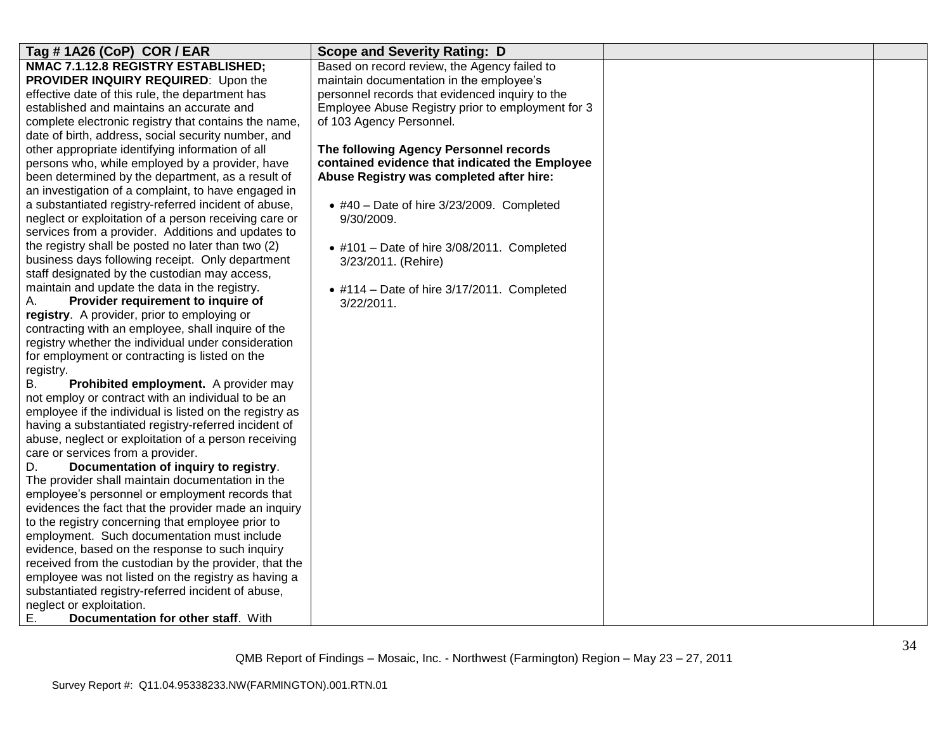| Tag #1A26 (CoP) COR / EAR                                                                               | <b>Scope and Severity Rating: D</b>                |  |
|---------------------------------------------------------------------------------------------------------|----------------------------------------------------|--|
| NMAC 7.1.12.8 REGISTRY ESTABLISHED;                                                                     | Based on record review, the Agency failed to       |  |
| PROVIDER INQUIRY REQUIRED: Upon the                                                                     | maintain documentation in the employee's           |  |
| effective date of this rule, the department has                                                         | personnel records that evidenced inquiry to the    |  |
| established and maintains an accurate and                                                               | Employee Abuse Registry prior to employment for 3  |  |
| complete electronic registry that contains the name,                                                    | of 103 Agency Personnel.                           |  |
| date of birth, address, social security number, and                                                     |                                                    |  |
| other appropriate identifying information of all                                                        | The following Agency Personnel records             |  |
| persons who, while employed by a provider, have                                                         | contained evidence that indicated the Employee     |  |
| been determined by the department, as a result of                                                       | Abuse Registry was completed after hire:           |  |
| an investigation of a complaint, to have engaged in                                                     |                                                    |  |
| a substantiated registry-referred incident of abuse,                                                    | $\bullet$ #40 - Date of hire 3/23/2009. Completed  |  |
| neglect or exploitation of a person receiving care or                                                   | 9/30/2009.                                         |  |
| services from a provider. Additions and updates to                                                      |                                                    |  |
| the registry shall be posted no later than two (2)                                                      | $\bullet$ #101 - Date of hire 3/08/2011. Completed |  |
| business days following receipt. Only department                                                        | 3/23/2011. (Rehire)                                |  |
| staff designated by the custodian may access,                                                           |                                                    |  |
| maintain and update the data in the registry.                                                           | • #114 - Date of hire 3/17/2011. Completed         |  |
| Provider requirement to inquire of<br>А.                                                                | $3/22/2011$ .                                      |  |
| registry. A provider, prior to employing or                                                             |                                                    |  |
| contracting with an employee, shall inquire of the                                                      |                                                    |  |
| registry whether the individual under consideration                                                     |                                                    |  |
| for employment or contracting is listed on the                                                          |                                                    |  |
| registry.                                                                                               |                                                    |  |
| Prohibited employment. A provider may<br>В.                                                             |                                                    |  |
| not employ or contract with an individual to be an                                                      |                                                    |  |
| employee if the individual is listed on the registry as                                                 |                                                    |  |
| having a substantiated registry-referred incident of                                                    |                                                    |  |
| abuse, neglect or exploitation of a person receiving                                                    |                                                    |  |
| care or services from a provider.                                                                       |                                                    |  |
| Documentation of inquiry to registry.<br>D.                                                             |                                                    |  |
| The provider shall maintain documentation in the                                                        |                                                    |  |
| employee's personnel or employment records that<br>evidences the fact that the provider made an inquiry |                                                    |  |
| to the registry concerning that employee prior to                                                       |                                                    |  |
| employment. Such documentation must include                                                             |                                                    |  |
| evidence, based on the response to such inquiry                                                         |                                                    |  |
| received from the custodian by the provider, that the                                                   |                                                    |  |
| employee was not listed on the registry as having a                                                     |                                                    |  |
| substantiated registry-referred incident of abuse,                                                      |                                                    |  |
| neglect or exploitation.                                                                                |                                                    |  |
| Documentation for other staff. With<br>Е.                                                               |                                                    |  |
|                                                                                                         |                                                    |  |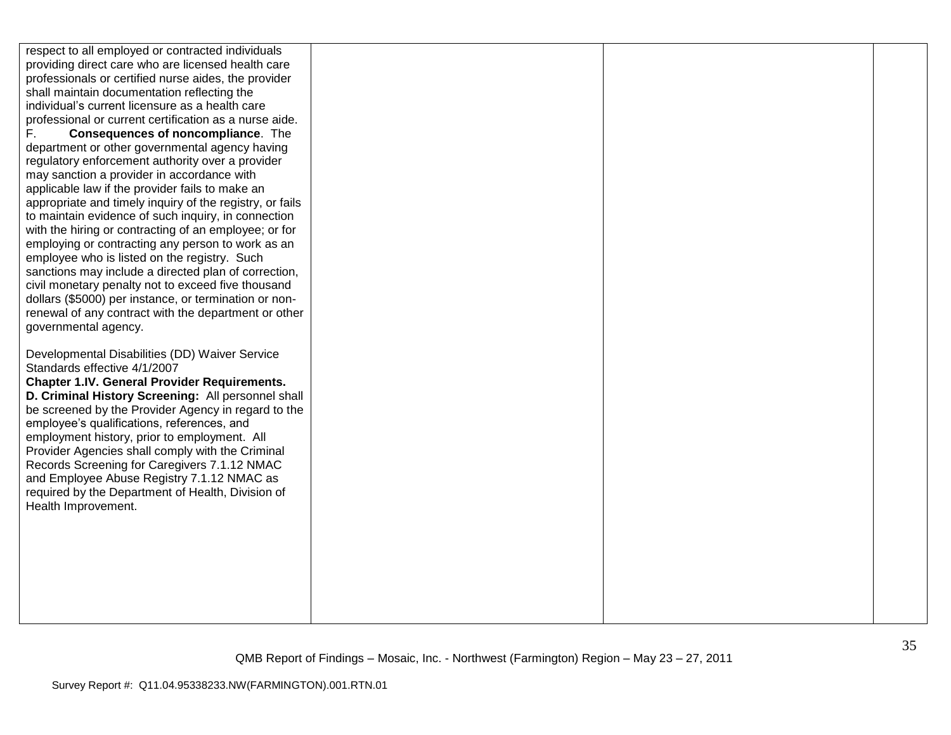respect to all employed or contracted individuals providing direct care who are licensed health care professionals or certified nurse aides, the provider shall maintain documentation reflecting the individual"s current licensure as a health care professional or current certification as a nurse aide. F. **Consequences of noncompliance**. The department or other governmental agency having regulatory enforcement authority over a provider may sanction a provider in accordance with applicable law if the provider fails to make an appropriate and timely inquiry of the registry, or fails to maintain evidence of such inquiry, in connection with the hiring or contracting of an employee; or for employing or contracting any person to work as an employee who is listed on the registry. Such sanctions may include a directed plan of correction, civil monetary penalty not to exceed five thousand dollars (\$5000) per instance, or termination or nonrenewal of any contract with the department or other governmental agency. Developmental Disabilities (DD) Waiver Service Standards effective 4/1/2007 **Chapter 1.IV. General Provider Requirements. D. Criminal History Screening:** All personnel shall be screened by the Provider Agency in regard to the employee"s qualifications, references, and employment history, prior to employment. All Provider Agencies shall comply with the Criminal Records Screening for Caregivers 7.1.12 NMAC and Employee Abuse Registry 7.1.12 NMAC as required by the Department of Health, Division of Health Improvement.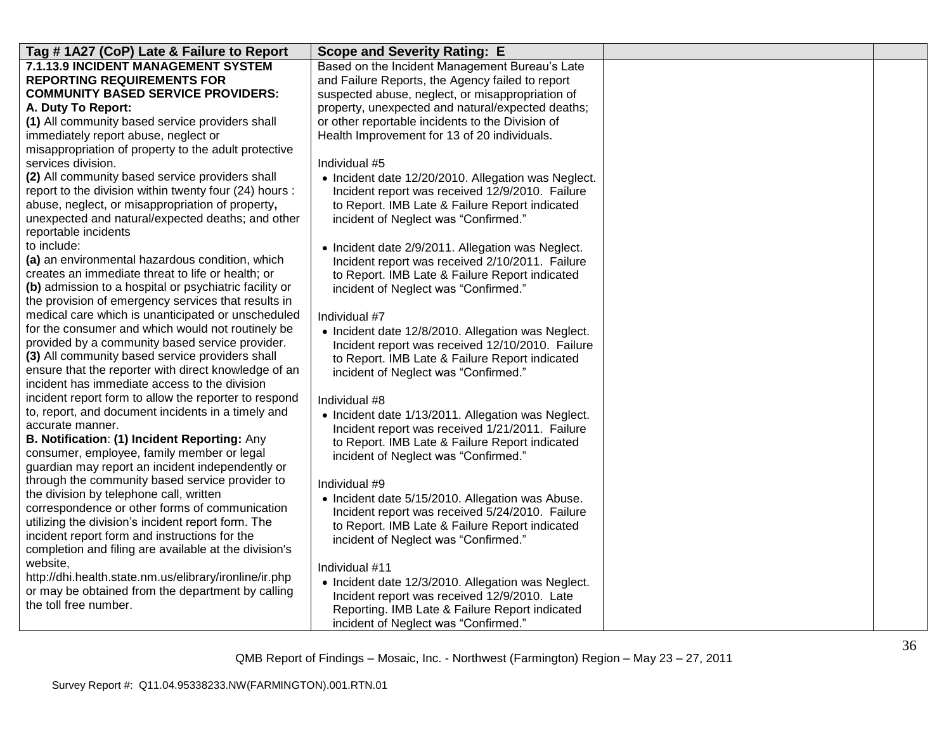| Tag #1A27 (CoP) Late & Failure to Report                               | <b>Scope and Severity Rating: E</b>                 |  |
|------------------------------------------------------------------------|-----------------------------------------------------|--|
| 7.1.13.9 INCIDENT MANAGEMENT SYSTEM                                    | Based on the Incident Management Bureau's Late      |  |
| <b>REPORTING REQUIREMENTS FOR</b>                                      | and Failure Reports, the Agency failed to report    |  |
| <b>COMMUNITY BASED SERVICE PROVIDERS:</b>                              | suspected abuse, neglect, or misappropriation of    |  |
| A. Duty To Report:                                                     | property, unexpected and natural/expected deaths;   |  |
| (1) All community based service providers shall                        | or other reportable incidents to the Division of    |  |
| immediately report abuse, neglect or                                   | Health Improvement for 13 of 20 individuals.        |  |
| misappropriation of property to the adult protective                   |                                                     |  |
| services division.                                                     | Individual #5                                       |  |
| (2) All community based service providers shall                        | • Incident date 12/20/2010. Allegation was Neglect. |  |
| report to the division within twenty four (24) hours :                 | Incident report was received 12/9/2010. Failure     |  |
| abuse, neglect, or misappropriation of property,                       | to Report. IMB Late & Failure Report indicated      |  |
| unexpected and natural/expected deaths; and other                      | incident of Neglect was "Confirmed."                |  |
| reportable incidents                                                   |                                                     |  |
| to include:                                                            | • Incident date 2/9/2011. Allegation was Neglect.   |  |
| (a) an environmental hazardous condition, which                        | Incident report was received 2/10/2011. Failure     |  |
| creates an immediate threat to life or health; or                      | to Report. IMB Late & Failure Report indicated      |  |
| (b) admission to a hospital or psychiatric facility or                 | incident of Neglect was "Confirmed."                |  |
| the provision of emergency services that results in                    |                                                     |  |
| medical care which is unanticipated or unscheduled                     | Individual #7                                       |  |
| for the consumer and which would not routinely be                      | • Incident date 12/8/2010. Allegation was Neglect.  |  |
| provided by a community based service provider.                        | Incident report was received 12/10/2010. Failure    |  |
| (3) All community based service providers shall                        | to Report. IMB Late & Failure Report indicated      |  |
| ensure that the reporter with direct knowledge of an                   | incident of Neglect was "Confirmed."                |  |
| incident has immediate access to the division                          |                                                     |  |
| incident report form to allow the reporter to respond                  | Individual #8                                       |  |
| to, report, and document incidents in a timely and<br>accurate manner. | • Incident date 1/13/2011. Allegation was Neglect.  |  |
| B. Notification: (1) Incident Reporting: Any                           | Incident report was received 1/21/2011. Failure     |  |
| consumer, employee, family member or legal                             | to Report. IMB Late & Failure Report indicated      |  |
| guardian may report an incident independently or                       | incident of Neglect was "Confirmed."                |  |
| through the community based service provider to                        |                                                     |  |
| the division by telephone call, written                                | Individual #9                                       |  |
| correspondence or other forms of communication                         | • Incident date 5/15/2010. Allegation was Abuse.    |  |
| utilizing the division's incident report form. The                     | Incident report was received 5/24/2010. Failure     |  |
| incident report form and instructions for the                          | to Report. IMB Late & Failure Report indicated      |  |
| completion and filing are available at the division's                  | incident of Neglect was "Confirmed."                |  |
| website,                                                               |                                                     |  |
| http://dhi.health.state.nm.us/elibrary/ironline/ir.php                 | Individual #11                                      |  |
| or may be obtained from the department by calling                      | • Incident date 12/3/2010. Allegation was Neglect.  |  |
| the toll free number.                                                  | Incident report was received 12/9/2010. Late        |  |
|                                                                        | Reporting. IMB Late & Failure Report indicated      |  |
|                                                                        | incident of Neglect was "Confirmed."                |  |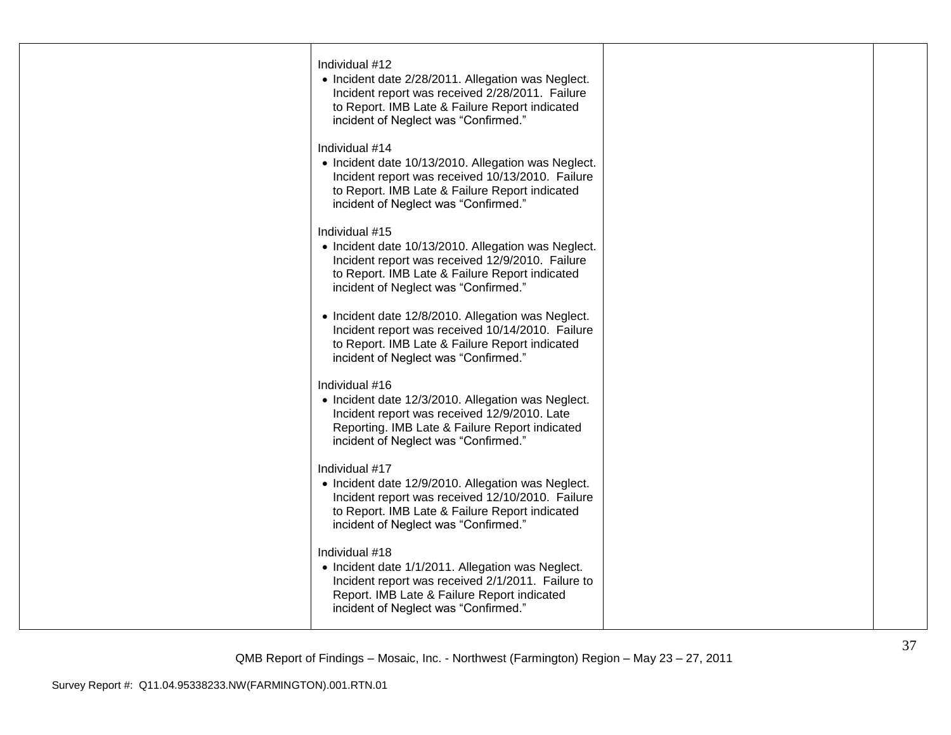| Individual #12<br>• Incident date 2/28/2011. Allegation was Neglect.<br>Incident report was received 2/28/2011. Failure<br>to Report. IMB Late & Failure Report indicated<br>incident of Neglect was "Confirmed."   |  |
|---------------------------------------------------------------------------------------------------------------------------------------------------------------------------------------------------------------------|--|
| Individual #14<br>• Incident date 10/13/2010. Allegation was Neglect.<br>Incident report was received 10/13/2010. Failure<br>to Report. IMB Late & Failure Report indicated<br>incident of Neglect was "Confirmed." |  |
| Individual #15<br>• Incident date 10/13/2010. Allegation was Neglect.<br>Incident report was received 12/9/2010. Failure<br>to Report. IMB Late & Failure Report indicated<br>incident of Neglect was "Confirmed."  |  |
| • Incident date 12/8/2010. Allegation was Neglect.<br>Incident report was received 10/14/2010. Failure<br>to Report. IMB Late & Failure Report indicated<br>incident of Neglect was "Confirmed."                    |  |
| Individual #16<br>• Incident date 12/3/2010. Allegation was Neglect.<br>Incident report was received 12/9/2010. Late<br>Reporting. IMB Late & Failure Report indicated<br>incident of Neglect was "Confirmed."      |  |
| Individual #17<br>• Incident date 12/9/2010. Allegation was Neglect.<br>Incident report was received 12/10/2010. Failure<br>to Report. IMB Late & Failure Report indicated<br>incident of Neglect was "Confirmed."  |  |
| Individual #18<br>• Incident date 1/1/2011. Allegation was Neglect.<br>Incident report was received 2/1/2011. Failure to<br>Report. IMB Late & Failure Report indicated<br>incident of Neglect was "Confirmed."     |  |
|                                                                                                                                                                                                                     |  |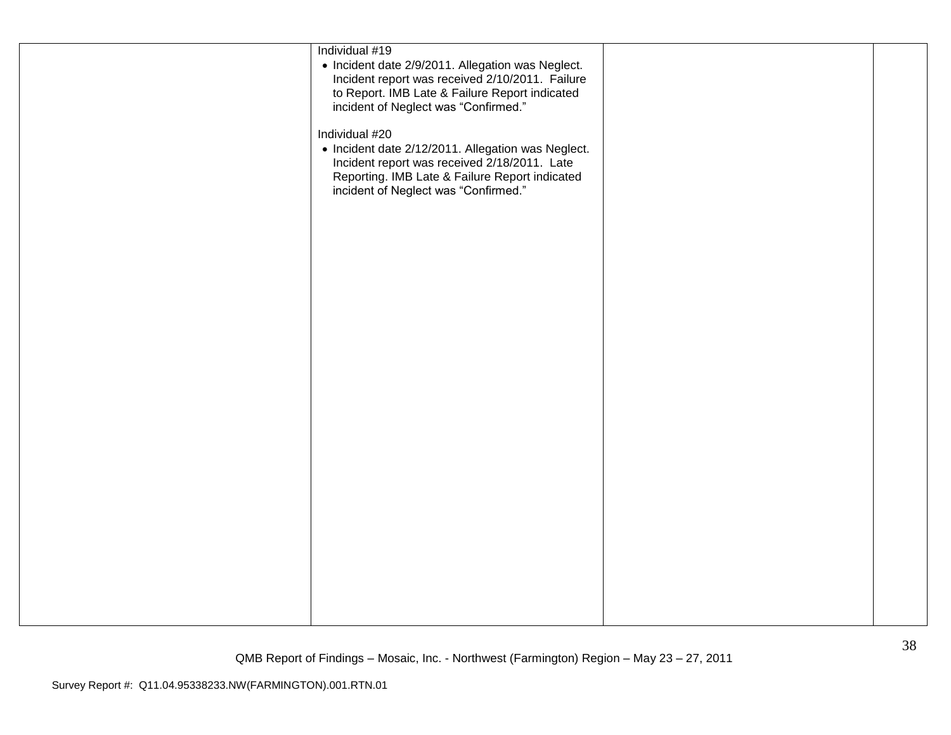| Individual #19                                     |  |
|----------------------------------------------------|--|
| • Incident date 2/9/2011. Allegation was Neglect.  |  |
| Incident report was received 2/10/2011. Failure    |  |
| to Report. IMB Late & Failure Report indicated     |  |
| incident of Neglect was "Confirmed."               |  |
|                                                    |  |
| Individual #20                                     |  |
| • Incident date 2/12/2011. Allegation was Neglect. |  |
| Incident report was received 2/18/2011. Late       |  |
|                                                    |  |
| Reporting. IMB Late & Failure Report indicated     |  |
| incident of Neglect was "Confirmed."               |  |
|                                                    |  |
|                                                    |  |
|                                                    |  |
|                                                    |  |
|                                                    |  |
|                                                    |  |
|                                                    |  |
|                                                    |  |
|                                                    |  |
|                                                    |  |
|                                                    |  |
|                                                    |  |
|                                                    |  |
|                                                    |  |
|                                                    |  |
|                                                    |  |
|                                                    |  |
|                                                    |  |
|                                                    |  |
|                                                    |  |
|                                                    |  |
|                                                    |  |
|                                                    |  |
|                                                    |  |
|                                                    |  |
|                                                    |  |
|                                                    |  |
|                                                    |  |
|                                                    |  |
|                                                    |  |
|                                                    |  |
|                                                    |  |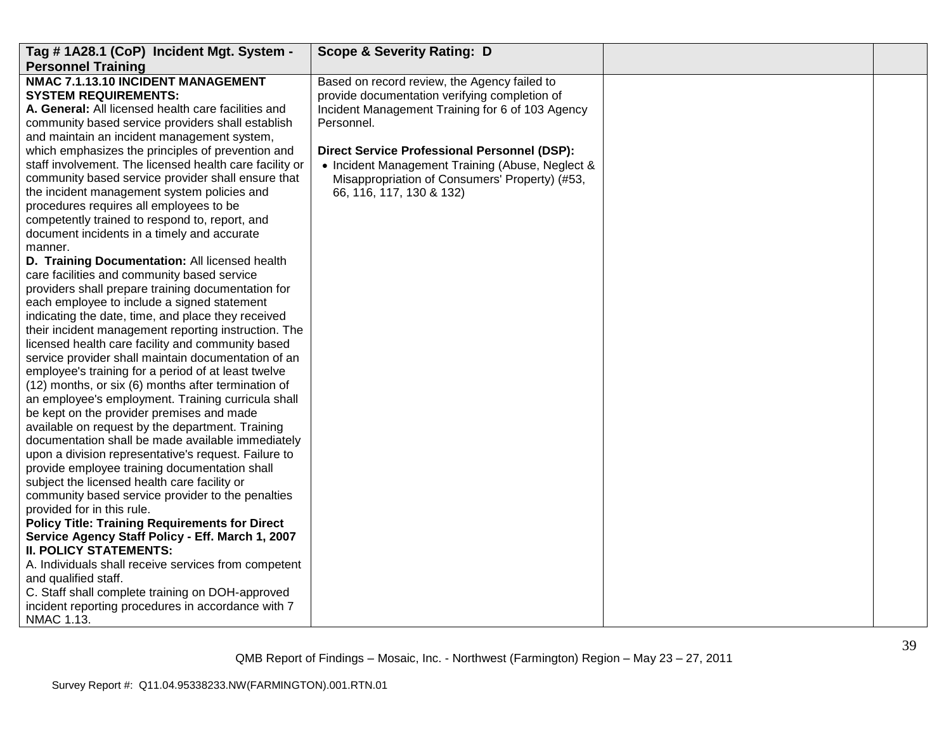| Tag #1A28.1 (CoP) Incident Mgt. System -<br><b>Personnel Training</b>                                                                                                                                                                                                                                                                                                                                                                                                                                                                                                                                                                                                                                                                                                                                                                                                                                                                                                                                                                                                                                                                                                                                                                                                                                                                                                                                                                                                                                                                                                                                                                                                                                                                                                                                                                                                                                                                                                | <b>Scope &amp; Severity Rating: D</b>                                                                                                                                                                                                                                                                                                                    |  |
|----------------------------------------------------------------------------------------------------------------------------------------------------------------------------------------------------------------------------------------------------------------------------------------------------------------------------------------------------------------------------------------------------------------------------------------------------------------------------------------------------------------------------------------------------------------------------------------------------------------------------------------------------------------------------------------------------------------------------------------------------------------------------------------------------------------------------------------------------------------------------------------------------------------------------------------------------------------------------------------------------------------------------------------------------------------------------------------------------------------------------------------------------------------------------------------------------------------------------------------------------------------------------------------------------------------------------------------------------------------------------------------------------------------------------------------------------------------------------------------------------------------------------------------------------------------------------------------------------------------------------------------------------------------------------------------------------------------------------------------------------------------------------------------------------------------------------------------------------------------------------------------------------------------------------------------------------------------------|----------------------------------------------------------------------------------------------------------------------------------------------------------------------------------------------------------------------------------------------------------------------------------------------------------------------------------------------------------|--|
| NMAC 7.1.13.10 INCIDENT MANAGEMENT<br><b>SYSTEM REQUIREMENTS:</b><br>A. General: All licensed health care facilities and<br>community based service providers shall establish<br>and maintain an incident management system,<br>which emphasizes the principles of prevention and<br>staff involvement. The licensed health care facility or<br>community based service provider shall ensure that<br>the incident management system policies and<br>procedures requires all employees to be<br>competently trained to respond to, report, and<br>document incidents in a timely and accurate<br>manner.<br>D. Training Documentation: All licensed health<br>care facilities and community based service<br>providers shall prepare training documentation for<br>each employee to include a signed statement<br>indicating the date, time, and place they received<br>their incident management reporting instruction. The<br>licensed health care facility and community based<br>service provider shall maintain documentation of an<br>employee's training for a period of at least twelve<br>(12) months, or six (6) months after termination of<br>an employee's employment. Training curricula shall<br>be kept on the provider premises and made<br>available on request by the department. Training<br>documentation shall be made available immediately<br>upon a division representative's request. Failure to<br>provide employee training documentation shall<br>subject the licensed health care facility or<br>community based service provider to the penalties<br>provided for in this rule.<br><b>Policy Title: Training Requirements for Direct</b><br>Service Agency Staff Policy - Eff. March 1, 2007<br><b>II. POLICY STATEMENTS:</b><br>A. Individuals shall receive services from competent<br>and qualified staff.<br>C. Staff shall complete training on DOH-approved<br>incident reporting procedures in accordance with 7<br>NMAC 1.13. | Based on record review, the Agency failed to<br>provide documentation verifying completion of<br>Incident Management Training for 6 of 103 Agency<br>Personnel.<br><b>Direct Service Professional Personnel (DSP):</b><br>• Incident Management Training (Abuse, Neglect &<br>Misappropriation of Consumers' Property) (#53,<br>66, 116, 117, 130 & 132) |  |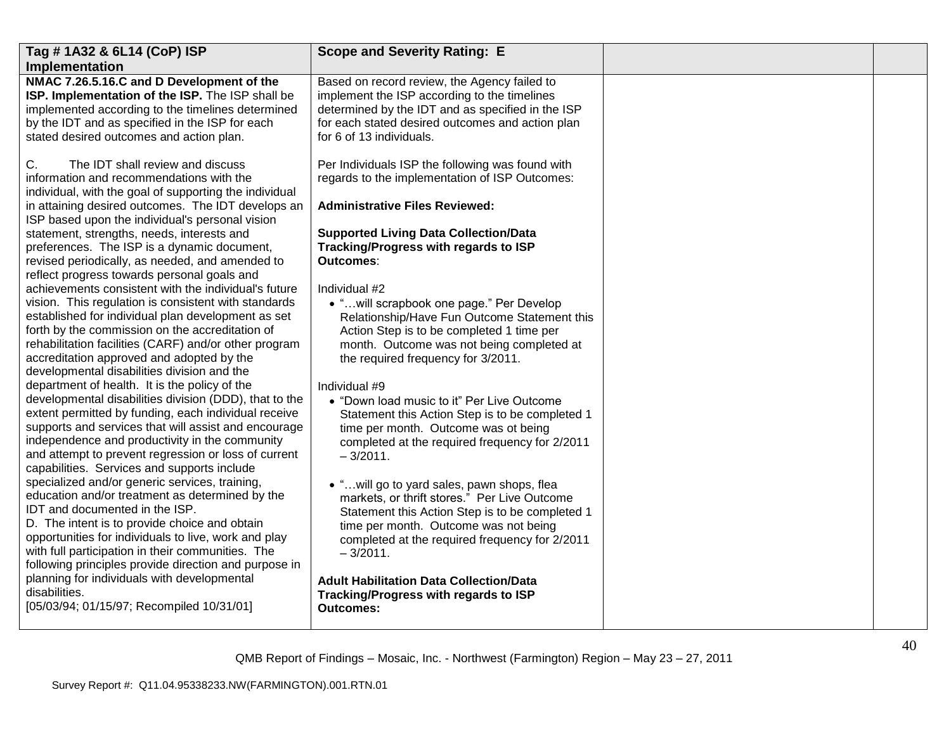| Tag #1A32 & 6L14 (CoP) ISP                                                                                                                                                                                                                                                                                                                                                                                                                                                                                                                                                                                                                                                                                                                                                                                                                                                                                                                                                                                                                                                                                                                                                                                                                                                                                                                                                                                                                                                                                                                                                                                                                                                                        | <b>Scope and Severity Rating: E</b>                                                                                                                                                                                                                                                                                                                                                                                                                                                                                                                                                                                                                                                                                                                                                                                                                                                                                                                                                                                                                                                                   |  |
|---------------------------------------------------------------------------------------------------------------------------------------------------------------------------------------------------------------------------------------------------------------------------------------------------------------------------------------------------------------------------------------------------------------------------------------------------------------------------------------------------------------------------------------------------------------------------------------------------------------------------------------------------------------------------------------------------------------------------------------------------------------------------------------------------------------------------------------------------------------------------------------------------------------------------------------------------------------------------------------------------------------------------------------------------------------------------------------------------------------------------------------------------------------------------------------------------------------------------------------------------------------------------------------------------------------------------------------------------------------------------------------------------------------------------------------------------------------------------------------------------------------------------------------------------------------------------------------------------------------------------------------------------------------------------------------------------|-------------------------------------------------------------------------------------------------------------------------------------------------------------------------------------------------------------------------------------------------------------------------------------------------------------------------------------------------------------------------------------------------------------------------------------------------------------------------------------------------------------------------------------------------------------------------------------------------------------------------------------------------------------------------------------------------------------------------------------------------------------------------------------------------------------------------------------------------------------------------------------------------------------------------------------------------------------------------------------------------------------------------------------------------------------------------------------------------------|--|
| Implementation                                                                                                                                                                                                                                                                                                                                                                                                                                                                                                                                                                                                                                                                                                                                                                                                                                                                                                                                                                                                                                                                                                                                                                                                                                                                                                                                                                                                                                                                                                                                                                                                                                                                                    |                                                                                                                                                                                                                                                                                                                                                                                                                                                                                                                                                                                                                                                                                                                                                                                                                                                                                                                                                                                                                                                                                                       |  |
| NMAC 7.26.5.16.C and D Development of the<br>ISP. Implementation of the ISP. The ISP shall be<br>implemented according to the timelines determined<br>by the IDT and as specified in the ISP for each<br>stated desired outcomes and action plan.                                                                                                                                                                                                                                                                                                                                                                                                                                                                                                                                                                                                                                                                                                                                                                                                                                                                                                                                                                                                                                                                                                                                                                                                                                                                                                                                                                                                                                                 | Based on record review, the Agency failed to<br>implement the ISP according to the timelines<br>determined by the IDT and as specified in the ISP<br>for each stated desired outcomes and action plan<br>for 6 of 13 individuals.                                                                                                                                                                                                                                                                                                                                                                                                                                                                                                                                                                                                                                                                                                                                                                                                                                                                     |  |
| C.<br>The IDT shall review and discuss<br>information and recommendations with the<br>individual, with the goal of supporting the individual<br>in attaining desired outcomes. The IDT develops an<br>ISP based upon the individual's personal vision<br>statement, strengths, needs, interests and<br>preferences. The ISP is a dynamic document,<br>revised periodically, as needed, and amended to<br>reflect progress towards personal goals and<br>achievements consistent with the individual's future<br>vision. This regulation is consistent with standards<br>established for individual plan development as set<br>forth by the commission on the accreditation of<br>rehabilitation facilities (CARF) and/or other program<br>accreditation approved and adopted by the<br>developmental disabilities division and the<br>department of health. It is the policy of the<br>developmental disabilities division (DDD), that to the<br>extent permitted by funding, each individual receive<br>supports and services that will assist and encourage<br>independence and productivity in the community<br>and attempt to prevent regression or loss of current<br>capabilities. Services and supports include<br>specialized and/or generic services, training,<br>education and/or treatment as determined by the<br>IDT and documented in the ISP.<br>D. The intent is to provide choice and obtain<br>opportunities for individuals to live, work and play<br>with full participation in their communities. The<br>following principles provide direction and purpose in<br>planning for individuals with developmental<br>disabilities.<br>[05/03/94; 01/15/97; Recompiled 10/31/01] | Per Individuals ISP the following was found with<br>regards to the implementation of ISP Outcomes:<br><b>Administrative Files Reviewed:</b><br><b>Supported Living Data Collection/Data</b><br>Tracking/Progress with regards to ISP<br>Outcomes:<br>Individual #2<br>• " will scrapbook one page." Per Develop<br>Relationship/Have Fun Outcome Statement this<br>Action Step is to be completed 1 time per<br>month. Outcome was not being completed at<br>the required frequency for 3/2011.<br>Individual #9<br>• "Down load music to it" Per Live Outcome<br>Statement this Action Step is to be completed 1<br>time per month. Outcome was ot being<br>completed at the required frequency for 2/2011<br>$-3/2011$ .<br>. " will go to yard sales, pawn shops, flea<br>markets, or thrift stores." Per Live Outcome<br>Statement this Action Step is to be completed 1<br>time per month. Outcome was not being<br>completed at the required frequency for 2/2011<br>$-3/2011$ .<br><b>Adult Habilitation Data Collection/Data</b><br>Tracking/Progress with regards to ISP<br><b>Outcomes:</b> |  |
|                                                                                                                                                                                                                                                                                                                                                                                                                                                                                                                                                                                                                                                                                                                                                                                                                                                                                                                                                                                                                                                                                                                                                                                                                                                                                                                                                                                                                                                                                                                                                                                                                                                                                                   |                                                                                                                                                                                                                                                                                                                                                                                                                                                                                                                                                                                                                                                                                                                                                                                                                                                                                                                                                                                                                                                                                                       |  |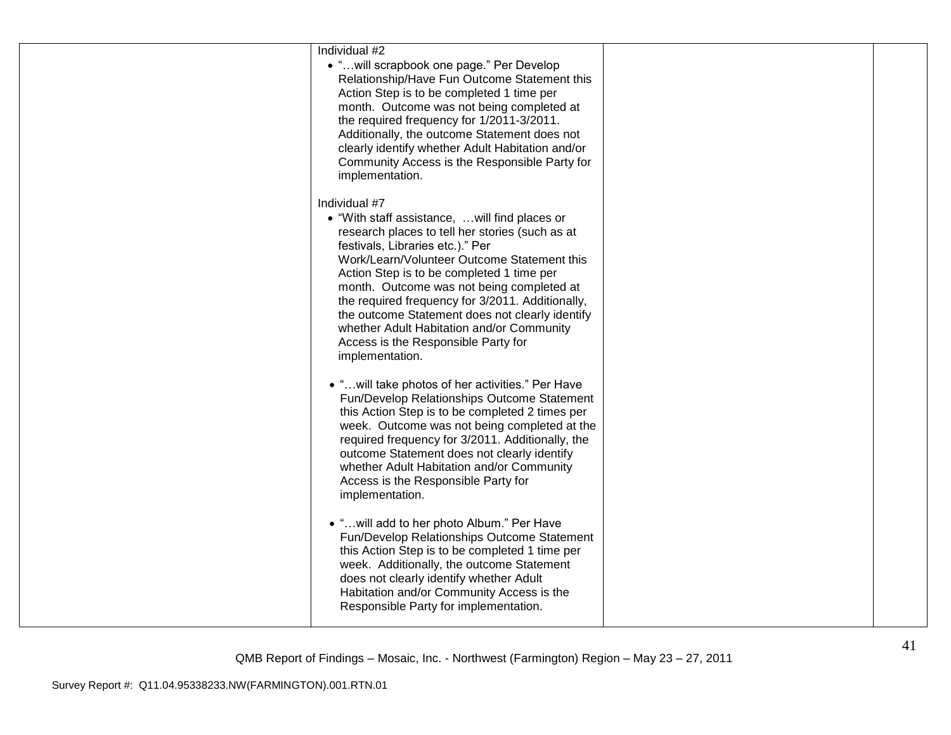| Individual #2<br>• " will scrapbook one page." Per Develop<br>Relationship/Have Fun Outcome Statement this<br>Action Step is to be completed 1 time per<br>month. Outcome was not being completed at<br>the required frequency for 1/2011-3/2011.<br>Additionally, the outcome Statement does not<br>clearly identify whether Adult Habitation and/or<br>Community Access is the Responsible Party for<br>implementation.                                                                                     |  |
|---------------------------------------------------------------------------------------------------------------------------------------------------------------------------------------------------------------------------------------------------------------------------------------------------------------------------------------------------------------------------------------------------------------------------------------------------------------------------------------------------------------|--|
| Individual #7<br>• "With staff assistance,  will find places or<br>research places to tell her stories (such as at<br>festivals, Libraries etc.)." Per<br>Work/Learn/Volunteer Outcome Statement this<br>Action Step is to be completed 1 time per<br>month. Outcome was not being completed at<br>the required frequency for 3/2011. Additionally,<br>the outcome Statement does not clearly identify<br>whether Adult Habitation and/or Community<br>Access is the Responsible Party for<br>implementation. |  |
| . " will take photos of her activities." Per Have<br>Fun/Develop Relationships Outcome Statement<br>this Action Step is to be completed 2 times per<br>week. Outcome was not being completed at the<br>required frequency for 3/2011. Additionally, the<br>outcome Statement does not clearly identify<br>whether Adult Habitation and/or Community<br>Access is the Responsible Party for<br>implementation.                                                                                                 |  |
| . " will add to her photo Album." Per Have<br>Fun/Develop Relationships Outcome Statement<br>this Action Step is to be completed 1 time per<br>week. Additionally, the outcome Statement<br>does not clearly identify whether Adult<br>Habitation and/or Community Access is the<br>Responsible Party for implementation.                                                                                                                                                                                     |  |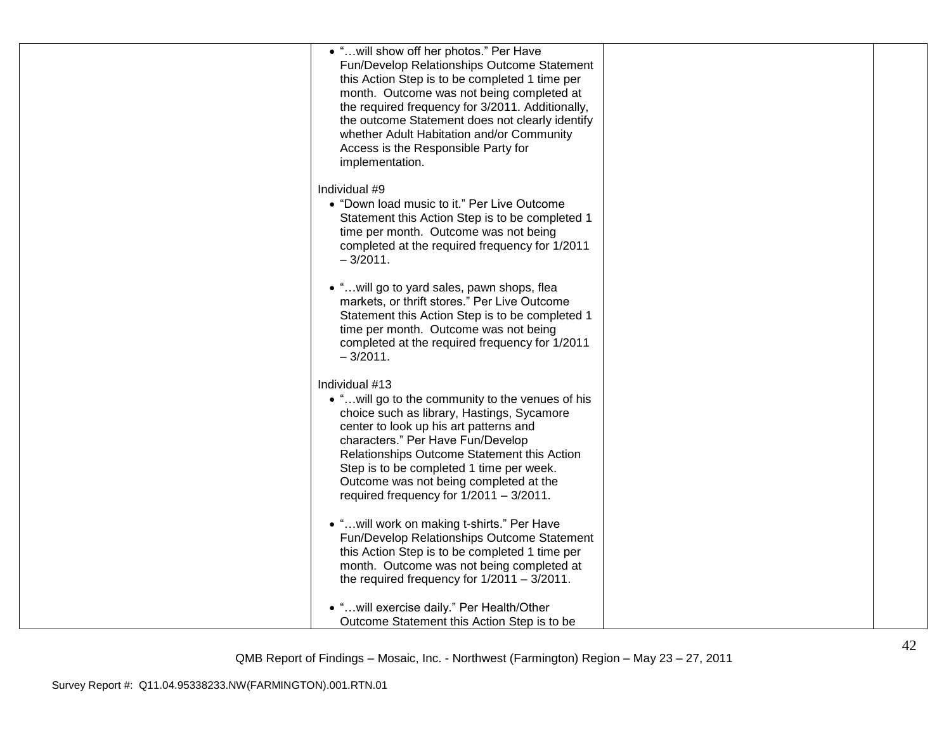| • " will show off her photos." Per Have<br>Fun/Develop Relationships Outcome Statement<br>this Action Step is to be completed 1 time per<br>month. Outcome was not being completed at<br>the required frequency for 3/2011. Additionally,<br>the outcome Statement does not clearly identify<br>whether Adult Habitation and/or Community<br>Access is the Responsible Party for<br>implementation. |  |
|-----------------------------------------------------------------------------------------------------------------------------------------------------------------------------------------------------------------------------------------------------------------------------------------------------------------------------------------------------------------------------------------------------|--|
| Individual #9<br>• "Down load music to it." Per Live Outcome<br>Statement this Action Step is to be completed 1<br>time per month. Outcome was not being<br>completed at the required frequency for 1/2011<br>$-3/2011$ .                                                                                                                                                                           |  |
| • "will go to yard sales, pawn shops, flea<br>markets, or thrift stores." Per Live Outcome<br>Statement this Action Step is to be completed 1<br>time per month. Outcome was not being<br>completed at the required frequency for 1/2011<br>$-3/2011$ .                                                                                                                                             |  |
| Individual #13<br>• " will go to the community to the venues of his<br>choice such as library, Hastings, Sycamore<br>center to look up his art patterns and<br>characters." Per Have Fun/Develop<br>Relationships Outcome Statement this Action<br>Step is to be completed 1 time per week.<br>Outcome was not being completed at the<br>required frequency for 1/2011 - 3/2011.                    |  |
| • " will work on making t-shirts." Per Have<br>Fun/Develop Relationships Outcome Statement<br>this Action Step is to be completed 1 time per<br>month. Outcome was not being completed at<br>the required frequency for $1/2011 - 3/2011$ .                                                                                                                                                         |  |
| • "will exercise daily." Per Health/Other<br>Outcome Statement this Action Step is to be                                                                                                                                                                                                                                                                                                            |  |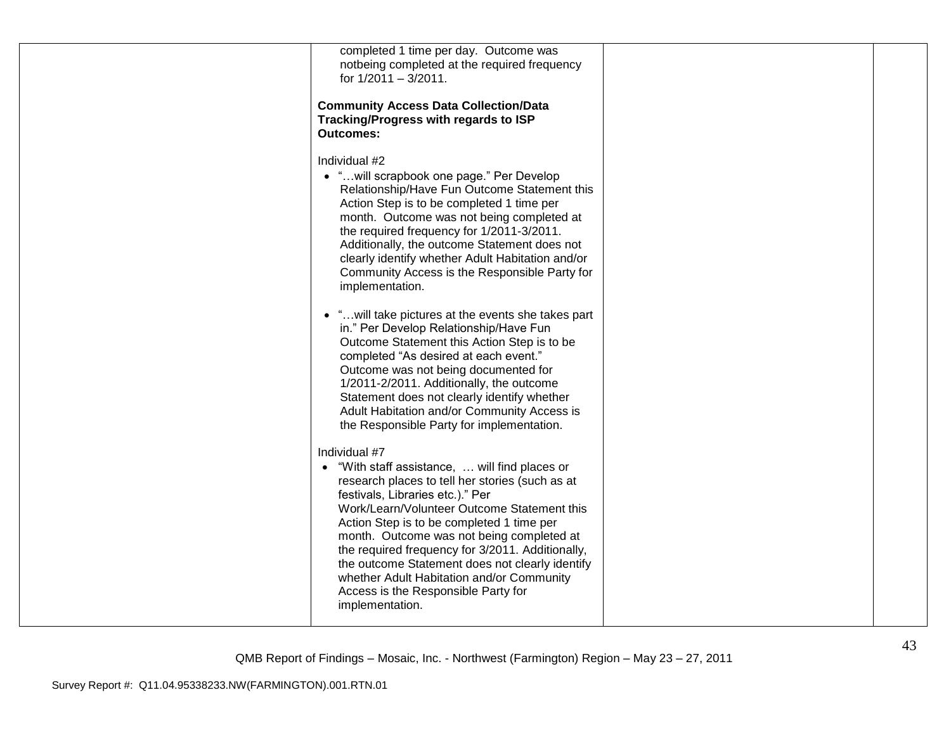| completed 1 time per day. Outcome was<br>notbeing completed at the required frequency<br>for 1/2011 - 3/2011.<br><b>Community Access Data Collection/Data</b><br>Tracking/Progress with regards to ISP<br><b>Outcomes:</b>                                                                                                                                                                                                                                                                                    |  |
|---------------------------------------------------------------------------------------------------------------------------------------------------------------------------------------------------------------------------------------------------------------------------------------------------------------------------------------------------------------------------------------------------------------------------------------------------------------------------------------------------------------|--|
| Individual #2<br>• " will scrapbook one page." Per Develop<br>Relationship/Have Fun Outcome Statement this<br>Action Step is to be completed 1 time per<br>month. Outcome was not being completed at<br>the required frequency for 1/2011-3/2011.<br>Additionally, the outcome Statement does not<br>clearly identify whether Adult Habitation and/or<br>Community Access is the Responsible Party for<br>implementation.                                                                                     |  |
| • " will take pictures at the events she takes part<br>in." Per Develop Relationship/Have Fun<br>Outcome Statement this Action Step is to be<br>completed "As desired at each event."<br>Outcome was not being documented for<br>1/2011-2/2011. Additionally, the outcome<br>Statement does not clearly identify whether<br>Adult Habitation and/or Community Access is<br>the Responsible Party for implementation.                                                                                          |  |
| Individual #7<br>• "With staff assistance,  will find places or<br>research places to tell her stories (such as at<br>festivals, Libraries etc.)." Per<br>Work/Learn/Volunteer Outcome Statement this<br>Action Step is to be completed 1 time per<br>month. Outcome was not being completed at<br>the required frequency for 3/2011. Additionally,<br>the outcome Statement does not clearly identify<br>whether Adult Habitation and/or Community<br>Access is the Responsible Party for<br>implementation. |  |
|                                                                                                                                                                                                                                                                                                                                                                                                                                                                                                               |  |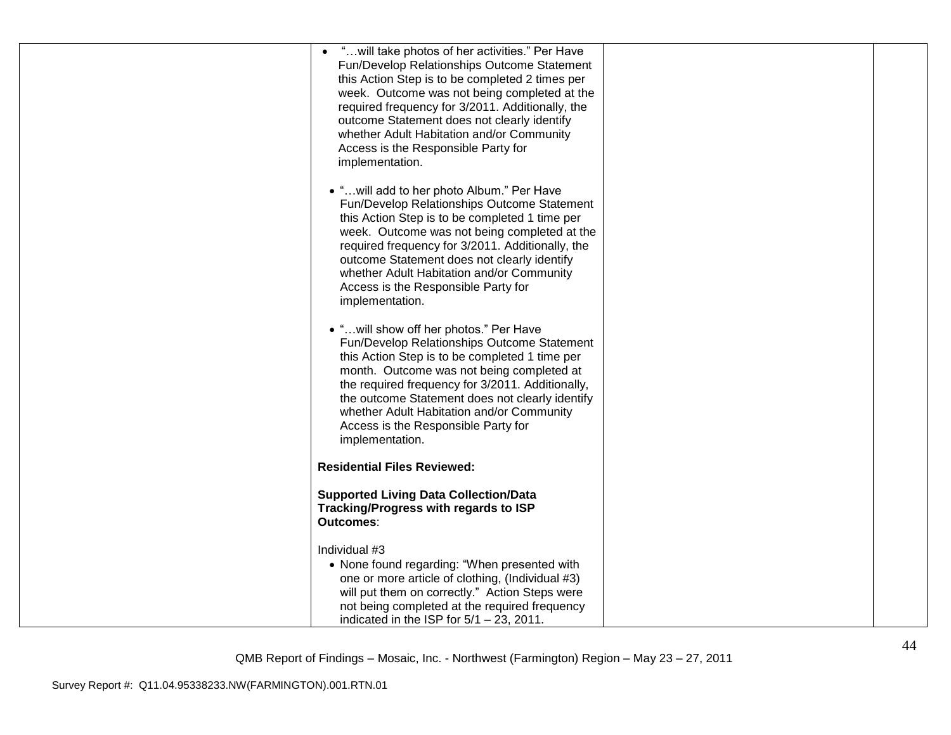| • " will take photos of her activities." Per Have<br>Fun/Develop Relationships Outcome Statement<br>this Action Step is to be completed 2 times per<br>week. Outcome was not being completed at the<br>required frequency for 3/2011. Additionally, the<br>outcome Statement does not clearly identify<br>whether Adult Habitation and/or Community<br>Access is the Responsible Party for<br>implementation. |  |
|---------------------------------------------------------------------------------------------------------------------------------------------------------------------------------------------------------------------------------------------------------------------------------------------------------------------------------------------------------------------------------------------------------------|--|
| • " will add to her photo Album." Per Have<br>Fun/Develop Relationships Outcome Statement<br>this Action Step is to be completed 1 time per<br>week. Outcome was not being completed at the<br>required frequency for 3/2011. Additionally, the<br>outcome Statement does not clearly identify<br>whether Adult Habitation and/or Community<br>Access is the Responsible Party for<br>implementation.         |  |
| • " will show off her photos." Per Have<br>Fun/Develop Relationships Outcome Statement<br>this Action Step is to be completed 1 time per<br>month. Outcome was not being completed at<br>the required frequency for 3/2011. Additionally,<br>the outcome Statement does not clearly identify<br>whether Adult Habitation and/or Community<br>Access is the Responsible Party for<br>implementation.           |  |
| <b>Residential Files Reviewed:</b>                                                                                                                                                                                                                                                                                                                                                                            |  |
| <b>Supported Living Data Collection/Data</b><br>Tracking/Progress with regards to ISP<br>Outcomes:                                                                                                                                                                                                                                                                                                            |  |
| Individual #3<br>• None found regarding: "When presented with<br>one or more article of clothing, (Individual #3)<br>will put them on correctly." Action Steps were<br>not being completed at the required frequency<br>indicated in the ISP for $5/1 - 23$ , 2011.                                                                                                                                           |  |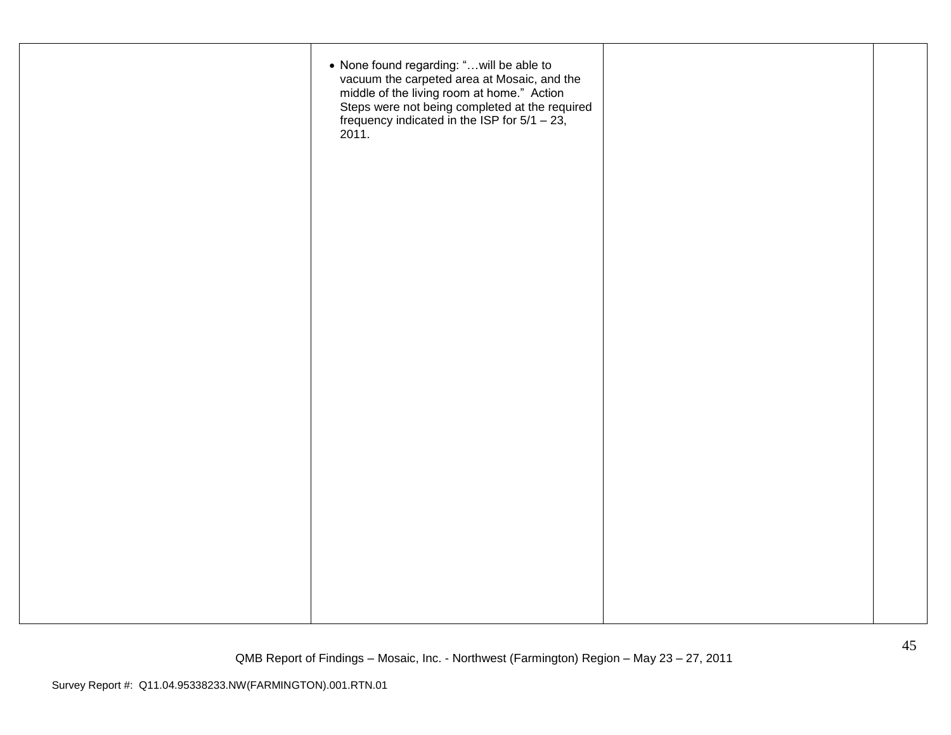| • None found regarding: "will be able to<br>vacuum the carpeted area at Mosaic, and the<br>middle of the living room at home." Action<br>Steps were not being completed at the required<br>frequency indicated in the ISP for $5/1 - 23$<br>2011. |  |
|---------------------------------------------------------------------------------------------------------------------------------------------------------------------------------------------------------------------------------------------------|--|
|                                                                                                                                                                                                                                                   |  |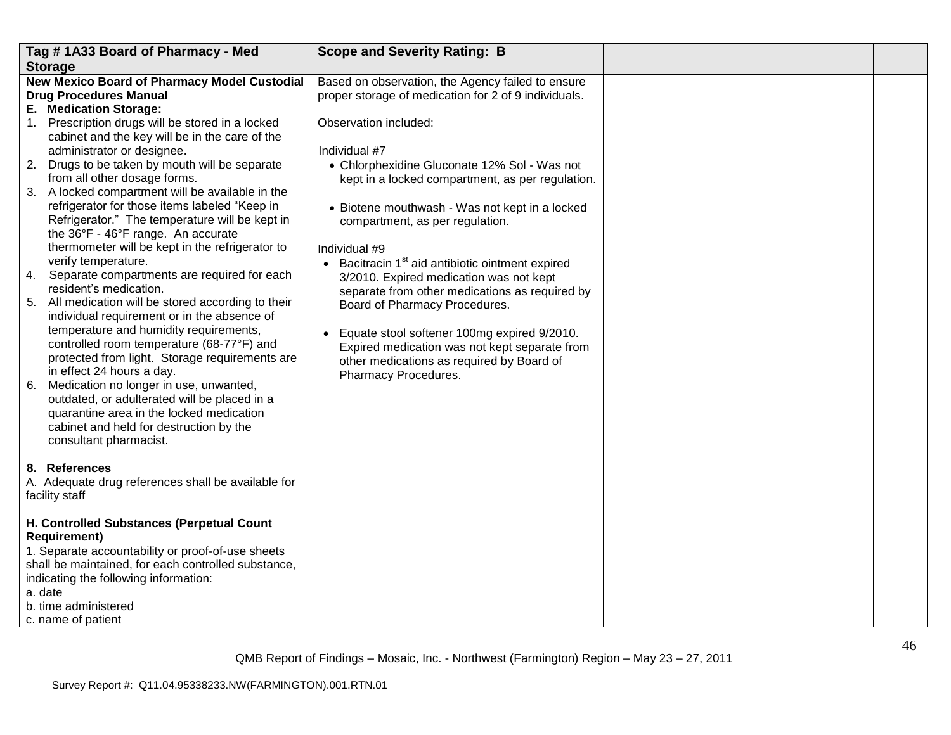|                | Tag #1A33 Board of Pharmacy - Med                                                                                                                                                                                                                                                                                                                                                                                                                                                                                                                                                                                                                                                                                                                                                                                                                                                                                                                      | <b>Scope and Severity Rating: B</b>                                                                                                                                                                                                                                                                                                                                                                                                                                                                                                                                                                                                                                                                                              |  |
|----------------|--------------------------------------------------------------------------------------------------------------------------------------------------------------------------------------------------------------------------------------------------------------------------------------------------------------------------------------------------------------------------------------------------------------------------------------------------------------------------------------------------------------------------------------------------------------------------------------------------------------------------------------------------------------------------------------------------------------------------------------------------------------------------------------------------------------------------------------------------------------------------------------------------------------------------------------------------------|----------------------------------------------------------------------------------------------------------------------------------------------------------------------------------------------------------------------------------------------------------------------------------------------------------------------------------------------------------------------------------------------------------------------------------------------------------------------------------------------------------------------------------------------------------------------------------------------------------------------------------------------------------------------------------------------------------------------------------|--|
| <b>Storage</b> |                                                                                                                                                                                                                                                                                                                                                                                                                                                                                                                                                                                                                                                                                                                                                                                                                                                                                                                                                        |                                                                                                                                                                                                                                                                                                                                                                                                                                                                                                                                                                                                                                                                                                                                  |  |
| 2.<br>4.       | New Mexico Board of Pharmacy Model Custodial<br><b>Drug Procedures Manual</b><br>E. Medication Storage:<br>1. Prescription drugs will be stored in a locked<br>cabinet and the key will be in the care of the<br>administrator or designee.<br>Drugs to be taken by mouth will be separate<br>from all other dosage forms.<br>3. A locked compartment will be available in the<br>refrigerator for those items labeled "Keep in<br>Refrigerator." The temperature will be kept in<br>the 36°F - 46°F range. An accurate<br>thermometer will be kept in the refrigerator to<br>verify temperature.<br>Separate compartments are required for each<br>resident's medication.<br>5. All medication will be stored according to their<br>individual requirement or in the absence of<br>temperature and humidity requirements,<br>controlled room temperature (68-77°F) and<br>protected from light. Storage requirements are<br>in effect 24 hours a day. | Based on observation, the Agency failed to ensure<br>proper storage of medication for 2 of 9 individuals.<br>Observation included:<br>Individual #7<br>• Chlorphexidine Gluconate 12% Sol - Was not<br>kept in a locked compartment, as per regulation.<br>• Biotene mouthwash - Was not kept in a locked<br>compartment, as per regulation.<br>Individual #9<br>• Bacitracin 1 <sup>st</sup> aid antibiotic ointment expired<br>3/2010. Expired medication was not kept<br>separate from other medications as required by<br>Board of Pharmacy Procedures.<br>Equate stool softener 100mg expired 9/2010.<br>Expired medication was not kept separate from<br>other medications as required by Board of<br>Pharmacy Procedures. |  |
| 6.             | Medication no longer in use, unwanted,<br>outdated, or adulterated will be placed in a<br>quarantine area in the locked medication<br>cabinet and held for destruction by the<br>consultant pharmacist.<br>8. References<br>A. Adequate drug references shall be available for<br>facility staff                                                                                                                                                                                                                                                                                                                                                                                                                                                                                                                                                                                                                                                       |                                                                                                                                                                                                                                                                                                                                                                                                                                                                                                                                                                                                                                                                                                                                  |  |
|                | H. Controlled Substances (Perpetual Count<br><b>Requirement)</b><br>1. Separate accountability or proof-of-use sheets<br>shall be maintained, for each controlled substance,<br>indicating the following information:<br>a. date<br>b. time administered<br>c. name of patient                                                                                                                                                                                                                                                                                                                                                                                                                                                                                                                                                                                                                                                                         |                                                                                                                                                                                                                                                                                                                                                                                                                                                                                                                                                                                                                                                                                                                                  |  |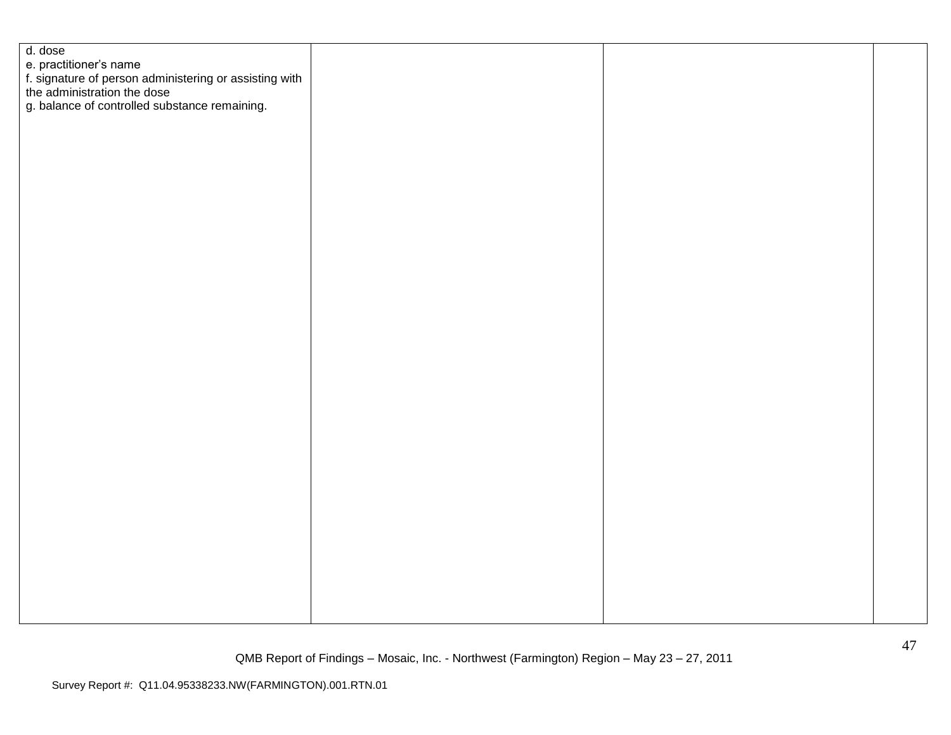| d. dose<br>e. practitioner's name<br>f. signature of person administering or assisting with<br>the administration the dose |  |  |
|----------------------------------------------------------------------------------------------------------------------------|--|--|
| g. balance of controlled substance remaining.                                                                              |  |  |
|                                                                                                                            |  |  |
|                                                                                                                            |  |  |
|                                                                                                                            |  |  |
|                                                                                                                            |  |  |
|                                                                                                                            |  |  |
|                                                                                                                            |  |  |
|                                                                                                                            |  |  |
|                                                                                                                            |  |  |
|                                                                                                                            |  |  |
|                                                                                                                            |  |  |
|                                                                                                                            |  |  |
|                                                                                                                            |  |  |
|                                                                                                                            |  |  |
|                                                                                                                            |  |  |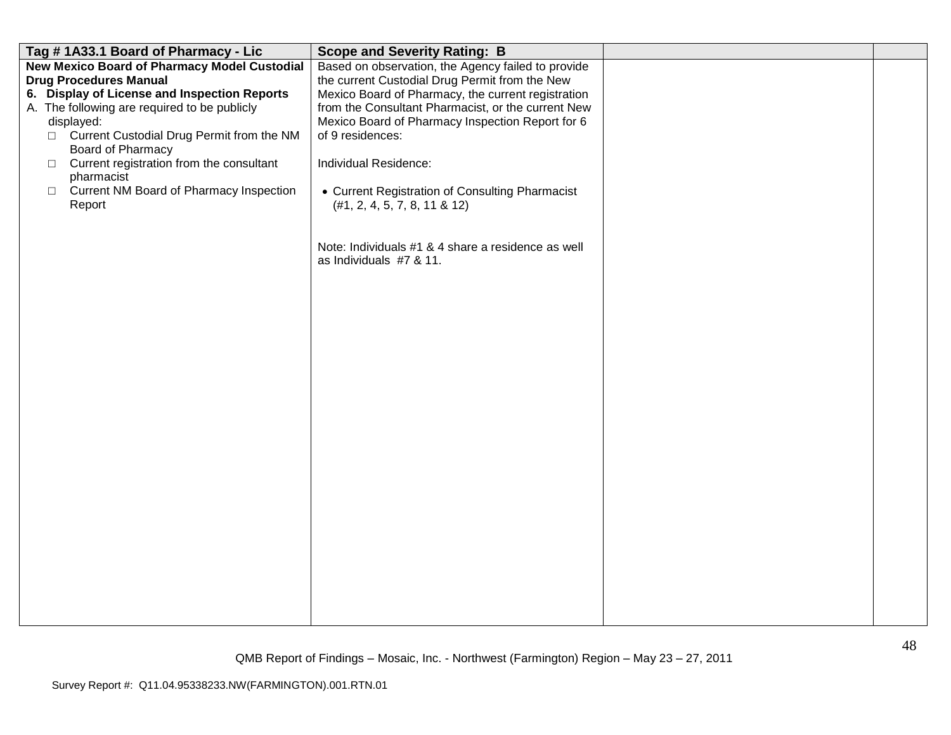| Tag #1A33.1 Board of Pharmacy - Lic                                                                                                                                                                                                                                                                                                                                                                           | <b>Scope and Severity Rating: B</b>                                                                                                                                                                                                                                                                                                                                                                     |  |
|---------------------------------------------------------------------------------------------------------------------------------------------------------------------------------------------------------------------------------------------------------------------------------------------------------------------------------------------------------------------------------------------------------------|---------------------------------------------------------------------------------------------------------------------------------------------------------------------------------------------------------------------------------------------------------------------------------------------------------------------------------------------------------------------------------------------------------|--|
| <b>New Mexico Board of Pharmacy Model Custodial</b><br><b>Drug Procedures Manual</b><br>6. Display of License and Inspection Reports<br>A. The following are required to be publicly<br>displayed:<br>□ Current Custodial Drug Permit from the NM<br>Board of Pharmacy<br>$\Box$ Current registration from the consultant<br>pharmacist<br><b>Current NM Board of Pharmacy Inspection</b><br>$\Box$<br>Report | Based on observation, the Agency failed to provide<br>the current Custodial Drug Permit from the New<br>Mexico Board of Pharmacy, the current registration<br>from the Consultant Pharmacist, or the current New<br>Mexico Board of Pharmacy Inspection Report for 6<br>of 9 residences:<br>Individual Residence:<br>• Current Registration of Consulting Pharmacist<br>$(#1, 2, 4, 5, 7, 8, 11 \& 12)$ |  |
|                                                                                                                                                                                                                                                                                                                                                                                                               | Note: Individuals #1 & 4 share a residence as well<br>as Individuals #7 & 11.                                                                                                                                                                                                                                                                                                                           |  |
|                                                                                                                                                                                                                                                                                                                                                                                                               |                                                                                                                                                                                                                                                                                                                                                                                                         |  |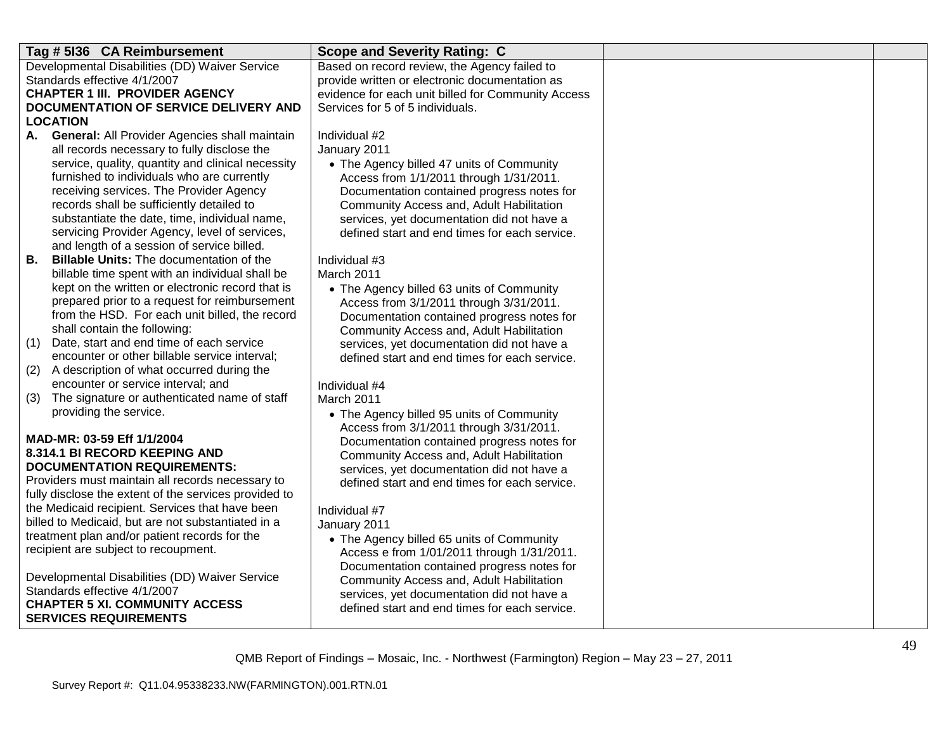| Tag # 5136 CA Reimbursement                                | <b>Scope and Severity Rating: C</b>                |  |
|------------------------------------------------------------|----------------------------------------------------|--|
| Developmental Disabilities (DD) Waiver Service             | Based on record review, the Agency failed to       |  |
| Standards effective 4/1/2007                               | provide written or electronic documentation as     |  |
| <b>CHAPTER 1 III. PROVIDER AGENCY</b>                      | evidence for each unit billed for Community Access |  |
| DOCUMENTATION OF SERVICE DELIVERY AND                      | Services for 5 of 5 individuals.                   |  |
| <b>LOCATION</b>                                            |                                                    |  |
| <b>General: All Provider Agencies shall maintain</b><br>А. | Individual #2                                      |  |
| all records necessary to fully disclose the                | January 2011                                       |  |
| service, quality, quantity and clinical necessity          | • The Agency billed 47 units of Community          |  |
| furnished to individuals who are currently                 | Access from 1/1/2011 through 1/31/2011.            |  |
| receiving services. The Provider Agency                    | Documentation contained progress notes for         |  |
| records shall be sufficiently detailed to                  | Community Access and, Adult Habilitation           |  |
| substantiate the date, time, individual name,              | services, yet documentation did not have a         |  |
| servicing Provider Agency, level of services,              | defined start and end times for each service.      |  |
| and length of a session of service billed.                 |                                                    |  |
| <b>Billable Units: The documentation of the</b><br>В.      | Individual #3                                      |  |
| billable time spent with an individual shall be            | March 2011                                         |  |
| kept on the written or electronic record that is           |                                                    |  |
| prepared prior to a request for reimbursement              | • The Agency billed 63 units of Community          |  |
| from the HSD. For each unit billed, the record             | Access from 3/1/2011 through 3/31/2011.            |  |
| shall contain the following:                               | Documentation contained progress notes for         |  |
| Date, start and end time of each service                   | Community Access and, Adult Habilitation           |  |
| (1)                                                        | services, yet documentation did not have a         |  |
| encounter or other billable service interval;              | defined start and end times for each service.      |  |
| A description of what occurred during the<br>(2)           |                                                    |  |
| encounter or service interval; and                         | Individual #4                                      |  |
| The signature or authenticated name of staff<br>(3)        | March 2011                                         |  |
| providing the service.                                     | • The Agency billed 95 units of Community          |  |
|                                                            | Access from 3/1/2011 through 3/31/2011.            |  |
| MAD-MR: 03-59 Eff 1/1/2004                                 | Documentation contained progress notes for         |  |
| 8.314.1 BI RECORD KEEPING AND                              | Community Access and, Adult Habilitation           |  |
| <b>DOCUMENTATION REQUIREMENTS:</b>                         | services, yet documentation did not have a         |  |
| Providers must maintain all records necessary to           | defined start and end times for each service.      |  |
| fully disclose the extent of the services provided to      |                                                    |  |
| the Medicaid recipient. Services that have been            | Individual #7                                      |  |
| billed to Medicaid, but are not substantiated in a         | January 2011                                       |  |
| treatment plan and/or patient records for the              | • The Agency billed 65 units of Community          |  |
| recipient are subject to recoupment.                       | Access e from 1/01/2011 through 1/31/2011.         |  |
|                                                            | Documentation contained progress notes for         |  |
| Developmental Disabilities (DD) Waiver Service             | Community Access and, Adult Habilitation           |  |
| Standards effective 4/1/2007                               | services, yet documentation did not have a         |  |
| <b>CHAPTER 5 XI. COMMUNITY ACCESS</b>                      | defined start and end times for each service.      |  |
| <b>SERVICES REQUIREMENTS</b>                               |                                                    |  |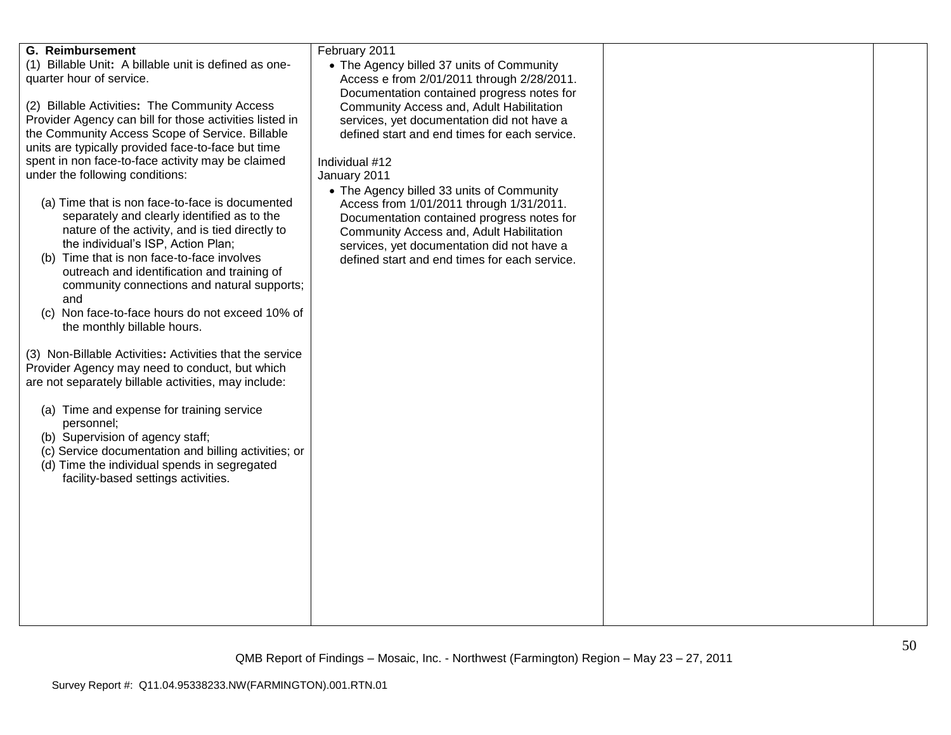| <b>G.</b> Reimbursement<br>(1) Billable Unit: A billable unit is defined as one-<br>quarter hour of service.<br>(2) Billable Activities: The Community Access<br>Provider Agency can bill for those activities listed in<br>the Community Access Scope of Service. Billable<br>units are typically provided face-to-face but time<br>spent in non face-to-face activity may be claimed<br>under the following conditions:<br>(a) Time that is non face-to-face is documented<br>separately and clearly identified as to the<br>nature of the activity, and is tied directly to<br>the individual's ISP, Action Plan;<br>Time that is non face-to-face involves<br>(b)<br>outreach and identification and training of<br>community connections and natural supports;<br>and<br>Non face-to-face hours do not exceed 10% of<br>(C)<br>the monthly billable hours.<br>(3) Non-Billable Activities: Activities that the service<br>Provider Agency may need to conduct, but which<br>are not separately billable activities, may include:<br>(a) Time and expense for training service<br>personnel;<br>(b) Supervision of agency staff;<br>(c) Service documentation and billing activities; or<br>(d) Time the individual spends in segregated<br>facility-based settings activities. | February 2011<br>• The Agency billed 37 units of Community<br>Access e from 2/01/2011 through 2/28/2011.<br>Documentation contained progress notes for<br>Community Access and, Adult Habilitation<br>services, yet documentation did not have a<br>defined start and end times for each service.<br>Individual #12<br>January 2011<br>• The Agency billed 33 units of Community<br>Access from 1/01/2011 through 1/31/2011.<br>Documentation contained progress notes for<br>Community Access and, Adult Habilitation<br>services, yet documentation did not have a<br>defined start and end times for each service. |  |
|-------------------------------------------------------------------------------------------------------------------------------------------------------------------------------------------------------------------------------------------------------------------------------------------------------------------------------------------------------------------------------------------------------------------------------------------------------------------------------------------------------------------------------------------------------------------------------------------------------------------------------------------------------------------------------------------------------------------------------------------------------------------------------------------------------------------------------------------------------------------------------------------------------------------------------------------------------------------------------------------------------------------------------------------------------------------------------------------------------------------------------------------------------------------------------------------------------------------------------------------------------------------------------------|-----------------------------------------------------------------------------------------------------------------------------------------------------------------------------------------------------------------------------------------------------------------------------------------------------------------------------------------------------------------------------------------------------------------------------------------------------------------------------------------------------------------------------------------------------------------------------------------------------------------------|--|
|                                                                                                                                                                                                                                                                                                                                                                                                                                                                                                                                                                                                                                                                                                                                                                                                                                                                                                                                                                                                                                                                                                                                                                                                                                                                                     |                                                                                                                                                                                                                                                                                                                                                                                                                                                                                                                                                                                                                       |  |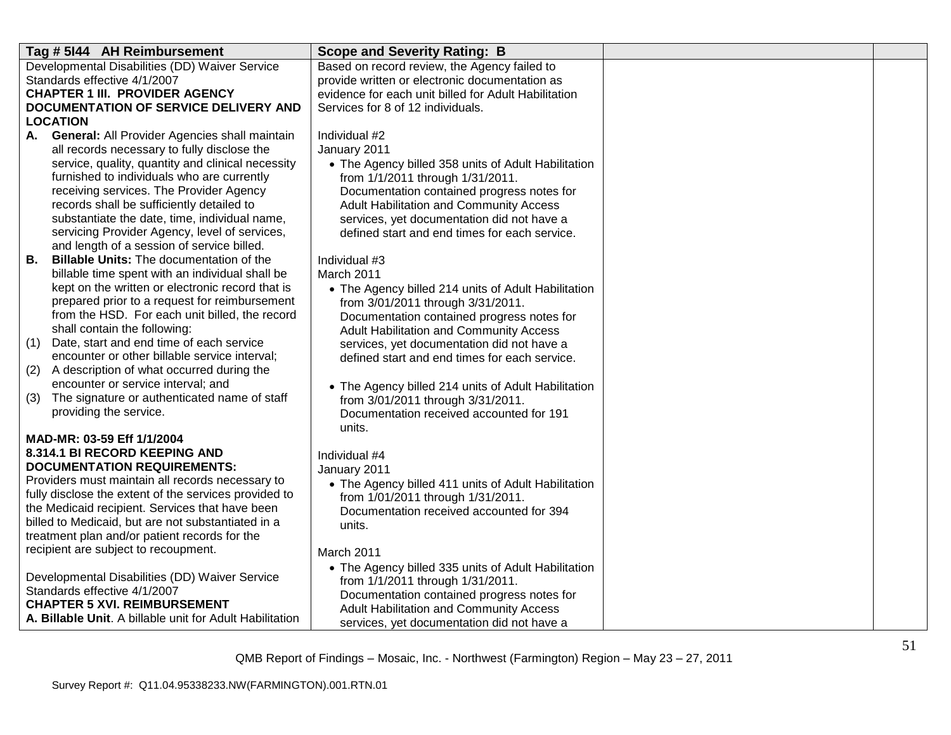| Tag # 5144 AH Reimbursement                                                                      | <b>Scope and Severity Rating: B</b>                                                      |  |
|--------------------------------------------------------------------------------------------------|------------------------------------------------------------------------------------------|--|
| Developmental Disabilities (DD) Waiver Service                                                   | Based on record review, the Agency failed to                                             |  |
| Standards effective 4/1/2007                                                                     | provide written or electronic documentation as                                           |  |
| <b>CHAPTER 1 III. PROVIDER AGENCY</b>                                                            | evidence for each unit billed for Adult Habilitation                                     |  |
| DOCUMENTATION OF SERVICE DELIVERY AND                                                            | Services for 8 of 12 individuals.                                                        |  |
| <b>LOCATION</b>                                                                                  |                                                                                          |  |
| A. General: All Provider Agencies shall maintain                                                 | Individual #2                                                                            |  |
| all records necessary to fully disclose the                                                      | January 2011                                                                             |  |
| service, quality, quantity and clinical necessity                                                | • The Agency billed 358 units of Adult Habilitation                                      |  |
| furnished to individuals who are currently                                                       | from 1/1/2011 through 1/31/2011.                                                         |  |
| receiving services. The Provider Agency                                                          | Documentation contained progress notes for                                               |  |
| records shall be sufficiently detailed to                                                        | Adult Habilitation and Community Access                                                  |  |
| substantiate the date, time, individual name,                                                    | services, yet documentation did not have a                                               |  |
| servicing Provider Agency, level of services,                                                    | defined start and end times for each service.                                            |  |
| and length of a session of service billed.                                                       |                                                                                          |  |
| <b>Billable Units: The documentation of the</b><br>В.                                            | Individual #3                                                                            |  |
| billable time spent with an individual shall be                                                  | March 2011                                                                               |  |
| kept on the written or electronic record that is                                                 | • The Agency billed 214 units of Adult Habilitation                                      |  |
| prepared prior to a request for reimbursement                                                    | from 3/01/2011 through 3/31/2011.                                                        |  |
| from the HSD. For each unit billed, the record                                                   | Documentation contained progress notes for                                               |  |
| shall contain the following:                                                                     | Adult Habilitation and Community Access                                                  |  |
| Date, start and end time of each service<br>(1)<br>encounter or other billable service interval; | services, yet documentation did not have a                                               |  |
| (2)<br>A description of what occurred during the                                                 | defined start and end times for each service.                                            |  |
| encounter or service interval; and                                                               |                                                                                          |  |
| The signature or authenticated name of staff<br>(3)                                              | • The Agency billed 214 units of Adult Habilitation<br>from 3/01/2011 through 3/31/2011. |  |
| providing the service.                                                                           | Documentation received accounted for 191                                                 |  |
|                                                                                                  | units.                                                                                   |  |
| MAD-MR: 03-59 Eff 1/1/2004                                                                       |                                                                                          |  |
| 8.314.1 BI RECORD KEEPING AND                                                                    | Individual #4                                                                            |  |
| <b>DOCUMENTATION REQUIREMENTS:</b>                                                               | January 2011                                                                             |  |
| Providers must maintain all records necessary to                                                 | • The Agency billed 411 units of Adult Habilitation                                      |  |
| fully disclose the extent of the services provided to                                            | from 1/01/2011 through 1/31/2011.                                                        |  |
| the Medicaid recipient. Services that have been                                                  | Documentation received accounted for 394                                                 |  |
| billed to Medicaid, but are not substantiated in a                                               | units.                                                                                   |  |
| treatment plan and/or patient records for the                                                    |                                                                                          |  |
| recipient are subject to recoupment.                                                             | March 2011                                                                               |  |
|                                                                                                  | • The Agency billed 335 units of Adult Habilitation                                      |  |
| Developmental Disabilities (DD) Waiver Service                                                   | from 1/1/2011 through 1/31/2011.                                                         |  |
| Standards effective 4/1/2007                                                                     | Documentation contained progress notes for                                               |  |
| <b>CHAPTER 5 XVI. REIMBURSEMENT</b>                                                              | Adult Habilitation and Community Access                                                  |  |
| A. Billable Unit. A billable unit for Adult Habilitation                                         | services, yet documentation did not have a                                               |  |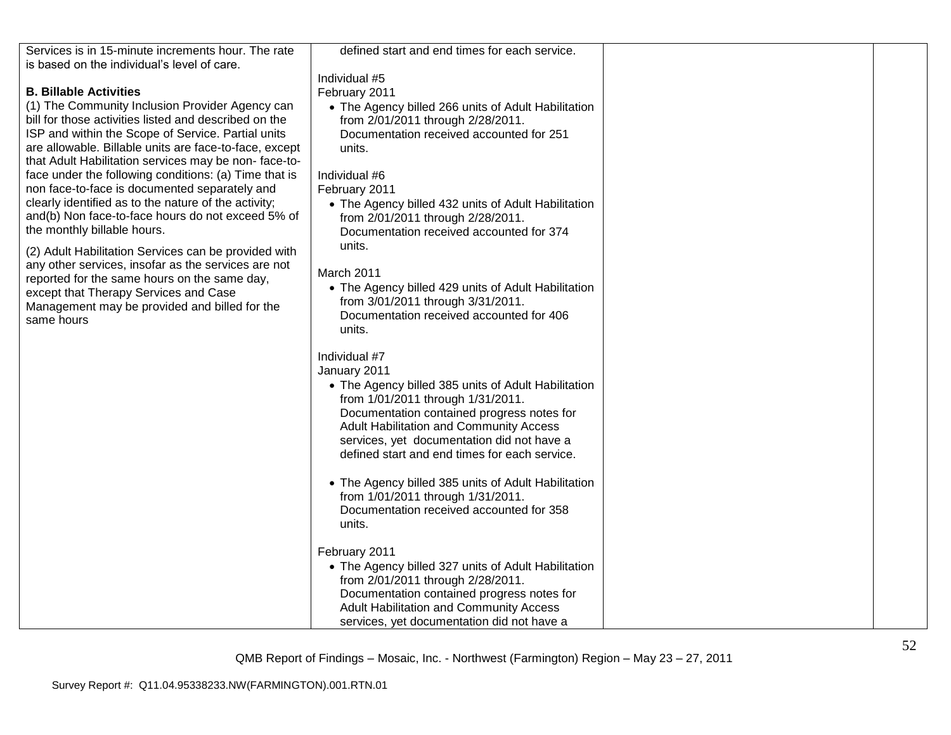| Services is in 15-minute increments hour. The rate     | defined start and end times for each service.       |  |
|--------------------------------------------------------|-----------------------------------------------------|--|
| is based on the individual's level of care.            |                                                     |  |
|                                                        | Individual #5                                       |  |
| <b>B. Billable Activities</b>                          | February 2011                                       |  |
| (1) The Community Inclusion Provider Agency can        | • The Agency billed 266 units of Adult Habilitation |  |
| bill for those activities listed and described on the  | from 2/01/2011 through 2/28/2011.                   |  |
| ISP and within the Scope of Service. Partial units     | Documentation received accounted for 251            |  |
| are allowable. Billable units are face-to-face, except | units.                                              |  |
| that Adult Habilitation services may be non-face-to-   |                                                     |  |
| face under the following conditions: (a) Time that is  | Individual #6                                       |  |
| non face-to-face is documented separately and          | February 2011                                       |  |
| clearly identified as to the nature of the activity;   | • The Agency billed 432 units of Adult Habilitation |  |
| and(b) Non face-to-face hours do not exceed 5% of      | from 2/01/2011 through 2/28/2011.                   |  |
| the monthly billable hours.                            | Documentation received accounted for 374            |  |
| (2) Adult Habilitation Services can be provided with   | units.                                              |  |
| any other services, insofar as the services are not    |                                                     |  |
| reported for the same hours on the same day,           | March 2011                                          |  |
| except that Therapy Services and Case                  | • The Agency billed 429 units of Adult Habilitation |  |
| Management may be provided and billed for the          | from 3/01/2011 through 3/31/2011.                   |  |
| same hours                                             | Documentation received accounted for 406            |  |
|                                                        | units.                                              |  |
|                                                        | Individual #7                                       |  |
|                                                        | January 2011                                        |  |
|                                                        | • The Agency billed 385 units of Adult Habilitation |  |
|                                                        | from 1/01/2011 through 1/31/2011.                   |  |
|                                                        | Documentation contained progress notes for          |  |
|                                                        | Adult Habilitation and Community Access             |  |
|                                                        | services, yet documentation did not have a          |  |
|                                                        | defined start and end times for each service.       |  |
|                                                        |                                                     |  |
|                                                        | • The Agency billed 385 units of Adult Habilitation |  |
|                                                        | from 1/01/2011 through 1/31/2011.                   |  |
|                                                        | Documentation received accounted for 358            |  |
|                                                        | units.                                              |  |
|                                                        |                                                     |  |
|                                                        | February 2011                                       |  |
|                                                        | • The Agency billed 327 units of Adult Habilitation |  |
|                                                        | from 2/01/2011 through 2/28/2011.                   |  |
|                                                        | Documentation contained progress notes for          |  |
|                                                        | Adult Habilitation and Community Access             |  |
|                                                        | services, yet documentation did not have a          |  |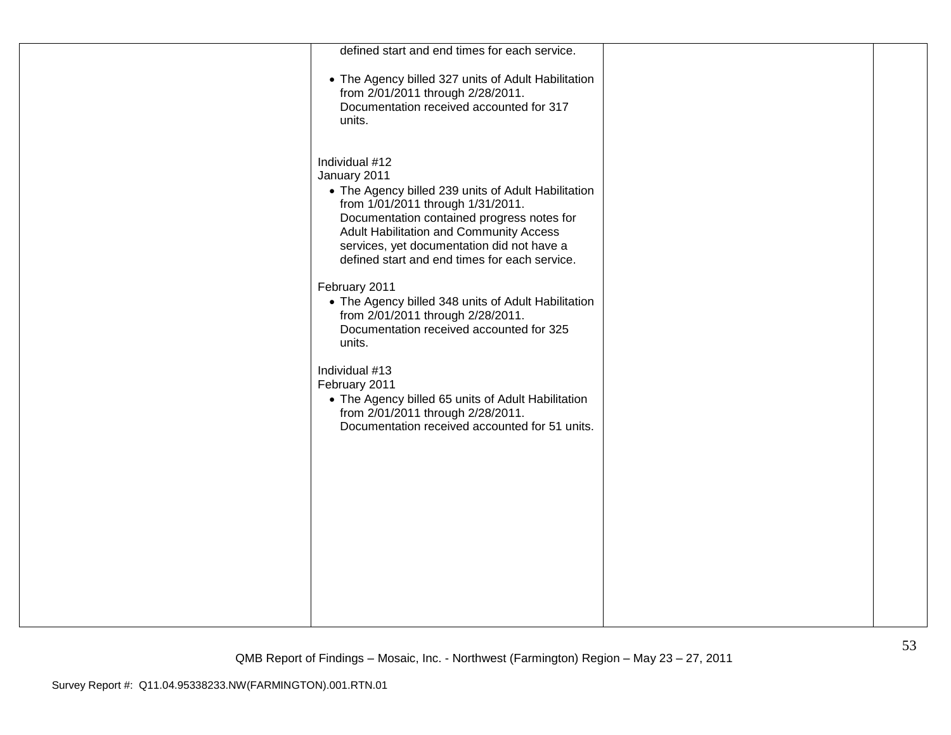| defined start and end times for each service.<br>• The Agency billed 327 units of Adult Habilitation<br>from 2/01/2011 through 2/28/2011.<br>Documentation received accounted for 317<br>units.<br>Individual #12<br>January 2011<br>• The Agency billed 239 units of Adult Habilitation<br>from 1/01/2011 through 1/31/2011.<br>Documentation contained progress notes for<br>Adult Habilitation and Community Access<br>services, yet documentation did not have a<br>defined start and end times for each service.<br>February 2011<br>• The Agency billed 348 units of Adult Habilitation<br>from 2/01/2011 through 2/28/2011.<br>Documentation received accounted for 325<br>units.<br>Individual #13<br>February 2011<br>• The Agency billed 65 units of Adult Habilitation<br>from 2/01/2011 through 2/28/2011.<br>Documentation received accounted for 51 units. |  |  |
|--------------------------------------------------------------------------------------------------------------------------------------------------------------------------------------------------------------------------------------------------------------------------------------------------------------------------------------------------------------------------------------------------------------------------------------------------------------------------------------------------------------------------------------------------------------------------------------------------------------------------------------------------------------------------------------------------------------------------------------------------------------------------------------------------------------------------------------------------------------------------|--|--|
|                                                                                                                                                                                                                                                                                                                                                                                                                                                                                                                                                                                                                                                                                                                                                                                                                                                                          |  |  |
|                                                                                                                                                                                                                                                                                                                                                                                                                                                                                                                                                                                                                                                                                                                                                                                                                                                                          |  |  |
|                                                                                                                                                                                                                                                                                                                                                                                                                                                                                                                                                                                                                                                                                                                                                                                                                                                                          |  |  |
|                                                                                                                                                                                                                                                                                                                                                                                                                                                                                                                                                                                                                                                                                                                                                                                                                                                                          |  |  |
|                                                                                                                                                                                                                                                                                                                                                                                                                                                                                                                                                                                                                                                                                                                                                                                                                                                                          |  |  |
|                                                                                                                                                                                                                                                                                                                                                                                                                                                                                                                                                                                                                                                                                                                                                                                                                                                                          |  |  |
|                                                                                                                                                                                                                                                                                                                                                                                                                                                                                                                                                                                                                                                                                                                                                                                                                                                                          |  |  |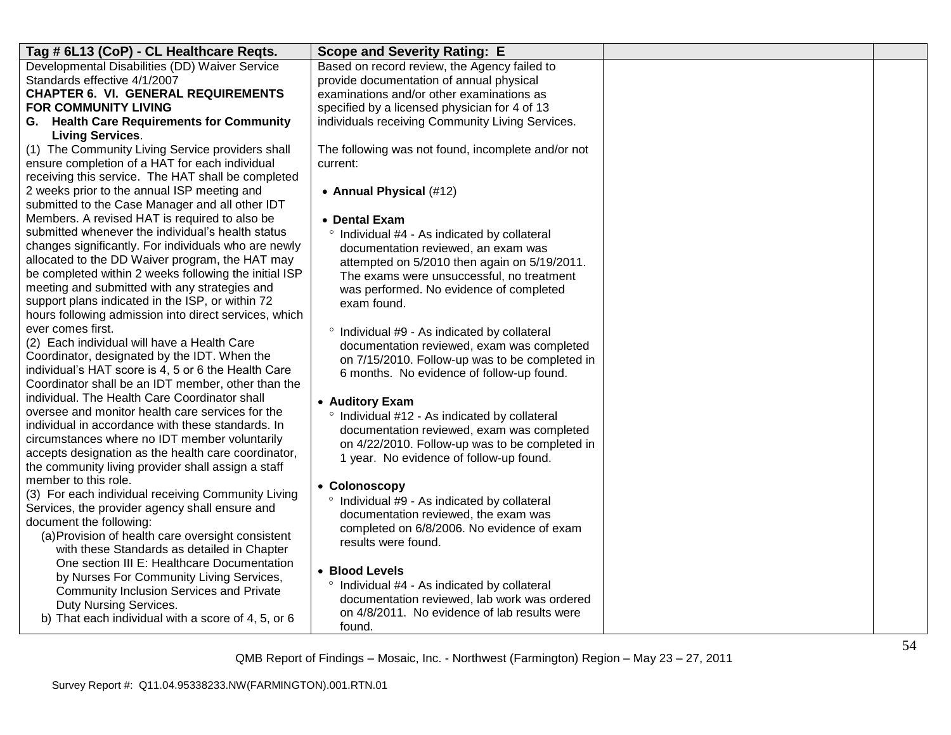| Tag # 6L13 (CoP) - CL Healthcare Regts.                                                                  | <b>Scope and Severity Rating: E</b>                                                               |  |
|----------------------------------------------------------------------------------------------------------|---------------------------------------------------------------------------------------------------|--|
| Developmental Disabilities (DD) Waiver Service                                                           | Based on record review, the Agency failed to                                                      |  |
| Standards effective 4/1/2007                                                                             | provide documentation of annual physical                                                          |  |
| <b>CHAPTER 6. VI. GENERAL REQUIREMENTS</b>                                                               | examinations and/or other examinations as                                                         |  |
| <b>FOR COMMUNITY LIVING</b><br>G. Health Care Requirements for Community                                 | specified by a licensed physician for 4 of 13<br>individuals receiving Community Living Services. |  |
| <b>Living Services.</b>                                                                                  |                                                                                                   |  |
| (1) The Community Living Service providers shall                                                         | The following was not found, incomplete and/or not                                                |  |
| ensure completion of a HAT for each individual                                                           | current:                                                                                          |  |
| receiving this service. The HAT shall be completed                                                       |                                                                                                   |  |
| 2 weeks prior to the annual ISP meeting and                                                              | • Annual Physical (#12)                                                                           |  |
| submitted to the Case Manager and all other IDT                                                          |                                                                                                   |  |
| Members. A revised HAT is required to also be                                                            | • Dental Exam                                                                                     |  |
| submitted whenever the individual's health status                                                        | ° Individual #4 - As indicated by collateral                                                      |  |
| changes significantly. For individuals who are newly                                                     | documentation reviewed, an exam was                                                               |  |
| allocated to the DD Waiver program, the HAT may<br>be completed within 2 weeks following the initial ISP | attempted on 5/2010 then again on 5/19/2011.                                                      |  |
| meeting and submitted with any strategies and                                                            | The exams were unsuccessful, no treatment                                                         |  |
| support plans indicated in the ISP, or within 72                                                         | was performed. No evidence of completed<br>exam found.                                            |  |
| hours following admission into direct services, which                                                    |                                                                                                   |  |
| ever comes first.                                                                                        | <sup>o</sup> Individual #9 - As indicated by collateral                                           |  |
| (2) Each individual will have a Health Care                                                              | documentation reviewed, exam was completed                                                        |  |
| Coordinator, designated by the IDT. When the                                                             | on 7/15/2010. Follow-up was to be completed in                                                    |  |
| individual's HAT score is 4, 5 or 6 the Health Care                                                      | 6 months. No evidence of follow-up found.                                                         |  |
| Coordinator shall be an IDT member, other than the                                                       |                                                                                                   |  |
| individual. The Health Care Coordinator shall                                                            | • Auditory Exam                                                                                   |  |
| oversee and monitor health care services for the<br>individual in accordance with these standards. In    | ° Individual #12 - As indicated by collateral                                                     |  |
| circumstances where no IDT member voluntarily                                                            | documentation reviewed, exam was completed                                                        |  |
| accepts designation as the health care coordinator,                                                      | on 4/22/2010. Follow-up was to be completed in                                                    |  |
| the community living provider shall assign a staff                                                       | 1 year. No evidence of follow-up found.                                                           |  |
| member to this role.                                                                                     | • Colonoscopy                                                                                     |  |
| (3) For each individual receiving Community Living                                                       | Individual #9 - As indicated by collateral                                                        |  |
| Services, the provider agency shall ensure and                                                           | documentation reviewed, the exam was                                                              |  |
| document the following:                                                                                  | completed on 6/8/2006. No evidence of exam                                                        |  |
| (a) Provision of health care oversight consistent                                                        | results were found.                                                                               |  |
| with these Standards as detailed in Chapter<br>One section III E: Healthcare Documentation               |                                                                                                   |  |
| by Nurses For Community Living Services,                                                                 | • Blood Levels                                                                                    |  |
| Community Inclusion Services and Private                                                                 | ° Individual #4 - As indicated by collateral                                                      |  |
| Duty Nursing Services.                                                                                   | documentation reviewed, lab work was ordered                                                      |  |
| b) That each individual with a score of 4, 5, or 6                                                       | on 4/8/2011. No evidence of lab results were                                                      |  |
|                                                                                                          | found.                                                                                            |  |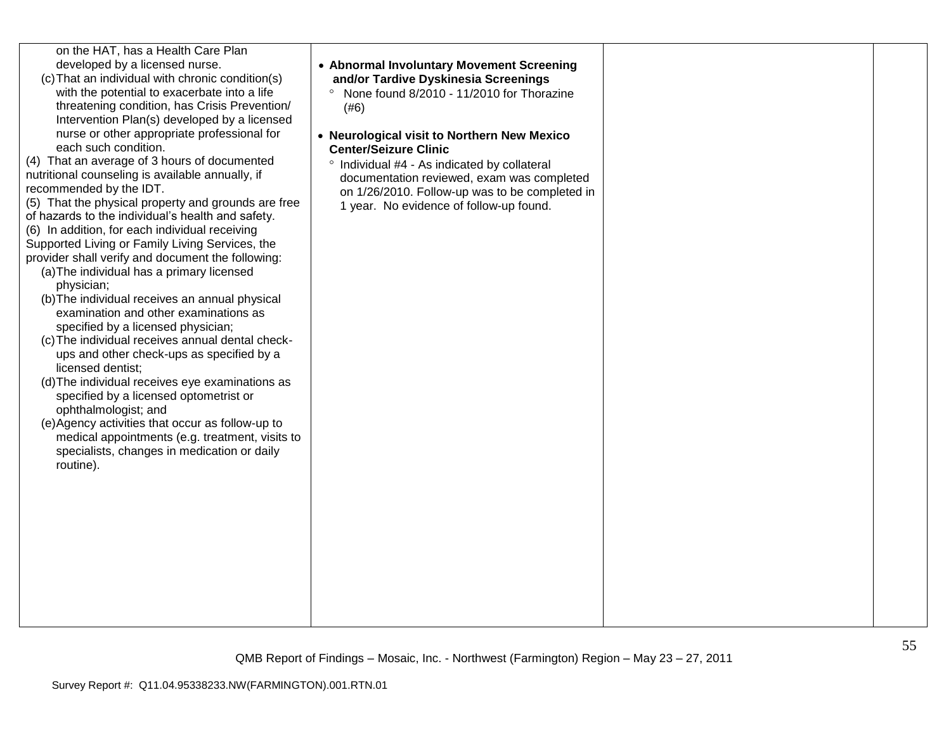| developed by a licensed nurse.<br>• Abnormal Involuntary Movement Screening<br>(c) That an individual with chronic condition(s)<br>and/or Tardive Dyskinesia Screenings<br>with the potential to exacerbate into a life<br>None found 8/2010 - 11/2010 for Thorazine<br>$\circ$<br>threatening condition, has Crisis Prevention/<br>(#6)<br>Intervention Plan(s) developed by a licensed<br>nurse or other appropriate professional for<br>• Neurological visit to Northern New Mexico<br>each such condition.<br><b>Center/Seizure Clinic</b><br>(4) That an average of 3 hours of documented<br>° Individual #4 - As indicated by collateral<br>nutritional counseling is available annually, if<br>documentation reviewed, exam was completed<br>recommended by the IDT.<br>on 1/26/2010. Follow-up was to be completed in<br>(5) That the physical property and grounds are free<br>1 year. No evidence of follow-up found.<br>of hazards to the individual's health and safety.<br>(6) In addition, for each individual receiving<br>Supported Living or Family Living Services, the<br>provider shall verify and document the following:<br>(a) The individual has a primary licensed<br>physician;<br>(b) The individual receives an annual physical<br>examination and other examinations as<br>specified by a licensed physician;<br>(c) The individual receives annual dental check-<br>ups and other check-ups as specified by a<br>licensed dentist;<br>(d) The individual receives eye examinations as<br>specified by a licensed optometrist or<br>ophthalmologist; and<br>(e) Agency activities that occur as follow-up to<br>medical appointments (e.g. treatment, visits to<br>specialists, changes in medication or daily<br>routine). |                                    |  |  |
|----------------------------------------------------------------------------------------------------------------------------------------------------------------------------------------------------------------------------------------------------------------------------------------------------------------------------------------------------------------------------------------------------------------------------------------------------------------------------------------------------------------------------------------------------------------------------------------------------------------------------------------------------------------------------------------------------------------------------------------------------------------------------------------------------------------------------------------------------------------------------------------------------------------------------------------------------------------------------------------------------------------------------------------------------------------------------------------------------------------------------------------------------------------------------------------------------------------------------------------------------------------------------------------------------------------------------------------------------------------------------------------------------------------------------------------------------------------------------------------------------------------------------------------------------------------------------------------------------------------------------------------------------------------------------------------------------------------------------------------------------------|------------------------------------|--|--|
|                                                                                                                                                                                                                                                                                                                                                                                                                                                                                                                                                                                                                                                                                                                                                                                                                                                                                                                                                                                                                                                                                                                                                                                                                                                                                                                                                                                                                                                                                                                                                                                                                                                                                                                                                          | on the HAT, has a Health Care Plan |  |  |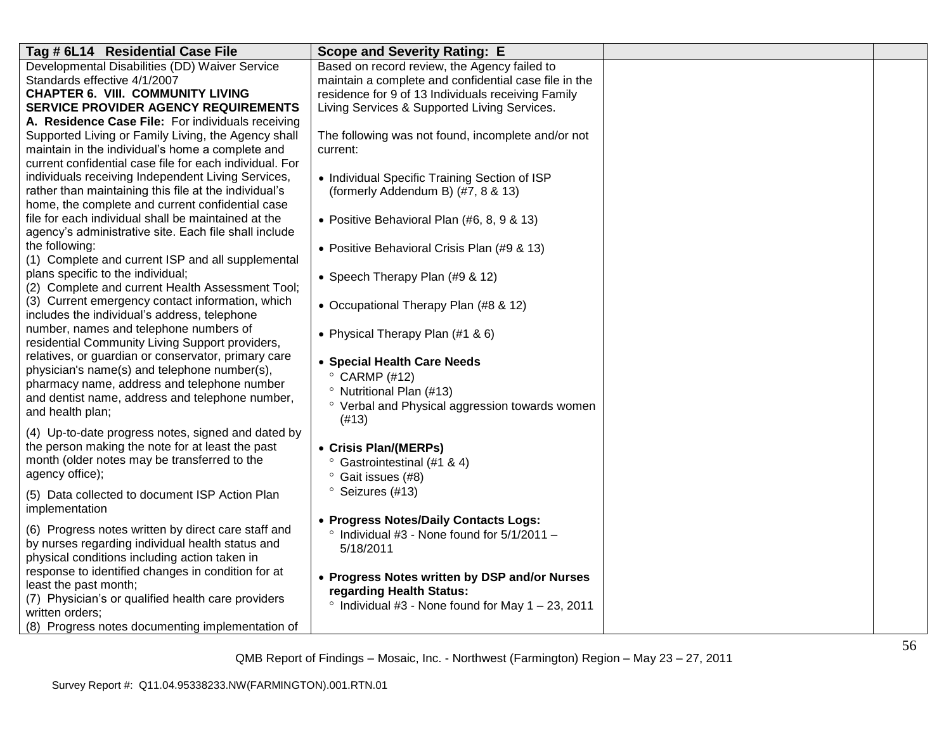| Tag # 6L14 Residential Case File                        | <b>Scope and Severity Rating: E</b>                       |  |
|---------------------------------------------------------|-----------------------------------------------------------|--|
| Developmental Disabilities (DD) Waiver Service          | Based on record review, the Agency failed to              |  |
| Standards effective 4/1/2007                            | maintain a complete and confidential case file in the     |  |
| <b>CHAPTER 6. VIII. COMMUNITY LIVING</b>                | residence for 9 of 13 Individuals receiving Family        |  |
| SERVICE PROVIDER AGENCY REQUIREMENTS                    | Living Services & Supported Living Services.              |  |
| A. Residence Case File: For individuals receiving       |                                                           |  |
| Supported Living or Family Living, the Agency shall     | The following was not found, incomplete and/or not        |  |
| maintain in the individual's home a complete and        | current:                                                  |  |
| current confidential case file for each individual. For |                                                           |  |
| individuals receiving Independent Living Services,      | • Individual Specific Training Section of ISP             |  |
| rather than maintaining this file at the individual's   | (formerly Addendum B) (#7, 8 & 13)                        |  |
| home, the complete and current confidential case        |                                                           |  |
| file for each individual shall be maintained at the     | • Positive Behavioral Plan (#6, 8, 9 & 13)                |  |
| agency's administrative site. Each file shall include   |                                                           |  |
| the following:                                          | • Positive Behavioral Crisis Plan (#9 & 13)               |  |
| (1) Complete and current ISP and all supplemental       |                                                           |  |
| plans specific to the individual;                       | • Speech Therapy Plan (#9 & 12)                           |  |
| (2) Complete and current Health Assessment Tool;        |                                                           |  |
| (3) Current emergency contact information, which        | • Occupational Therapy Plan (#8 & 12)                     |  |
| includes the individual's address, telephone            |                                                           |  |
| number, names and telephone numbers of                  | • Physical Therapy Plan (#1 & 6)                          |  |
| residential Community Living Support providers,         |                                                           |  |
| relatives, or guardian or conservator, primary care     | • Special Health Care Needs                               |  |
| physician's name(s) and telephone number(s),            | $\degree$ CARMP (#12)                                     |  |
| pharmacy name, address and telephone number             |                                                           |  |
| and dentist name, address and telephone number,         | <sup>o</sup> Nutritional Plan (#13)                       |  |
| and health plan;                                        | ° Verbal and Physical aggression towards women            |  |
|                                                         | (#13)                                                     |  |
| (4) Up-to-date progress notes, signed and dated by      |                                                           |  |
| the person making the note for at least the past        | • Crisis Plan/(MERPs)                                     |  |
| month (older notes may be transferred to the            | <sup>o</sup> Gastrointestinal (#1 & 4)                    |  |
| agency office);                                         | ° Gait issues (#8)                                        |  |
| (5) Data collected to document ISP Action Plan          | <sup>o</sup> Seizures (#13)                               |  |
| implementation                                          |                                                           |  |
|                                                         | • Progress Notes/Daily Contacts Logs:                     |  |
| (6) Progress notes written by direct care staff and     | $\degree$ Individual #3 - None found for 5/1/2011 -       |  |
| by nurses regarding individual health status and        | 5/18/2011                                                 |  |
| physical conditions including action taken in           |                                                           |  |
| response to identified changes in condition for at      | • Progress Notes written by DSP and/or Nurses             |  |
| least the past month;                                   | regarding Health Status:                                  |  |
| (7) Physician's or qualified health care providers      | $\degree$ Individual #3 - None found for May 1 - 23, 2011 |  |
| written orders;                                         |                                                           |  |
| (8) Progress notes documenting implementation of        |                                                           |  |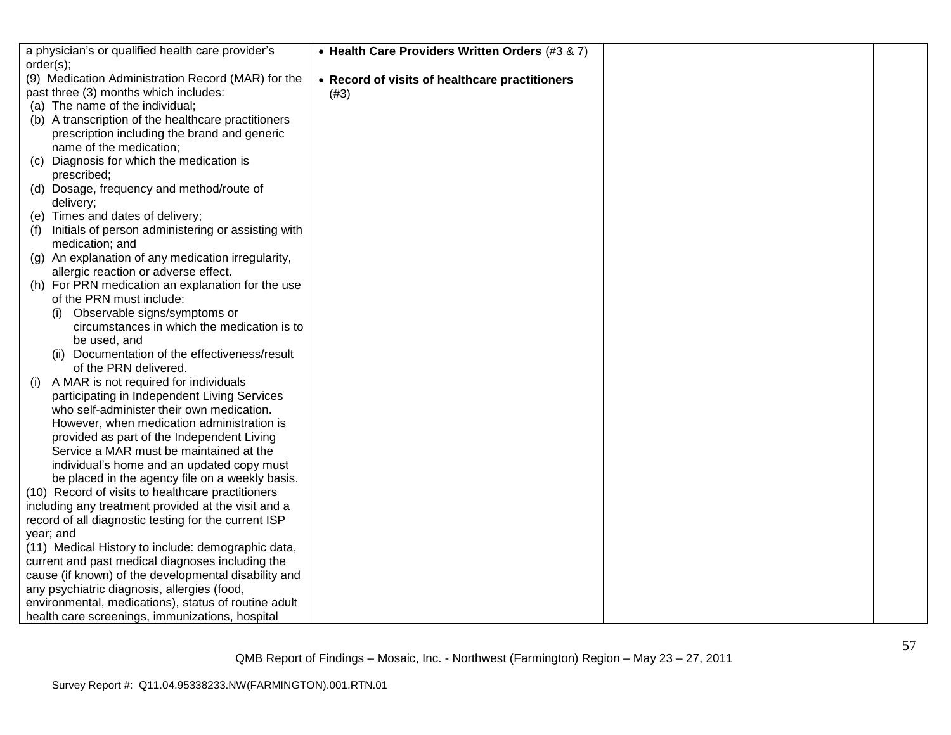| a physician's or qualified health care provider's    | • Health Care Providers Written Orders (#3 & 7) |  |
|------------------------------------------------------|-------------------------------------------------|--|
| order(s);                                            |                                                 |  |
| (9) Medication Administration Record (MAR) for the   | • Record of visits of healthcare practitioners  |  |
| past three (3) months which includes:                | (#3)                                            |  |
| (a) The name of the individual;                      |                                                 |  |
| (b) A transcription of the healthcare practitioners  |                                                 |  |
| prescription including the brand and generic         |                                                 |  |
| name of the medication;                              |                                                 |  |
| Diagnosis for which the medication is                |                                                 |  |
| (C)                                                  |                                                 |  |
| prescribed;                                          |                                                 |  |
| (d) Dosage, frequency and method/route of            |                                                 |  |
| delivery;                                            |                                                 |  |
| (e) Times and dates of delivery;                     |                                                 |  |
| Initials of person administering or assisting with   |                                                 |  |
| medication; and                                      |                                                 |  |
| (g) An explanation of any medication irregularity,   |                                                 |  |
| allergic reaction or adverse effect.                 |                                                 |  |
| (h) For PRN medication an explanation for the use    |                                                 |  |
| of the PRN must include:                             |                                                 |  |
| Observable signs/symptoms or                         |                                                 |  |
| circumstances in which the medication is to          |                                                 |  |
| be used, and                                         |                                                 |  |
| (ii) Documentation of the effectiveness/result       |                                                 |  |
| of the PRN delivered.                                |                                                 |  |
| A MAR is not required for individuals<br>(1)         |                                                 |  |
| participating in Independent Living Services         |                                                 |  |
| who self-administer their own medication.            |                                                 |  |
| However, when medication administration is           |                                                 |  |
| provided as part of the Independent Living           |                                                 |  |
| Service a MAR must be maintained at the              |                                                 |  |
| individual's home and an updated copy must           |                                                 |  |
| be placed in the agency file on a weekly basis.      |                                                 |  |
| (10) Record of visits to healthcare practitioners    |                                                 |  |
| including any treatment provided at the visit and a  |                                                 |  |
| record of all diagnostic testing for the current ISP |                                                 |  |
| year; and                                            |                                                 |  |
| (11) Medical History to include: demographic data,   |                                                 |  |
| current and past medical diagnoses including the     |                                                 |  |
| cause (if known) of the developmental disability and |                                                 |  |
| any psychiatric diagnosis, allergies (food,          |                                                 |  |
| environmental, medications), status of routine adult |                                                 |  |
| health care screenings, immunizations, hospital      |                                                 |  |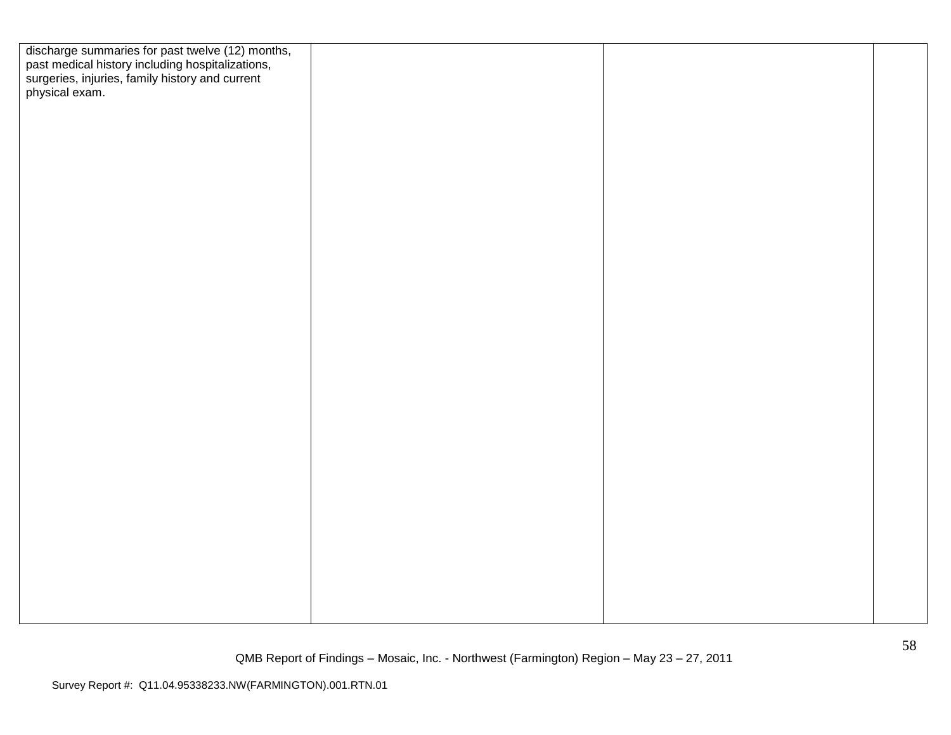| discharge summaries for past twelve (12) months,<br>past medical history including hospitalizations,<br>surgeries, injuries, family history and current<br>physical exam. |  |  |
|---------------------------------------------------------------------------------------------------------------------------------------------------------------------------|--|--|
|                                                                                                                                                                           |  |  |
|                                                                                                                                                                           |  |  |
|                                                                                                                                                                           |  |  |
|                                                                                                                                                                           |  |  |
|                                                                                                                                                                           |  |  |
|                                                                                                                                                                           |  |  |
|                                                                                                                                                                           |  |  |
|                                                                                                                                                                           |  |  |
|                                                                                                                                                                           |  |  |
|                                                                                                                                                                           |  |  |
|                                                                                                                                                                           |  |  |
|                                                                                                                                                                           |  |  |
|                                                                                                                                                                           |  |  |
|                                                                                                                                                                           |  |  |
|                                                                                                                                                                           |  |  |
|                                                                                                                                                                           |  |  |
|                                                                                                                                                                           |  |  |
|                                                                                                                                                                           |  |  |
|                                                                                                                                                                           |  |  |
|                                                                                                                                                                           |  |  |
|                                                                                                                                                                           |  |  |
|                                                                                                                                                                           |  |  |
|                                                                                                                                                                           |  |  |
|                                                                                                                                                                           |  |  |
|                                                                                                                                                                           |  |  |
|                                                                                                                                                                           |  |  |
|                                                                                                                                                                           |  |  |
|                                                                                                                                                                           |  |  |
|                                                                                                                                                                           |  |  |
|                                                                                                                                                                           |  |  |
|                                                                                                                                                                           |  |  |
|                                                                                                                                                                           |  |  |
|                                                                                                                                                                           |  |  |
|                                                                                                                                                                           |  |  |
|                                                                                                                                                                           |  |  |
|                                                                                                                                                                           |  |  |
|                                                                                                                                                                           |  |  |
|                                                                                                                                                                           |  |  |
|                                                                                                                                                                           |  |  |
|                                                                                                                                                                           |  |  |
|                                                                                                                                                                           |  |  |
|                                                                                                                                                                           |  |  |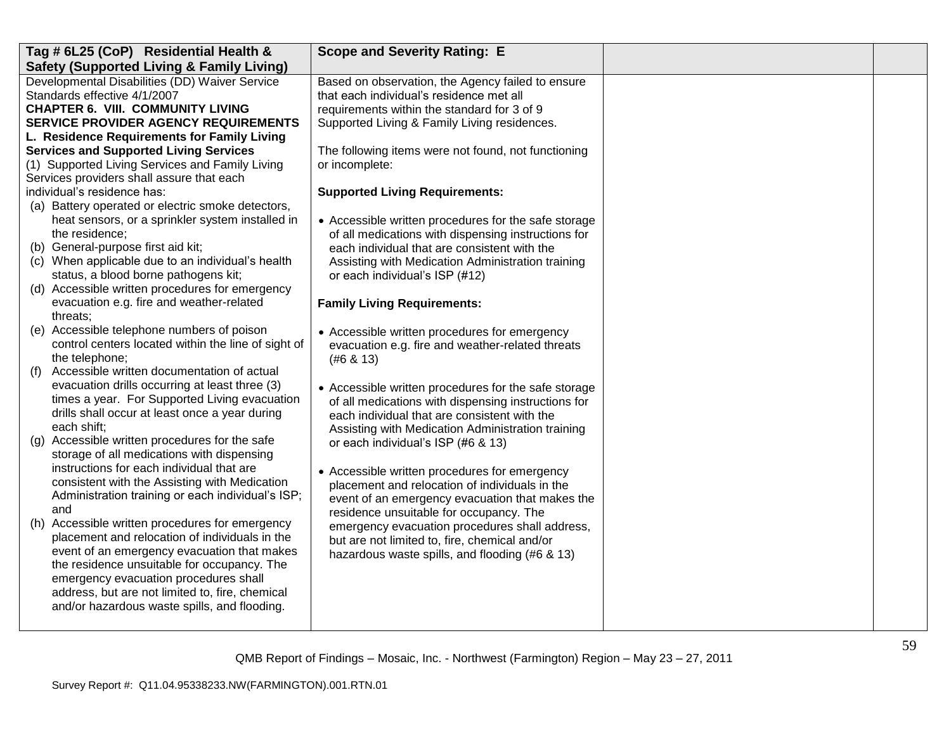| Tag # 6L25 (CoP) Residential Health &                | <b>Scope and Severity Rating: E</b>                  |  |
|------------------------------------------------------|------------------------------------------------------|--|
| <b>Safety (Supported Living &amp; Family Living)</b> |                                                      |  |
| Developmental Disabilities (DD) Waiver Service       | Based on observation, the Agency failed to ensure    |  |
| Standards effective 4/1/2007                         | that each individual's residence met all             |  |
| <b>CHAPTER 6. VIII. COMMUNITY LIVING</b>             | requirements within the standard for 3 of 9          |  |
| <b>SERVICE PROVIDER AGENCY REQUIREMENTS</b>          | Supported Living & Family Living residences.         |  |
| L. Residence Requirements for Family Living          |                                                      |  |
| <b>Services and Supported Living Services</b>        | The following items were not found, not functioning  |  |
| (1) Supported Living Services and Family Living      | or incomplete:                                       |  |
| Services providers shall assure that each            |                                                      |  |
| individual's residence has:                          | <b>Supported Living Requirements:</b>                |  |
| (a) Battery operated or electric smoke detectors,    |                                                      |  |
| heat sensors, or a sprinkler system installed in     | • Accessible written procedures for the safe storage |  |
| the residence;                                       | of all medications with dispensing instructions for  |  |
| (b) General-purpose first aid kit;                   | each individual that are consistent with the         |  |
| (c) When applicable due to an individual's health    | Assisting with Medication Administration training    |  |
| status, a blood borne pathogens kit;                 | or each individual's ISP (#12)                       |  |
| (d) Accessible written procedures for emergency      |                                                      |  |
| evacuation e.g. fire and weather-related             | <b>Family Living Requirements:</b>                   |  |
| threats;                                             |                                                      |  |
| (e) Accessible telephone numbers of poison           | • Accessible written procedures for emergency        |  |
| control centers located within the line of sight of  | evacuation e.g. fire and weather-related threats     |  |
| the telephone;                                       | (#6 & 13)                                            |  |
| Accessible written documentation of actual<br>(f)    |                                                      |  |
| evacuation drills occurring at least three (3)       | • Accessible written procedures for the safe storage |  |
| times a year. For Supported Living evacuation        | of all medications with dispensing instructions for  |  |
| drills shall occur at least once a year during       | each individual that are consistent with the         |  |
| each shift;                                          | Assisting with Medication Administration training    |  |
| Accessible written procedures for the safe<br>(g)    | or each individual's ISP (#6 & 13)                   |  |
| storage of all medications with dispensing           |                                                      |  |
| instructions for each individual that are            | • Accessible written procedures for emergency        |  |
| consistent with the Assisting with Medication        | placement and relocation of individuals in the       |  |
| Administration training or each individual's ISP;    | event of an emergency evacuation that makes the      |  |
| and                                                  | residence unsuitable for occupancy. The              |  |
| (h) Accessible written procedures for emergency      | emergency evacuation procedures shall address,       |  |
| placement and relocation of individuals in the       | but are not limited to, fire, chemical and/or        |  |
| event of an emergency evacuation that makes          | hazardous waste spills, and flooding (#6 & 13)       |  |
| the residence unsuitable for occupancy. The          |                                                      |  |
| emergency evacuation procedures shall                |                                                      |  |
| address, but are not limited to, fire, chemical      |                                                      |  |
| and/or hazardous waste spills, and flooding.         |                                                      |  |
|                                                      |                                                      |  |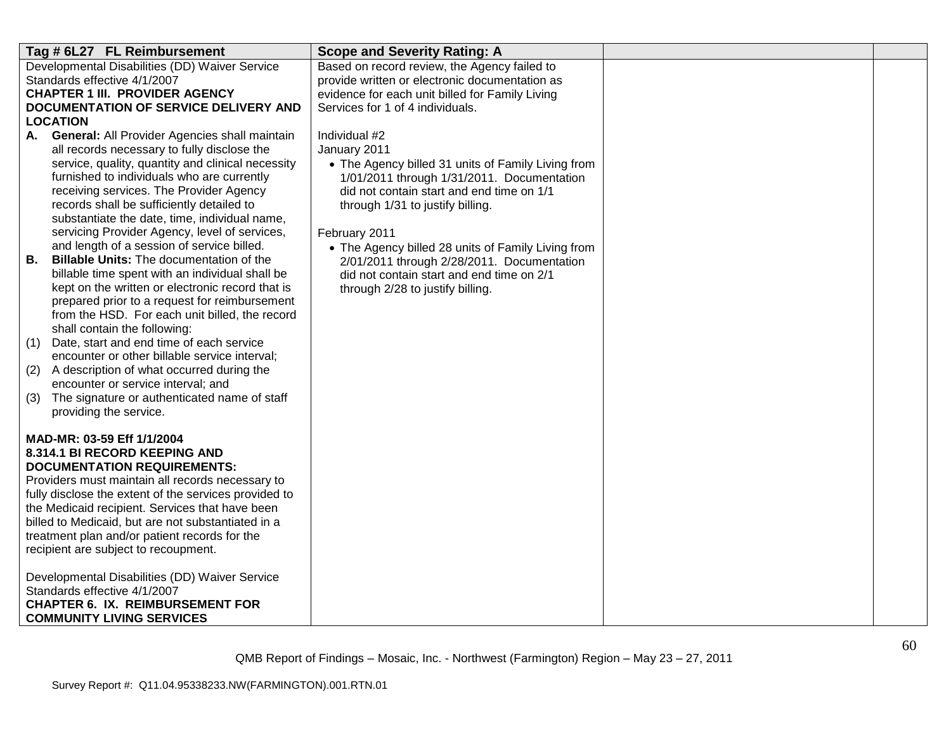| Tag # 6L27 FL Reimbursement                                                                     | <b>Scope and Severity Rating: A</b>                                                     |  |
|-------------------------------------------------------------------------------------------------|-----------------------------------------------------------------------------------------|--|
| Developmental Disabilities (DD) Waiver Service                                                  | Based on record review, the Agency failed to                                            |  |
| Standards effective 4/1/2007                                                                    | provide written or electronic documentation as                                          |  |
| <b>CHAPTER 1 III. PROVIDER AGENCY</b>                                                           | evidence for each unit billed for Family Living                                         |  |
| <b>DOCUMENTATION OF SERVICE DELIVERY AND</b>                                                    | Services for 1 of 4 individuals.                                                        |  |
| <b>LOCATION</b>                                                                                 |                                                                                         |  |
| <b>General: All Provider Agencies shall maintain</b><br>А.                                      | Individual #2                                                                           |  |
| all records necessary to fully disclose the                                                     | January 2011                                                                            |  |
| service, quality, quantity and clinical necessity<br>furnished to individuals who are currently | • The Agency billed 31 units of Family Living from                                      |  |
| receiving services. The Provider Agency                                                         | 1/01/2011 through 1/31/2011. Documentation<br>did not contain start and end time on 1/1 |  |
| records shall be sufficiently detailed to                                                       | through 1/31 to justify billing.                                                        |  |
| substantiate the date, time, individual name,                                                   |                                                                                         |  |
| servicing Provider Agency, level of services,                                                   | February 2011                                                                           |  |
| and length of a session of service billed.                                                      | • The Agency billed 28 units of Family Living from                                      |  |
| <b>Billable Units: The documentation of the</b><br>В.                                           | 2/01/2011 through 2/28/2011. Documentation                                              |  |
| billable time spent with an individual shall be                                                 | did not contain start and end time on 2/1                                               |  |
| kept on the written or electronic record that is                                                | through 2/28 to justify billing.                                                        |  |
| prepared prior to a request for reimbursement                                                   |                                                                                         |  |
| from the HSD. For each unit billed, the record                                                  |                                                                                         |  |
| shall contain the following:                                                                    |                                                                                         |  |
| Date, start and end time of each service<br>(1)                                                 |                                                                                         |  |
| encounter or other billable service interval;                                                   |                                                                                         |  |
| A description of what occurred during the<br>(2)                                                |                                                                                         |  |
| encounter or service interval; and                                                              |                                                                                         |  |
| The signature or authenticated name of staff<br>(3)                                             |                                                                                         |  |
| providing the service.                                                                          |                                                                                         |  |
| MAD-MR: 03-59 Eff 1/1/2004                                                                      |                                                                                         |  |
| 8.314.1 BI RECORD KEEPING AND                                                                   |                                                                                         |  |
| <b>DOCUMENTATION REQUIREMENTS:</b>                                                              |                                                                                         |  |
| Providers must maintain all records necessary to                                                |                                                                                         |  |
| fully disclose the extent of the services provided to                                           |                                                                                         |  |
| the Medicaid recipient. Services that have been                                                 |                                                                                         |  |
| billed to Medicaid, but are not substantiated in a                                              |                                                                                         |  |
| treatment plan and/or patient records for the                                                   |                                                                                         |  |
| recipient are subject to recoupment.                                                            |                                                                                         |  |
|                                                                                                 |                                                                                         |  |
| Developmental Disabilities (DD) Waiver Service                                                  |                                                                                         |  |
| Standards effective 4/1/2007                                                                    |                                                                                         |  |
| <b>CHAPTER 6. IX. REIMBURSEMENT FOR</b>                                                         |                                                                                         |  |
| <b>COMMUNITY LIVING SERVICES</b>                                                                |                                                                                         |  |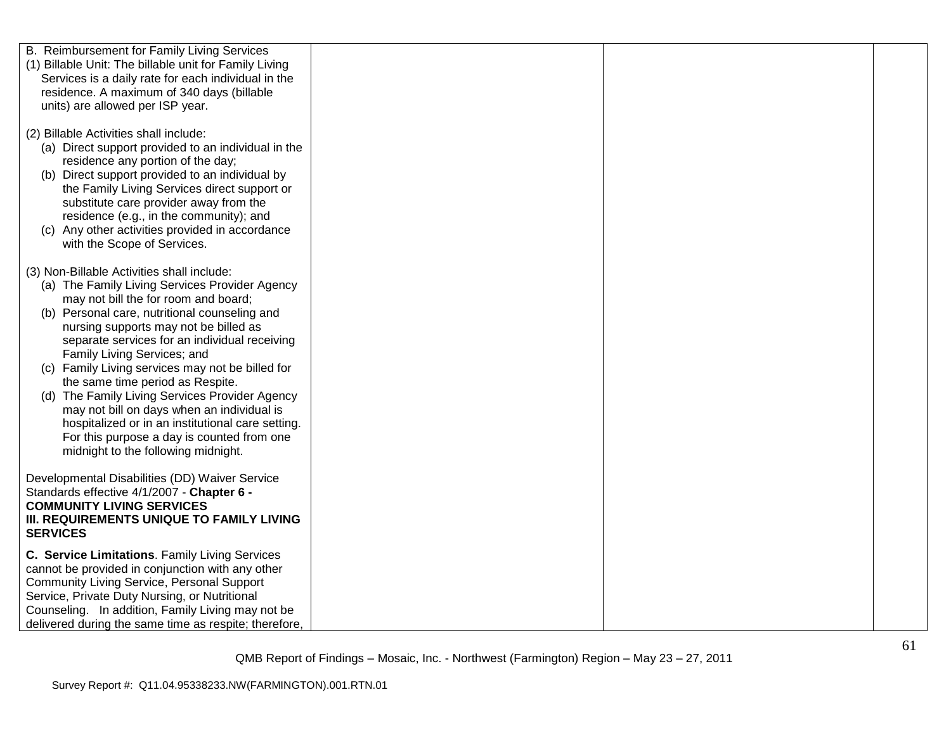| B. Reimbursement for Family Living Services            |  |  |
|--------------------------------------------------------|--|--|
| (1) Billable Unit: The billable unit for Family Living |  |  |
| Services is a daily rate for each individual in the    |  |  |
| residence. A maximum of 340 days (billable             |  |  |
| units) are allowed per ISP year.                       |  |  |
|                                                        |  |  |
| (2) Billable Activities shall include:                 |  |  |
|                                                        |  |  |
| (a) Direct support provided to an individual in the    |  |  |
| residence any portion of the day;                      |  |  |
| (b) Direct support provided to an individual by        |  |  |
| the Family Living Services direct support or           |  |  |
| substitute care provider away from the                 |  |  |
| residence (e.g., in the community); and                |  |  |
| (c) Any other activities provided in accordance        |  |  |
| with the Scope of Services.                            |  |  |
|                                                        |  |  |
| (3) Non-Billable Activities shall include:             |  |  |
| (a) The Family Living Services Provider Agency         |  |  |
| may not bill the for room and board;                   |  |  |
| (b) Personal care, nutritional counseling and          |  |  |
| nursing supports may not be billed as                  |  |  |
| separate services for an individual receiving          |  |  |
| Family Living Services; and                            |  |  |
| (c) Family Living services may not be billed for       |  |  |
| the same time period as Respite.                       |  |  |
| (d) The Family Living Services Provider Agency         |  |  |
| may not bill on days when an individual is             |  |  |
| hospitalized or in an institutional care setting.      |  |  |
| For this purpose a day is counted from one             |  |  |
| midnight to the following midnight.                    |  |  |
|                                                        |  |  |
| Developmental Disabilities (DD) Waiver Service         |  |  |
| Standards effective 4/1/2007 - Chapter 6 -             |  |  |
| <b>COMMUNITY LIVING SERVICES</b>                       |  |  |
| III. REQUIREMENTS UNIQUE TO FAMILY LIVING              |  |  |
| <b>SERVICES</b>                                        |  |  |
|                                                        |  |  |
| C. Service Limitations. Family Living Services         |  |  |
| cannot be provided in conjunction with any other       |  |  |
| <b>Community Living Service, Personal Support</b>      |  |  |
| Service, Private Duty Nursing, or Nutritional          |  |  |
| Counseling. In addition, Family Living may not be      |  |  |
| delivered during the same time as respite; therefore,  |  |  |
|                                                        |  |  |